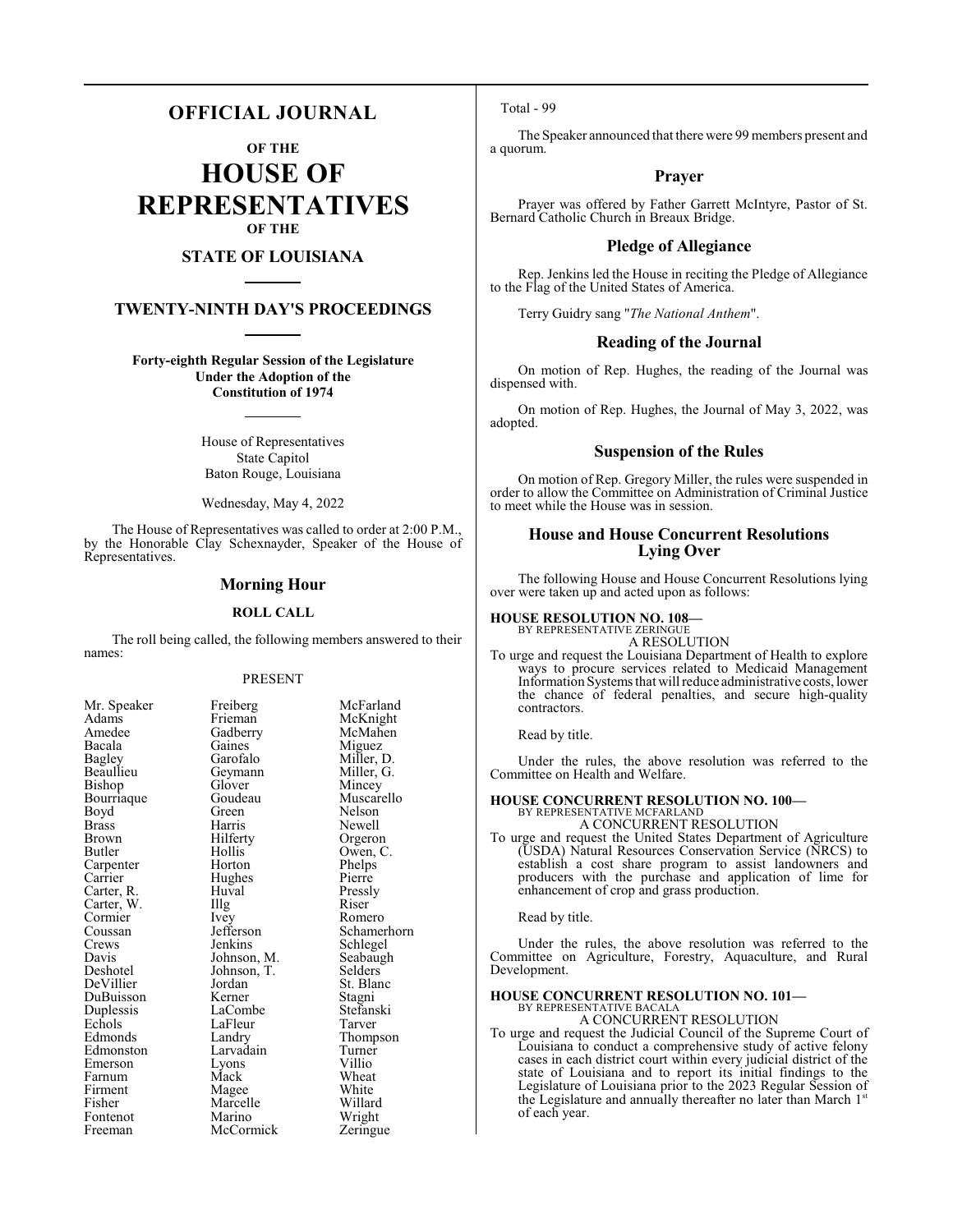# **OFFICIAL JOURNAL**

**OF THE**

**HOUSE OF REPRESENTATIVES OF THE**

# **STATE OF LOUISIANA**

# **TWENTY-NINTH DAY'S PROCEEDINGS**

**Forty-eighth Regular Session of the Legislature Under the Adoption of the Constitution of 1974**

> House of Representatives State Capitol Baton Rouge, Louisiana

> Wednesday, May 4, 2022

The House of Representatives was called to order at 2:00 P.M., by the Honorable Clay Schexnayder, Speaker of the House of Representatives.

#### **Morning Hour**

#### **ROLL CALL**

The roll being called, the following members answered to their names:

#### PRESENT

| Mr. Speaker   | Freiberg    | McFar   |
|---------------|-------------|---------|
| Adams         | Frieman     | McKn    |
| Amedee        | Gadberry    | McMa    |
| Bacala        | Gaines      | Migue   |
| <b>Bagley</b> | Garofalo    | Miller  |
| Beaullieu     | Geymann     | Miller  |
| Bishop        | Glover      | Mince   |
| Bournaque     | Goudeau     | Musca   |
| Boyd          | Green       | Nelson  |
| <b>Brass</b>  | Harris      | Newel   |
| Brown         | Hilferty    | Orgero  |
| Butler        | Hollis      | Owen,   |
| Carpenter     | Horton      | Phelps  |
| Carrier       | Hughes      | Pierre  |
| Carter, R.    | Huval       | Pressly |
| Carter, W.    | Illg        | Riser   |
| Cormier       | Ivey        | Romer   |
| Coussan       | Jefferson   | Scham   |
| Crews         | Jenkins     | Schleg  |
| Davis         | Johnson, M. | Seabaı  |
| Deshotel      | Johnson, T. | Selder  |
| DeVillier     | Jordan      | St. Bla |
| DuBuisson     | Kerner      | Stagni  |
| Duplessis     | LaCombe     | Stefan  |
| Echols        | LaFleur     | Tarver  |
| Edmonds       | Landry      | Thomp   |
| Edmonston     | Larvadain   | Turnei  |
| Emerson       | Lyons       | Villio  |
| Farnum        | Mack        | Wheat   |
| Firment       | Magee       | White   |
| Fisher        | Marcelle    | Willar  |
| Fontenot      | Marino      | Wrigh   |
| Freeman       | McCormick   | Zering  |

Freiberg McFarland<br>Frieman McKnight Frieman McKnight<br>Gadberry McMahen McMahen<br>Miguez Miller, D.<br>Miller, G. Glover Mincey<br>Goudeau Muscare Goudeau Muscarello<br>Green Nelson Green Nelson<br>Harris Newell Harris Newell<br>Hilferty Orgeror Hilferty Orgeron<br>
Hollis Owen C Hollis Owen, C.<br>Horton Phelps Phelps<br>Pierre Huval Pressly<br>
Illg Riser Ivey Romero<br>Jefferson Schamer Jefferson Schamerhorn<br>Jenkins Schlegel Schlegel<br>Seabaugh Johnson, M. Seabaughten<br>Johnson, T. Selders Johnson, T.<br>Jordan St. Blanc<br>Stagni Kerner Stagni<br>LaCombe Stefanski LaCombe Stefans<br>LaFleur Tarver Thompson<br>Turner Larvadain Turner<br>Lyons Villio Eyons Villio<br>
Mack Wheat Magee White<br>Marcelle Willard Wright<br>Zeringue McCormick

## Total - 99

The Speaker announced that there were 99 members present and a quorum.

# **Prayer**

Prayer was offered by Father Garrett McIntyre, Pastor of St. Bernard Catholic Church in Breaux Bridge.

# **Pledge of Allegiance**

Rep. Jenkins led the House in reciting the Pledge of Allegiance to the Flag of the United States of America.

Terry Guidry sang "*The National Anthem*".

# **Reading of the Journal**

On motion of Rep. Hughes, the reading of the Journal was dispensed with.

On motion of Rep. Hughes, the Journal of May 3, 2022, was adopted.

# **Suspension of the Rules**

On motion of Rep. Gregory Miller, the rules were suspended in order to allow the Committee on Administration of Criminal Justice to meet while the House was in session.

## **House and House Concurrent Resolutions Lying Over**

The following House and House Concurrent Resolutions lying over were taken up and acted upon as follows:

# **HOUSE RESOLUTION NO. 108—** BY REPRESENTATIVE ZERINGUE

A RESOLUTION

To urge and request the Louisiana Department of Health to explore ways to procure services related to Medicaid Management Information Systems that will reduce administrative costs, lower the chance of federal penalties, and secure high-quality contractors.

Read by title.

Under the rules, the above resolution was referred to the Committee on Health and Welfare.

#### **HOUSE CONCURRENT RESOLUTION NO. 100—**

BY REPRESENTATIVE MCFARLAND A CONCURRENT RESOLUTION

To urge and request the United States Department of Agriculture (USDA) Natural Resources Conservation Service (NRCS) to establish a cost share program to assist landowners and producers with the purchase and application of lime for enhancement of crop and grass production.

Read by title.

Under the rules, the above resolution was referred to the Committee on Agriculture, Forestry, Aquaculture, and Rural Development.

#### **HOUSE CONCURRENT RESOLUTION NO. 101—** BY REPRESENTATIVE BACALA

A CONCURRENT RESOLUTION

To urge and request the Judicial Council of the Supreme Court of Louisiana to conduct a comprehensive study of active felony cases in each district court within every judicial district of the state of Louisiana and to report its initial findings to the Legislature of Louisiana prior to the 2023 Regular Session of the Legislature and annually thereafter no later than March 1st of each year.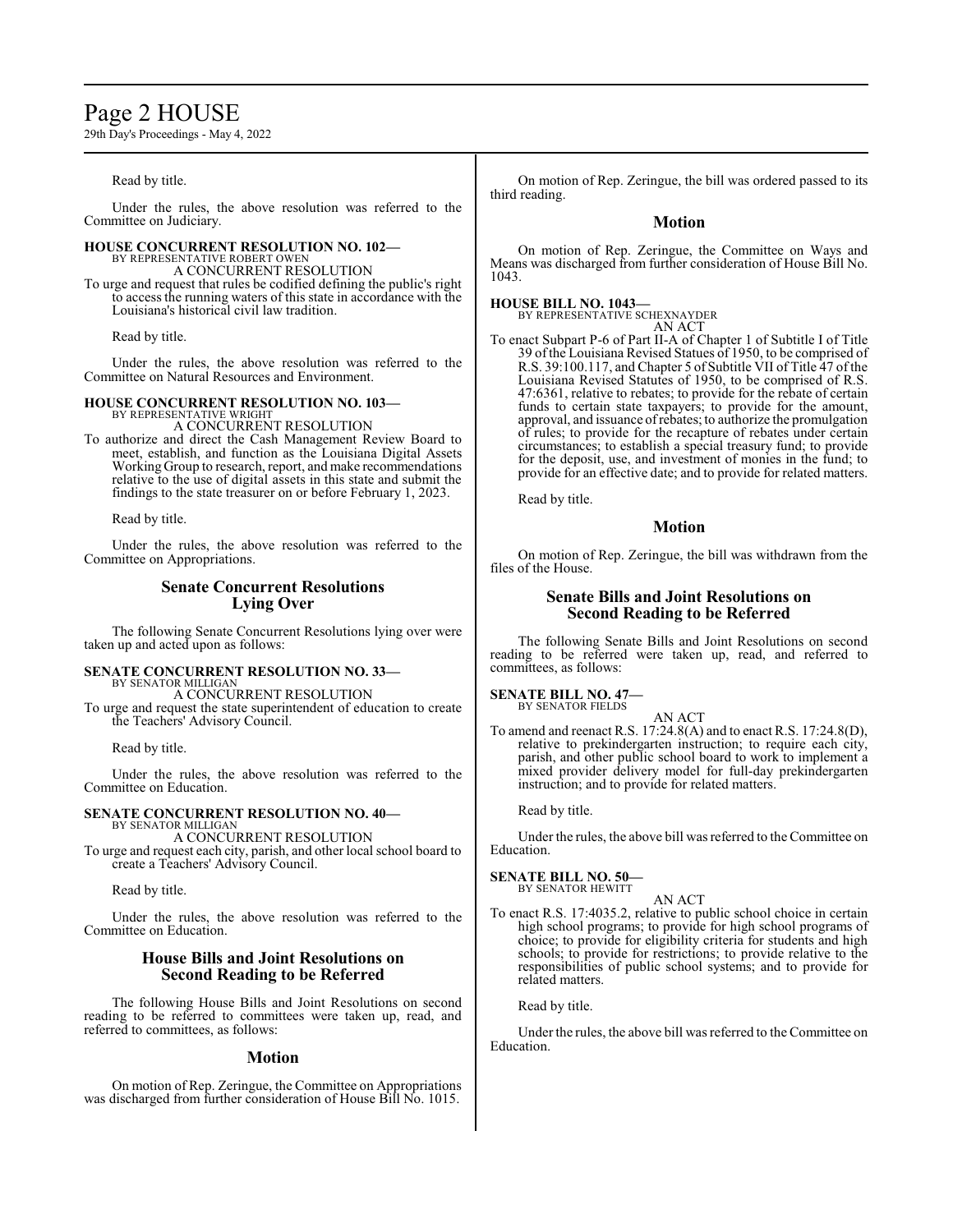# Page 2 HOUSE

29th Day's Proceedings - May 4, 2022

Read by title.

Under the rules, the above resolution was referred to the Committee on Judiciary.

# **HOUSE CONCURRENT RESOLUTION NO. 102—** BY REPRESENTATIVE ROBERT OWEN

A CONCURRENT RESOLUTION

To urge and request that rules be codified defining the public's right to access the running waters of this state in accordance with the Louisiana's historical civil law tradition.

Read by title.

Under the rules, the above resolution was referred to the Committee on Natural Resources and Environment.

### **HOUSE CONCURRENT RESOLUTION NO. 103—**

BY REPRESENTATIVE WRIGHT A CONCURRENT RESOLUTION

To authorize and direct the Cash Management Review Board to meet, establish, and function as the Louisiana Digital Assets Working Group to research, report, and make recommendations relative to the use of digital assets in this state and submit the findings to the state treasurer on or before February 1, 2023.

Read by title.

Under the rules, the above resolution was referred to the Committee on Appropriations.

# **Senate Concurrent Resolutions Lying Over**

The following Senate Concurrent Resolutions lying over were taken up and acted upon as follows:

### **SENATE CONCURRENT RESOLUTION NO. 33—**

BY SENATOR MILLIGAN A CONCURRENT RESOLUTION

To urge and request the state superintendent of education to create the Teachers' Advisory Council.

Read by title.

Under the rules, the above resolution was referred to the Committee on Education.

#### **SENATE CONCURRENT RESOLUTION NO. 40—** BY SENATOR MILLIGAN

A CONCURRENT RESOLUTION To urge and request each city, parish, and other local school board to create a Teachers' Advisory Council.

Read by title.

Under the rules, the above resolution was referred to the Committee on Education.

# **House Bills and Joint Resolutions on Second Reading to be Referred**

The following House Bills and Joint Resolutions on second reading to be referred to committees were taken up, read, and referred to committees, as follows:

### **Motion**

On motion of Rep. Zeringue, the Committee on Appropriations was discharged from further consideration of House Bill No. 1015.

On motion of Rep. Zeringue, the bill was ordered passed to its third reading.

#### **Motion**

On motion of Rep. Zeringue, the Committee on Ways and Means was discharged from further consideration of House Bill No. 1043.

#### **HOUSE BILL NO. 1043—**

BY REPRESENTATIVE SCHEXNAYDER AN ACT

To enact Subpart P-6 of Part II-A of Chapter 1 of Subtitle I of Title 39 ofthe Louisiana Revised Statues of 1950, to be comprised of R.S. 39:100.117, and Chapter 5 of Subtitle VII of Title 47 of the Louisiana Revised Statutes of 1950, to be comprised of R.S. 47:6361, relative to rebates; to provide for the rebate of certain funds to certain state taxpayers; to provide for the amount, approval, and issuance ofrebates; to authorize the promulgation of rules; to provide for the recapture of rebates under certain circumstances; to establish a special treasury fund; to provide for the deposit, use, and investment of monies in the fund; to provide for an effective date; and to provide for related matters.

Read by title.

### **Motion**

On motion of Rep. Zeringue, the bill was withdrawn from the files of the House.

# **Senate Bills and Joint Resolutions on Second Reading to be Referred**

The following Senate Bills and Joint Resolutions on second reading to be referred were taken up, read, and referred to committees, as follows:

**SENATE BILL NO. 47—** BY SENATOR FIELDS

AN ACT

To amend and reenact R.S. 17:24.8(A) and to enact R.S. 17:24.8(D), relative to prekindergarten instruction; to require each city, parish, and other public school board to work to implement a mixed provider delivery model for full-day prekindergarten instruction; and to provide for related matters.

Read by title.

Under the rules, the above bill was referred to the Committee on Education.

#### **SENATE BILL NO. 50—** BY SENATOR HEWITT

AN ACT

To enact R.S. 17:4035.2, relative to public school choice in certain high school programs; to provide for high school programs of choice; to provide for eligibility criteria for students and high schools; to provide for restrictions; to provide relative to the responsibilities of public school systems; and to provide for related matters.

Read by title.

Under the rules, the above bill was referred to the Committee on Education.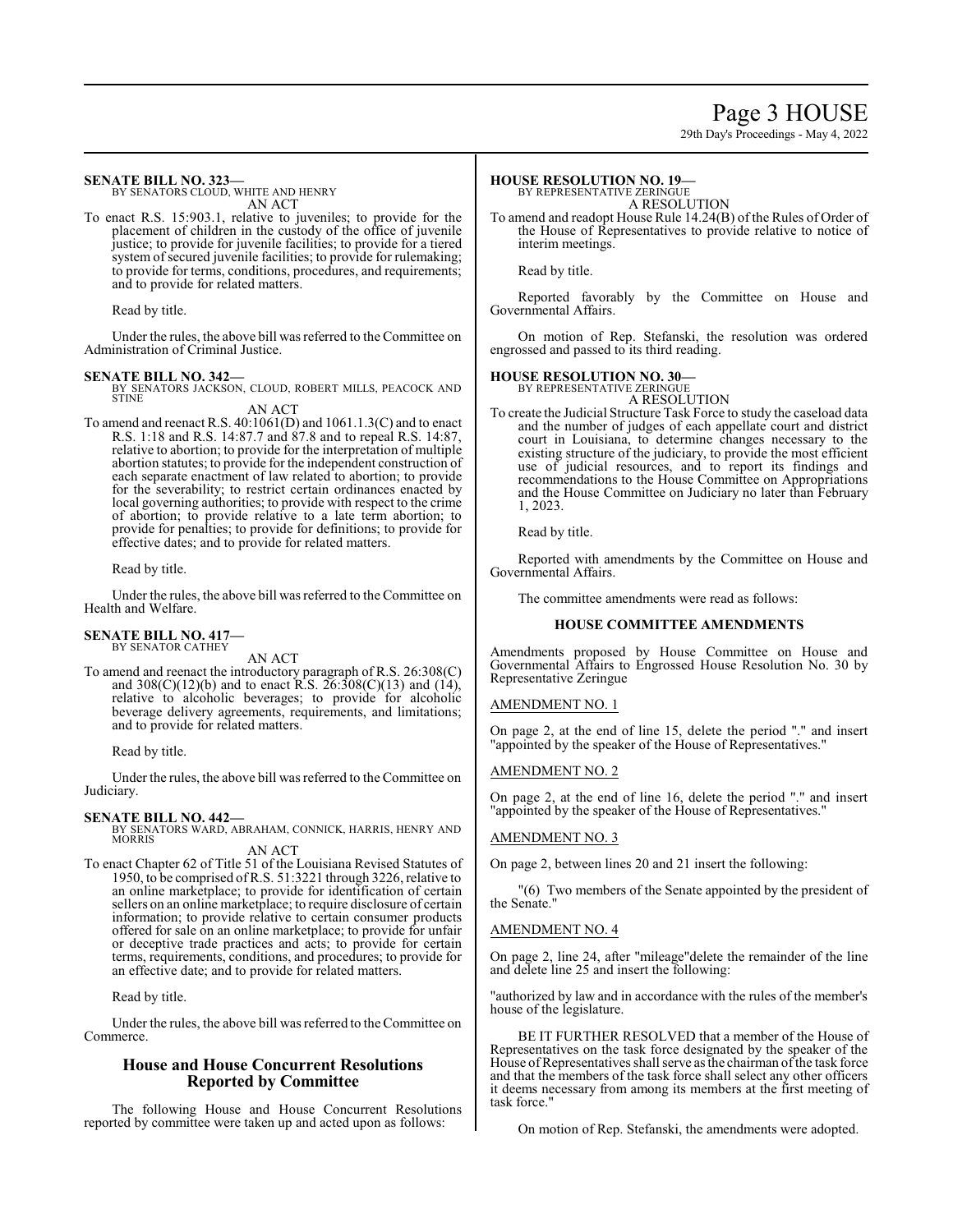# Page 3 HOUSE

29th Day's Proceedings - May 4, 2022

### **SENATE BILL NO. 323—**

BY SENATORS CLOUD, WHITE AND HENRY AN ACT

To enact R.S. 15:903.1, relative to juveniles; to provide for the placement of children in the custody of the office of juvenile justice; to provide for juvenile facilities; to provide for a tiered system of secured juvenile facilities; to provide for rulemaking; to provide for terms, conditions, procedures, and requirements; and to provide for related matters.

Read by title.

Under the rules, the above bill was referred to the Committee on Administration of Criminal Justice.

### **SENATE BILL NO. 342—**

BY SENATORS JACKSON, CLOUD, ROBERT MILLS, PEACOCK AND STINE AN ACT

To amend and reenact R.S. 40:1061(D) and 1061.1.3(C) and to enact R.S. 1:18 and R.S. 14:87.7 and 87.8 and to repeal R.S. 14:87, relative to abortion; to provide for the interpretation of multiple abortion statutes; to provide for the independent construction of each separate enactment of law related to abortion; to provide for the severability; to restrict certain ordinances enacted by local governing authorities; to provide with respect to the crime of abortion; to provide relative to a late term abortion; to provide for penalties; to provide for definitions; to provide for effective dates; and to provide for related matters.

Read by title.

Under the rules, the above bill was referred to the Committee on Health and Welfare.

#### **SENATE BILL NO. 417—** BY SENATOR CATHEY

AN ACT

To amend and reenact the introductory paragraph of R.S. 26:308(C) and  $308(C)(12)(b)$  and to enact R.S.  $26:308(C)(13)$  and  $(14)$ , relative to alcoholic beverages; to provide for alcoholic beverage delivery agreements, requirements, and limitations; and to provide for related matters.

Read by title.

Under the rules, the above bill was referred to the Committee on Judiciary.

#### **SENATE BILL NO. 442—**

BY SENATORS WARD, ABRAHAM, CONNICK, HARRIS, HENRY AND MORRIS AN ACT

To enact Chapter 62 of Title 51 of the Louisiana Revised Statutes of 1950, to be comprised of R.S. 51:3221 through 3226, relative to an online marketplace; to provide for identification of certain sellers on an online marketplace; to require disclosure of certain information; to provide relative to certain consumer products offered for sale on an online marketplace; to provide for unfair or deceptive trade practices and acts; to provide for certain terms, requirements, conditions, and procedures; to provide for an effective date; and to provide for related matters.

Read by title.

Under the rules, the above bill was referred to the Committee on Commerce.

# **House and House Concurrent Resolutions Reported by Committee**

The following House and House Concurrent Resolutions reported by committee were taken up and acted upon as follows:

#### **HOUSE RESOLUTION NO. 19—**

BY REPRESENTATIVE ZERINGUE A RESOLUTION

To amend and readopt House Rule 14.24(B) of the Rules of Order of the House of Representatives to provide relative to notice of interim meetings.

Read by title.

Reported favorably by the Committee on House and Governmental Affairs.

On motion of Rep. Stefanski, the resolution was ordered engrossed and passed to its third reading.

### **HOUSE RESOLUTION NO. 30—**

BY REPRESENTATIVE ZERINGUE A RESOLUTION

To create the Judicial Structure Task Force to study the caseload data and the number of judges of each appellate court and district court in Louisiana, to determine changes necessary to the existing structure of the judiciary, to provide the most efficient use of judicial resources, and to report its findings and recommendations to the House Committee on Appropriations and the House Committee on Judiciary no later than February 1, 2023.

Read by title.

Reported with amendments by the Committee on House and Governmental Affairs.

The committee amendments were read as follows:

# **HOUSE COMMITTEE AMENDMENTS**

Amendments proposed by House Committee on House and Governmental Affairs to Engrossed House Resolution No. 30 by Representative Zeringue

#### AMENDMENT NO. 1

On page 2, at the end of line 15, delete the period "." and insert "appointed by the speaker of the House of Representatives."

#### AMENDMENT NO. 2

On page 2, at the end of line 16, delete the period "." and insert "appointed by the speaker of the House of Representatives."

#### AMENDMENT NO. 3

On page 2, between lines 20 and 21 insert the following:

"(6) Two members of the Senate appointed by the president of the Senate."

### AMENDMENT NO. 4

On page 2, line 24, after "mileage"delete the remainder of the line and delete line 25 and insert the following:

"authorized by law and in accordance with the rules of the member's house of the legislature.

BE IT FURTHER RESOLVED that a member of the House of Representatives on the task force designated by the speaker of the House of Representatives shall serve as the chairman of the task force and that the members of the task force shall select any other officers it deems necessary from among its members at the first meeting of task force."

On motion of Rep. Stefanski, the amendments were adopted.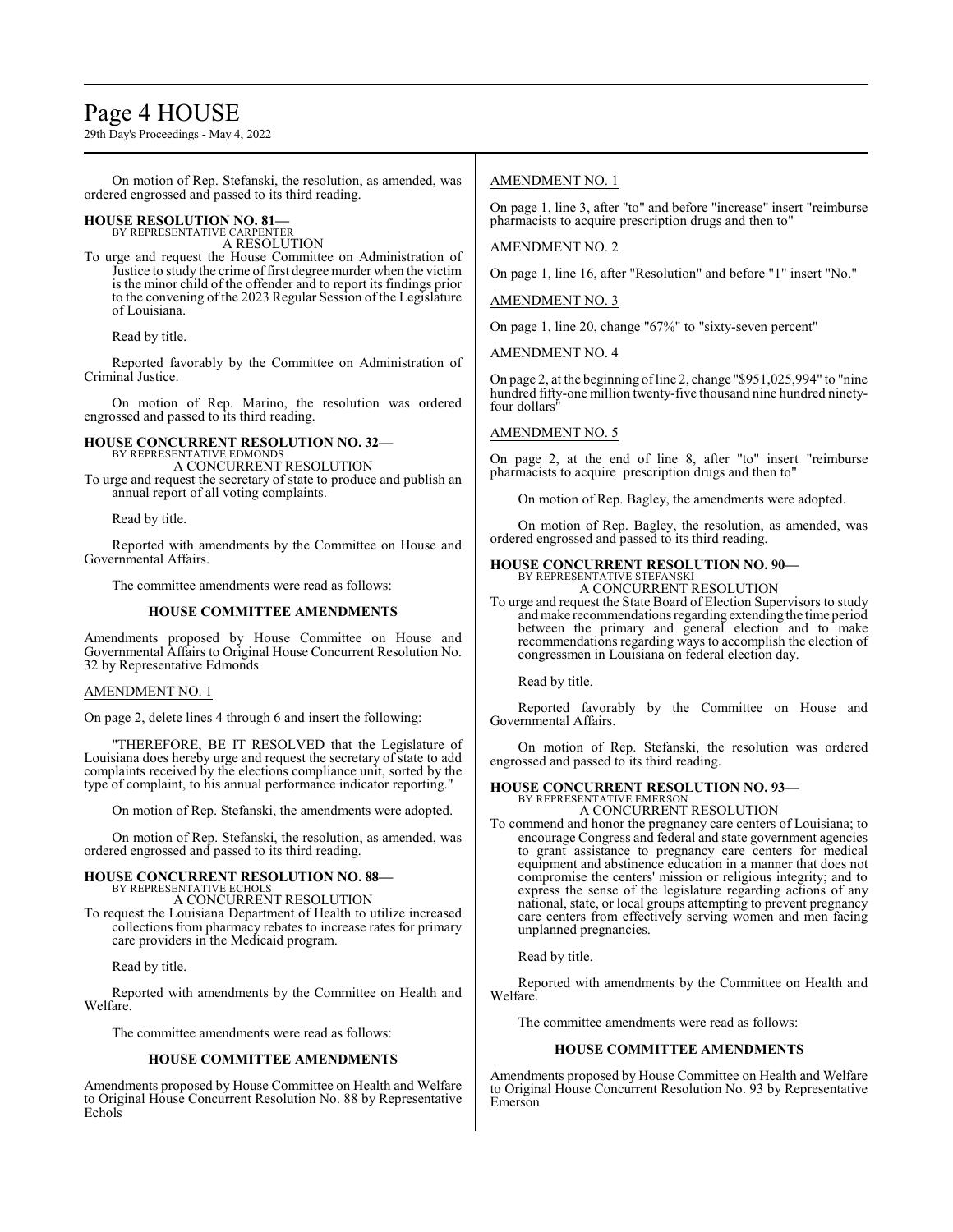# Page 4 HOUSE

29th Day's Proceedings - May 4, 2022

On motion of Rep. Stefanski, the resolution, as amended, was ordered engrossed and passed to its third reading.

# **HOUSE RESOLUTION NO. 81—** BY REPRESENTATIVE CARPENTER

A RESOLUTION

To urge and request the House Committee on Administration of Justice to study the crime of first degree murder when the victim is the minor child of the offender and to report its findings prior to the convening of the 2023 Regular Session of the Legislature of Louisiana.

Read by title.

Reported favorably by the Committee on Administration of Criminal Justice.

On motion of Rep. Marino, the resolution was ordered engrossed and passed to its third reading.

#### **HOUSE CONCURRENT RESOLUTION NO. 32—** BY REPRESENTATIVE EDMONDS A CONCURRENT RESOLUTION

To urge and request the secretary of state to produce and publish an annual report of all voting complaints.

Read by title.

Reported with amendments by the Committee on House and Governmental Affairs.

The committee amendments were read as follows:

#### **HOUSE COMMITTEE AMENDMENTS**

Amendments proposed by House Committee on House and Governmental Affairs to Original House Concurrent Resolution No. 32 by Representative Edmonds

#### AMENDMENT NO. 1

On page 2, delete lines 4 through 6 and insert the following:

"THEREFORE, BE IT RESOLVED that the Legislature of Louisiana does hereby urge and request the secretary of state to add complaints received by the elections compliance unit, sorted by the type of complaint, to his annual performance indicator reporting."

On motion of Rep. Stefanski, the amendments were adopted.

On motion of Rep. Stefanski, the resolution, as amended, was ordered engrossed and passed to its third reading.

# **HOUSE CONCURRENT RESOLUTION NO. 88—** BY REPRESENTATIVE ECHOLS

A CONCURRENT RESOLUTION

To request the Louisiana Department of Health to utilize increased collections from pharmacy rebates to increase rates for primary care providers in the Medicaid program.

Read by title.

Reported with amendments by the Committee on Health and Welfare.

The committee amendments were read as follows:

#### **HOUSE COMMITTEE AMENDMENTS**

Amendments proposed by House Committee on Health and Welfare to Original House Concurrent Resolution No. 88 by Representative Echols

# AMENDMENT NO. 1

On page 1, line 3, after "to" and before "increase" insert "reimburse pharmacists to acquire prescription drugs and then to"

#### AMENDMENT NO. 2

On page 1, line 16, after "Resolution" and before "1" insert "No."

#### AMENDMENT NO. 3

On page 1, line 20, change "67%" to "sixty-seven percent"

AMENDMENT NO. 4

On page 2, at the beginning ofline 2, change "\$951,025,994" to "nine hundred fifty-one million twenty-five thousand nine hundred ninetyfour dollars"

#### AMENDMENT NO. 5

On page 2, at the end of line 8, after "to" insert "reimburse pharmacists to acquire prescription drugs and then to"

On motion of Rep. Bagley, the amendments were adopted.

On motion of Rep. Bagley, the resolution, as amended, was ordered engrossed and passed to its third reading.

### **HOUSE CONCURRENT RESOLUTION NO. 90—**

BY REPRESENTATIVE STEFANSKI A CONCURRENT RESOLUTION

To urge and request the State Board of Election Supervisors to study and make recommendations regarding extending the time period between the primary and general election and to make recommendations regarding ways to accomplish the election of congressmen in Louisiana on federal election day.

Read by title.

Reported favorably by the Committee on House and Governmental Affairs.

On motion of Rep. Stefanski, the resolution was ordered engrossed and passed to its third reading.

#### **HOUSE CONCURRENT RESOLUTION NO. 93—** BY REPRESENTATIVE EMERSON

A CONCURRENT RESOLUTION

To commend and honor the pregnancy care centers of Louisiana; to encourage Congress and federal and state government agencies to grant assistance to pregnancy care centers for medical equipment and abstinence education in a manner that does not compromise the centers' mission or religious integrity; and to express the sense of the legislature regarding actions of any national, state, or local groups attempting to prevent pregnancy care centers from effectively serving women and men facing unplanned pregnancies.

Read by title.

Reported with amendments by the Committee on Health and Welfare.

The committee amendments were read as follows:

#### **HOUSE COMMITTEE AMENDMENTS**

Amendments proposed by House Committee on Health and Welfare to Original House Concurrent Resolution No. 93 by Representative Emerson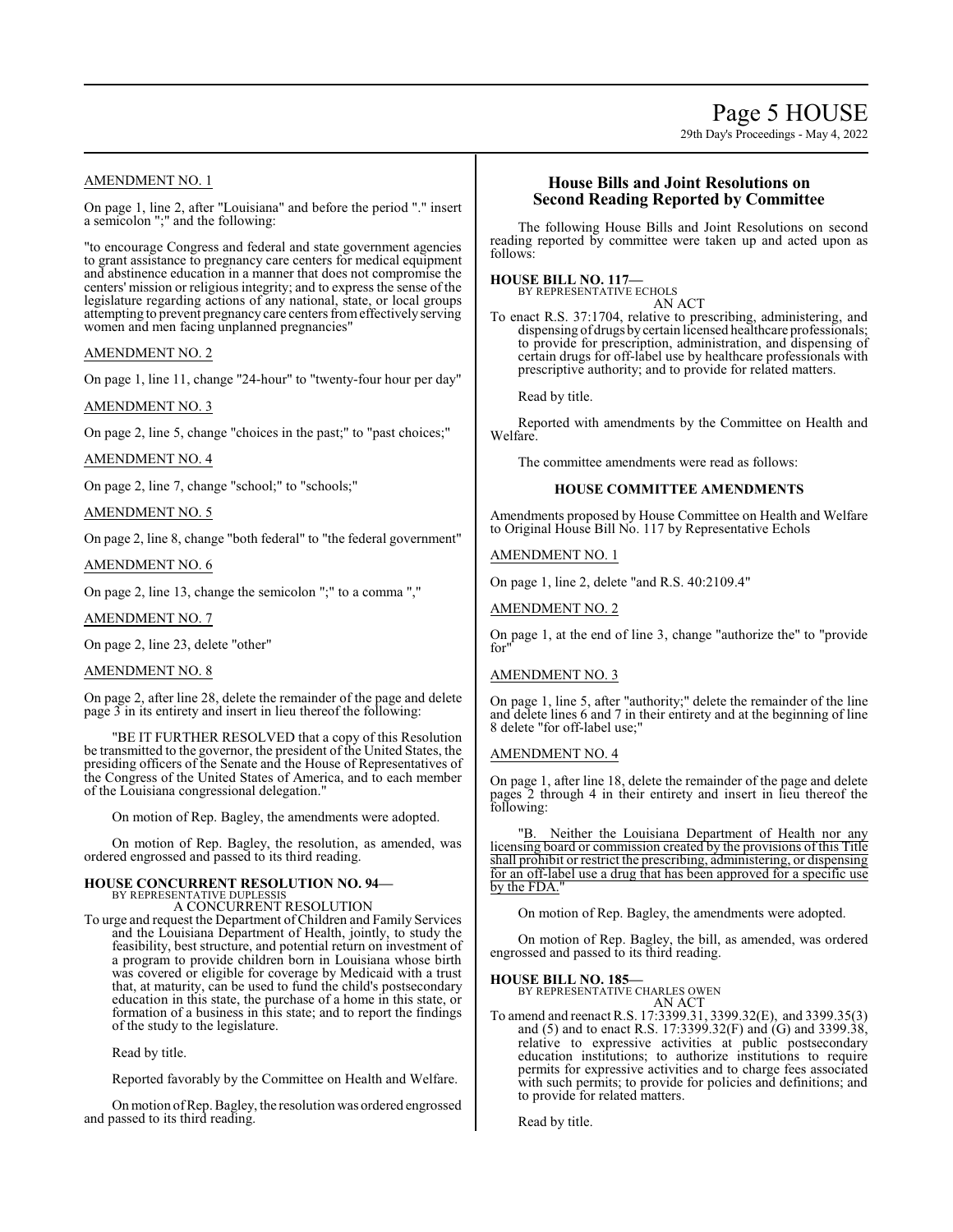## AMENDMENT NO. 1

On page 1, line 2, after "Louisiana" and before the period "." insert a semicolon ";" and the following:

"to encourage Congress and federal and state government agencies to grant assistance to pregnancy care centers for medical equipment and abstinence education in a manner that does not compromise the centers' mission or religious integrity; and to express the sense of the legislature regarding actions of any national, state, or local groups attempting to prevent pregnancycare centers fromeffectively serving women and men facing unplanned pregnancies"

### AMENDMENT NO. 2

On page 1, line 11, change "24-hour" to "twenty-four hour per day"

#### AMENDMENT NO. 3

On page 2, line 5, change "choices in the past;" to "past choices;"

### AMENDMENT NO. 4

On page 2, line 7, change "school;" to "schools;"

### AMENDMENT NO. 5

On page 2, line 8, change "both federal" to "the federal government"

#### AMENDMENT NO. 6

On page 2, line 13, change the semicolon ";" to a comma ","

AMENDMENT NO. 7

On page 2, line 23, delete "other"

#### AMENDMENT NO. 8

On page 2, after line 28, delete the remainder of the page and delete page 3 in its entirety and insert in lieu thereof the following:

"BE IT FURTHER RESOLVED that a copy of this Resolution be transmitted to the governor, the president of the United States, the presiding officers of the Senate and the House of Representatives of the Congress of the United States of America, and to each member of the Louisiana congressional delegation."

On motion of Rep. Bagley, the amendments were adopted.

On motion of Rep. Bagley, the resolution, as amended, was ordered engrossed and passed to its third reading.

#### **HOUSE CONCURRENT RESOLUTION NO. 94—** BY REPRESENTATIVE DUPLESSIS

A CONCURRENT RESOLUTION

To urge and request the Department ofChildren and Family Services and the Louisiana Department of Health, jointly, to study the feasibility, best structure, and potential return on investment of a program to provide children born in Louisiana whose birth was covered or eligible for coverage by Medicaid with a trust that, at maturity, can be used to fund the child's postsecondary education in this state, the purchase of a home in this state, or formation of a business in this state; and to report the findings of the study to the legislature.

Read by title.

Reported favorably by the Committee on Health and Welfare.

Onmotion ofRep. Bagley, the resolution was ordered engrossed and passed to its third reading.

# **House Bills and Joint Resolutions on Second Reading Reported by Committee**

The following House Bills and Joint Resolutions on second reading reported by committee were taken up and acted upon as follows:

#### **HOUSE BILL NO. 117—**

BY REPRESENTATIVE ECHOLS AN ACT

To enact R.S. 37:1704, relative to prescribing, administering, and dispensing of drugs by certain licensed healthcare professionals; to provide for prescription, administration, and dispensing of certain drugs for off-label use by healthcare professionals with prescriptive authority; and to provide for related matters.

Read by title.

Reported with amendments by the Committee on Health and Welfare.

The committee amendments were read as follows:

#### **HOUSE COMMITTEE AMENDMENTS**

Amendments proposed by House Committee on Health and Welfare to Original House Bill No. 117 by Representative Echols

#### AMENDMENT NO. 1

On page 1, line 2, delete "and R.S. 40:2109.4"

AMENDMENT NO. 2

On page 1, at the end of line 3, change "authorize the" to "provide for"

### AMENDMENT NO. 3

On page 1, line 5, after "authority;" delete the remainder of the line and delete lines 6 and 7 in their entirety and at the beginning of line 8 delete "for off-label use;"

### AMENDMENT NO. 4

On page 1, after line 18, delete the remainder of the page and delete pages 2 through 4 in their entirety and insert in lieu thereof the following:

"B. Neither the Louisiana Department of Health nor any licensing board or commission created by the provisions of this Title shall prohibit or restrict the prescribing, administering, or dispensing for an off-label use a drug that has been approved for a specific use by the FDA.

On motion of Rep. Bagley, the amendments were adopted.

On motion of Rep. Bagley, the bill, as amended, was ordered engrossed and passed to its third reading.

**HOUSE BILL NO. 185—**

BY REPRESENTATIVE CHARLES OWEN

# AN ACT

To amend and reenact R.S. 17:3399.31, 3399.32(E), and 3399.35(3) and (5) and to enact R.S. 17:3399.32(F) and (G) and 3399.38, relative to expressive activities at public postsecondary education institutions; to authorize institutions to require permits for expressive activities and to charge fees associated with such permits; to provide for policies and definitions; and to provide for related matters.

Read by title.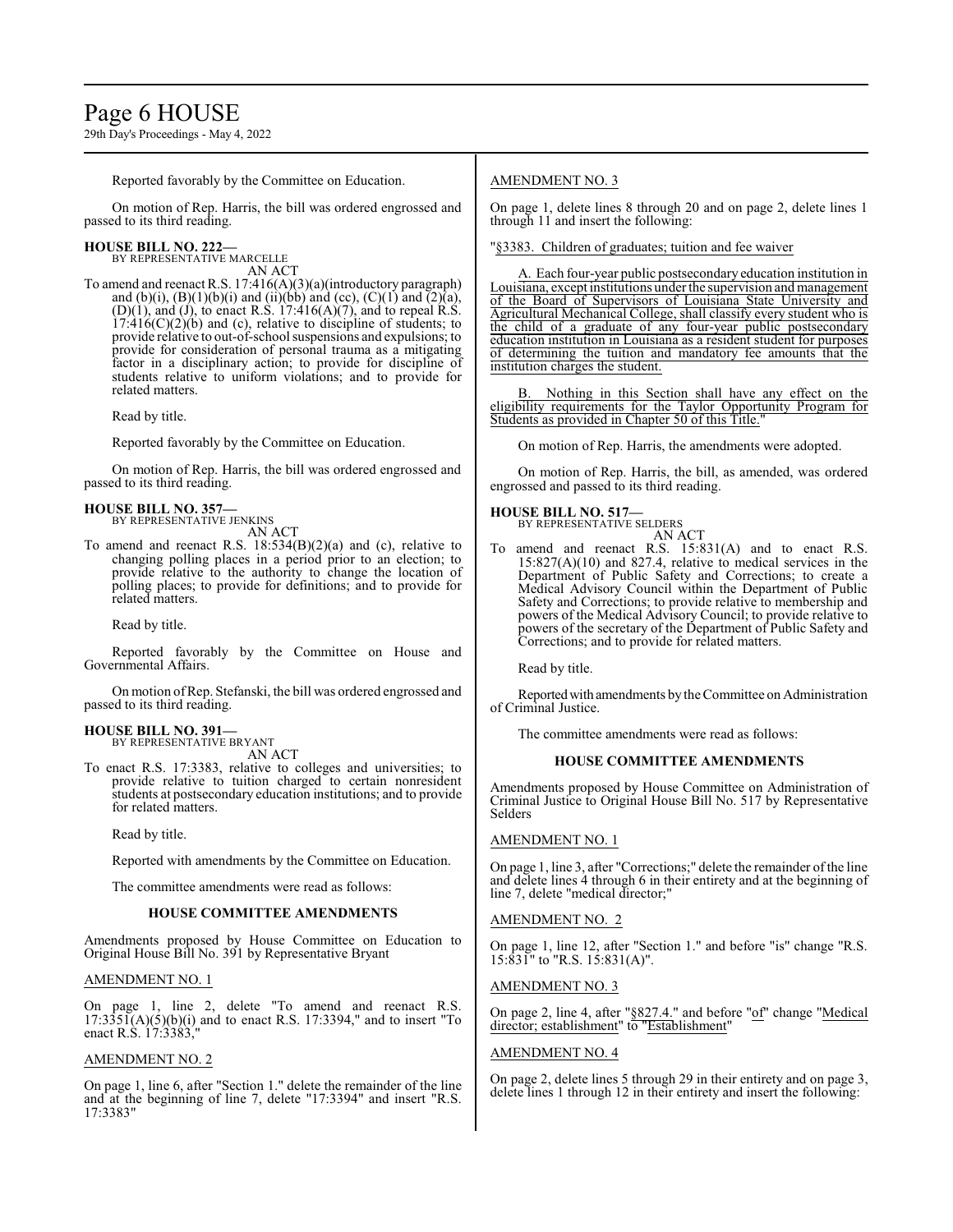# Page 6 HOUSE

29th Day's Proceedings - May 4, 2022

Reported favorably by the Committee on Education.

On motion of Rep. Harris, the bill was ordered engrossed and passed to its third reading.

# **HOUSE BILL NO. 222—**

BY REPRESENTATIVE MARCELLE AN ACT

To amend and reenact R.S. 17:416(A)(3)(a)(introductory paragraph) and (b)(i),  $(B)(1)(b)(i)$  and (ii)(bb) and (cc),  $(C)(1)$  and  $(2)(a)$ ,  $(D)(1)$ , and  $(J)$ , to enact R.S. 17:416 $(A)(7)$ , and to repeal R.S.  $17:416(C)(2)(b)$  and (c), relative to discipline of students; to provide relative to out-of-school suspensions and expulsions; to provide for consideration of personal trauma as a mitigating factor in a disciplinary action; to provide for discipline of students relative to uniform violations; and to provide for related matters.

Read by title.

Reported favorably by the Committee on Education.

On motion of Rep. Harris, the bill was ordered engrossed and passed to its third reading.

#### **HOUSE BILL NO. 357—** BY REPRESENTATIVE JENKINS

AN ACT

To amend and reenact R.S. 18:534(B)(2)(a) and (c), relative to changing polling places in a period prior to an election; to provide relative to the authority to change the location of polling places; to provide for definitions; and to provide for related matters.

Read by title.

Reported favorably by the Committee on House and Governmental Affairs.

On motion ofRep. Stefanski, the bill was ordered engrossed and passed to its third reading.

# **HOUSE BILL NO. 391—**

BY REPRESENTATIVE BRYANT AN ACT

To enact R.S. 17:3383, relative to colleges and universities; to provide relative to tuition charged to certain nonresident students at postsecondary education institutions; and to provide for related matters.

Read by title.

Reported with amendments by the Committee on Education.

The committee amendments were read as follows:

### **HOUSE COMMITTEE AMENDMENTS**

Amendments proposed by House Committee on Education to Original House Bill No. 391 by Representative Bryant

### AMENDMENT NO. 1

On page 1, line 2, delete "To amend and reenact R.S.  $17:335\tilde{1}(A)(5)(b)(i)$  and to enact R.S. 17:3394," and to insert "To enact R.S. 17:3383,

### AMENDMENT NO. 2

On page 1, line 6, after "Section 1." delete the remainder of the line and at the beginning of line 7, delete "17:3394" and insert "R.S. 17:3383"

# AMENDMENT NO. 3

On page 1, delete lines 8 through 20 and on page 2, delete lines 1 through 11 and insert the following:

"§3383. Children of graduates; tuition and fee waiver

A. Each four-year public postsecondary education institution in Louisiana, except institutions under the supervision and management of the Board of Supervisors of Louisiana State University and Agricultural Mechanical College, shall classify every student who is the child of a graduate of any four-year public postsecondary education institution in Louisiana as a resident student for purposes of determining the tuition and mandatory fee amounts that the institution charges the student.

Nothing in this Section shall have any effect on the eligibility requirements for the Taylor Opportunity Program for Students as provided in Chapter 50 of this Title."

On motion of Rep. Harris, the amendments were adopted.

On motion of Rep. Harris, the bill, as amended, was ordered engrossed and passed to its third reading.

# **HOUSE BILL NO. 517—**

BY REPRESENTATIVE SELDERS AN ACT

To amend and reenact R.S. 15:831(A) and to enact R.S. 15:827(A)(10) and 827.4, relative to medical services in the Department of Public Safety and Corrections; to create a Medical Advisory Council within the Department of Public Safety and Corrections; to provide relative to membership and powers of the Medical Advisory Council; to provide relative to powers of the secretary of the Department of Public Safety and Corrections; and to provide for related matters.

Read by title.

Reported with amendments by the Committee on Administration of Criminal Justice.

The committee amendments were read as follows:

### **HOUSE COMMITTEE AMENDMENTS**

Amendments proposed by House Committee on Administration of Criminal Justice to Original House Bill No. 517 by Representative Selders

### AMENDMENT NO. 1

On page 1, line 3, after "Corrections;" delete the remainder ofthe line and delete lines 4 through 6 in their entirety and at the beginning of line 7, delete "medical director;"

### AMENDMENT NO. 2

On page 1, line 12, after "Section 1." and before "is" change "R.S. 15:831" to "R.S. 15:831(A)".

### AMENDMENT NO. 3

On page 2, line 4, after "§827.4." and before "of" change "Medical director; establishment" to "Establishment"

### AMENDMENT NO. 4

On page 2, delete lines 5 through 29 in their entirety and on page 3, delete lines 1 through 12 in their entirety and insert the following: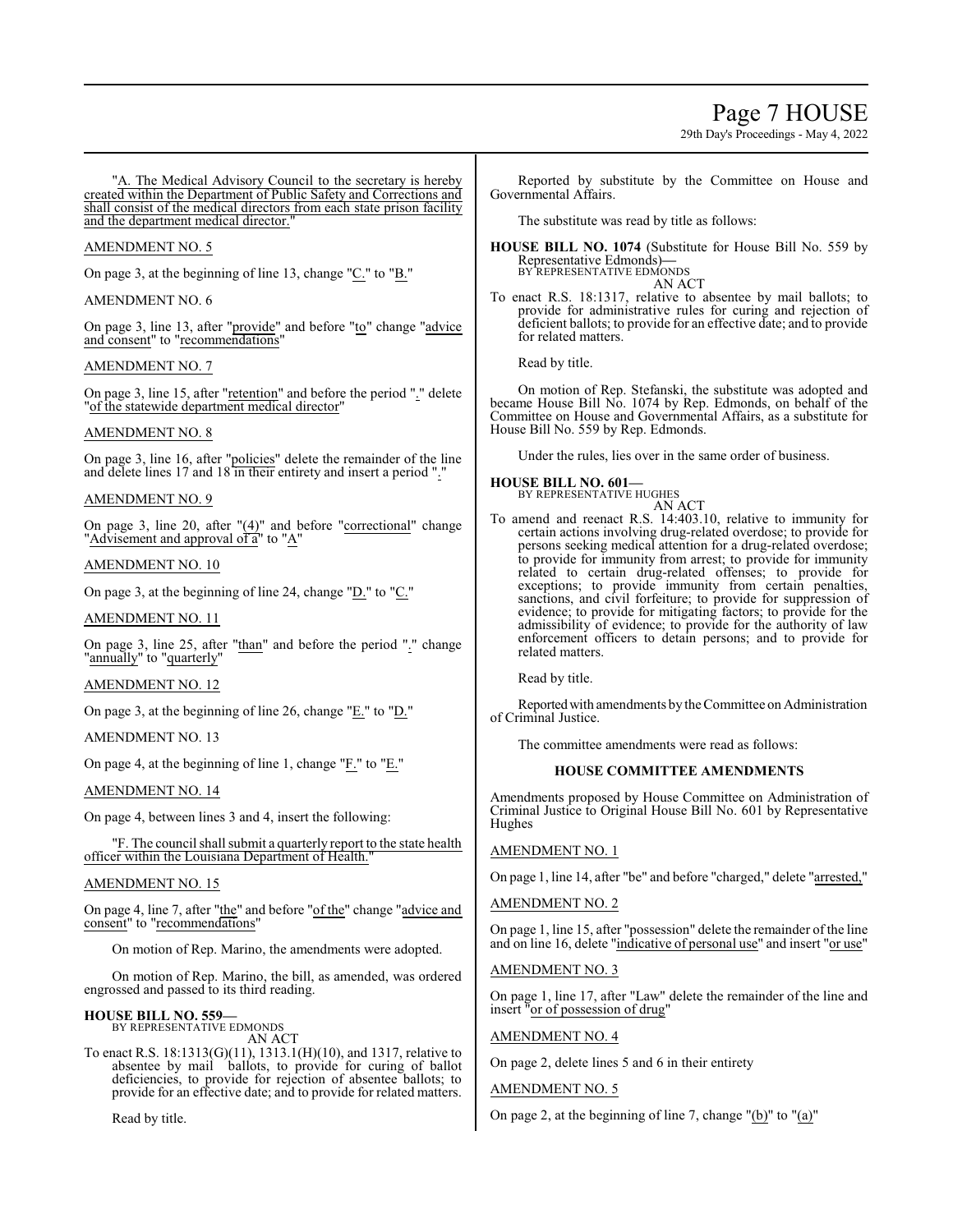# Page 7 HOUSE

29th Day's Proceedings - May 4, 2022

"A. The Medical Advisory Council to the secretary is hereby created within the Department of Public Safety and Corrections and shall consist of the medical directors from each state prison facility and the department medical director."

### AMENDMENT NO. 5

On page 3, at the beginning of line 13, change " $C$ ." to " $B$ ."

#### AMENDMENT NO. 6

On page 3, line 13, after "provide" and before "to" change "advice and consent" to "recommendations"

#### AMENDMENT NO. 7

On page 3, line 15, after "retention" and before the period "." delete "of the statewide department medical director"

## AMENDMENT NO. 8

On page 3, line 16, after "policies" delete the remainder of the line and delete lines 17 and 18 in their entirety and insert a period "."

#### AMENDMENT NO. 9

On page 3, line 20, after "(4)" and before "correctional" change "**Advisement and approval of a**" to "A"

### AMENDMENT NO. 10

On page 3, at the beginning of line 24, change "D." to "C."

#### AMENDMENT NO. 11

On page 3, line 25, after "than" and before the period "." change "annually" to "quarterly"

### AMENDMENT NO. 12

On page 3, at the beginning of line 26, change "E." to "D."

### AMENDMENT NO. 13

On page 4, at the beginning of line 1, change "F." to "E."

### AMENDMENT NO. 14

On page 4, between lines 3 and 4, insert the following:

"F. The council shall submit a quarterly report to the state health officer within the Louisiana Department of Health."

#### AMENDMENT NO. 15

On page 4, line 7, after "the" and before "of the" change "advice and consent" to "recommendations"

On motion of Rep. Marino, the amendments were adopted.

On motion of Rep. Marino, the bill, as amended, was ordered engrossed and passed to its third reading.

# **HOUSE BILL NO. 559—** BY REPRESENTATIVE EDMONDS

AN ACT

To enact R.S. 18:1313(G)(11), 1313.1(H)(10), and 1317, relative to absentee by mail ballots, to provide for curing of ballot deficiencies, to provide for rejection of absentee ballots; to provide for an effective date; and to provide for related matters.

Read by title.

Reported by substitute by the Committee on House and Governmental Affairs.

The substitute was read by title as follows:

**HOUSE BILL NO. 1074** (Substitute for House Bill No. 559 by Representative Edmonds)**—** BY REPRESENTATIVE EDMONDS

AN ACT

To enact R.S. 18:1317, relative to absentee by mail ballots; to provide for administrative rules for curing and rejection of deficient ballots; to provide for an effective date; and to provide for related matters.

Read by title.

On motion of Rep. Stefanski, the substitute was adopted and became House Bill No. 1074 by Rep. Edmonds, on behalf of the Committee on House and Governmental Affairs, as a substitute for House Bill No. 559 by Rep. Edmonds.

Under the rules, lies over in the same order of business.

#### **HOUSE BILL NO. 601—** BY REPRESENTATIVE HUGHES

AN ACT

To amend and reenact R.S. 14:403.10, relative to immunity for certain actions involving drug-related overdose; to provide for persons seeking medical attention for a drug-related overdose; to provide for immunity from arrest; to provide for immunity related to certain drug-related offenses; to provide for exceptions; to provide immunity from certain penalties, sanctions, and civil forfeiture; to provide for suppression of evidence; to provide for mitigating factors; to provide for the admissibility of evidence; to provide for the authority of law enforcement officers to detain persons; and to provide for related matters.

Read by title.

Reported with amendments by the Committee on Administration of Criminal Justice.

The committee amendments were read as follows:

### **HOUSE COMMITTEE AMENDMENTS**

Amendments proposed by House Committee on Administration of Criminal Justice to Original House Bill No. 601 by Representative Hughes

### AMENDMENT NO. 1

On page 1, line 14, after "be" and before "charged," delete "arrested,"

### AMENDMENT NO. 2

On page 1, line 15, after "possession" delete the remainder of the line and on line 16, delete "indicative of personal use" and insert "or use"

#### AMENDMENT NO. 3

On page 1, line 17, after "Law" delete the remainder of the line and insert "or of possession of drug"

# AMENDMENT NO. 4

On page 2, delete lines 5 and 6 in their entirety

# AMENDMENT NO. 5

On page 2, at the beginning of line 7, change "(b)" to "(a)"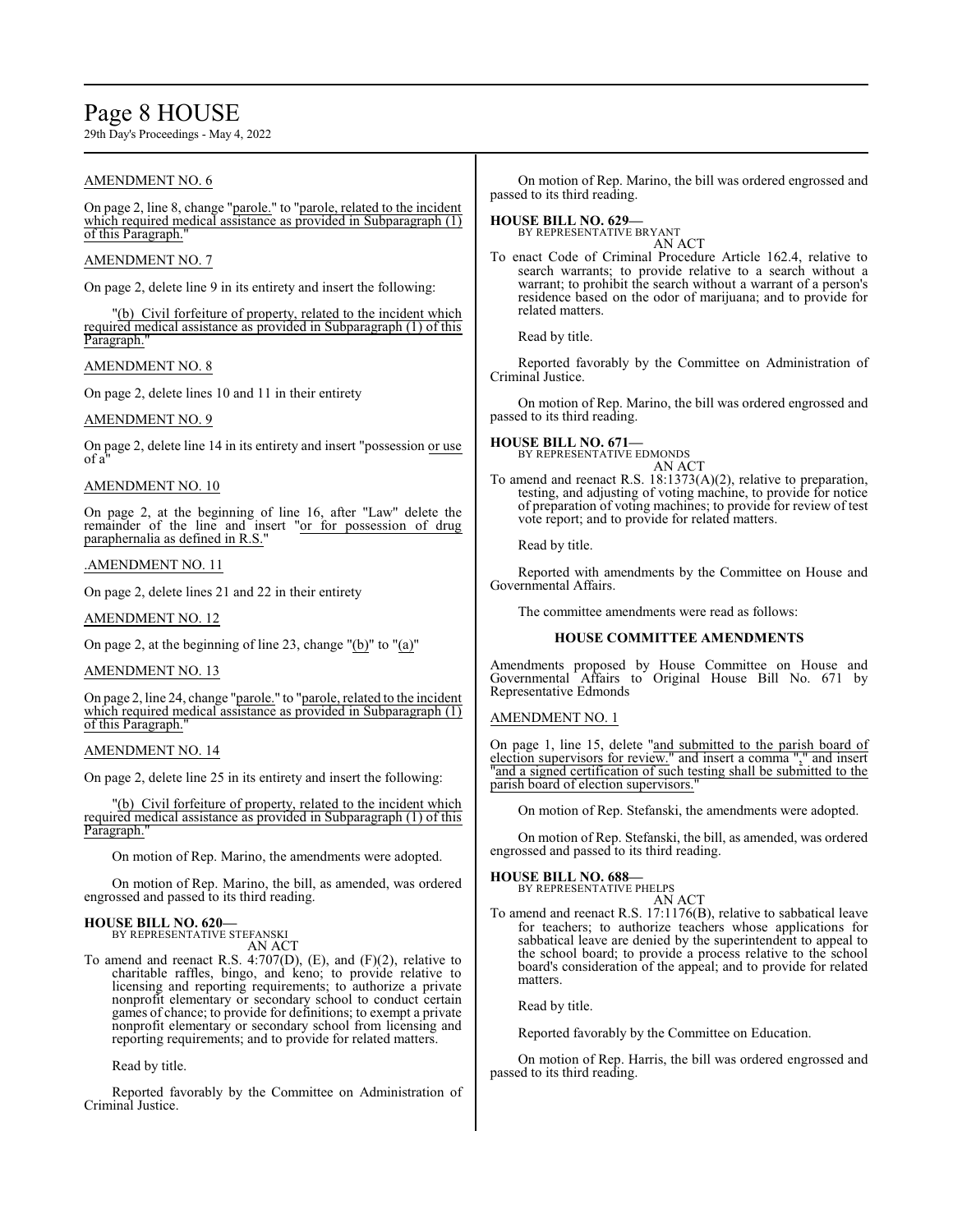# Page 8 HOUSE

29th Day's Proceedings - May 4, 2022

## AMENDMENT NO. 6

On page 2, line 8, change "parole." to "parole, related to the incident which required medical assistance as provided in Subparagraph (1) of this Paragraph.

#### AMENDMENT NO. 7

On page 2, delete line 9 in its entirety and insert the following:

"(b) Civil forfeiture of property, related to the incident which required medical assistance as provided in Subparagraph (1) of this Paragraph.

#### AMENDMENT NO. 8

On page 2, delete lines 10 and 11 in their entirety

## AMENDMENT NO. 9

On page 2, delete line 14 in its entirety and insert "possession or use of a"

### AMENDMENT NO. 10

On page 2, at the beginning of line 16, after "Law" delete the remainder of the line and insert "or for possession of drug paraphernalia as defined in R.S."

#### .AMENDMENT NO. 11

On page 2, delete lines 21 and 22 in their entirety

#### AMENDMENT NO. 12

On page 2, at the beginning of line 23, change "(b)" to "(a)"

#### AMENDMENT NO. 13

On page 2, line 24, change "parole." to "parole, related to the incident which required medical assistance as provided in Subparagraph (1) of this Paragraph.

#### AMENDMENT NO. 14

On page 2, delete line 25 in its entirety and insert the following:

"(b) Civil forfeiture of property, related to the incident which required medical assistance as provided in Subparagraph (1) of this Paragraph.

On motion of Rep. Marino, the amendments were adopted.

On motion of Rep. Marino, the bill, as amended, was ordered engrossed and passed to its third reading.

#### **HOUSE BILL NO. 620—** BY REPRESENTATIVE STEFANSKI

AN ACT

To amend and reenact R.S. 4:707(D), (E), and (F)(2), relative to charitable raffles, bingo, and keno; to provide relative to licensing and reporting requirements; to authorize a private nonprofit elementary or secondary school to conduct certain games of chance; to provide for definitions; to exempt a private nonprofit elementary or secondary school from licensing and reporting requirements; and to provide for related matters.

Read by title.

Reported favorably by the Committee on Administration of Criminal Justice.

On motion of Rep. Marino, the bill was ordered engrossed and passed to its third reading.

# **HOUSE BILL NO. 629—**

BY REPRESENTATIVE BRYANT AN ACT

To enact Code of Criminal Procedure Article 162.4, relative to search warrants; to provide relative to a search without a warrant; to prohibit the search without a warrant of a person's residence based on the odor of marijuana; and to provide for related matters.

Read by title.

Reported favorably by the Committee on Administration of Criminal Justice.

On motion of Rep. Marino, the bill was ordered engrossed and passed to its third reading.

**HOUSE BILL NO. 671—** BY REPRESENTATIVE EDMONDS

AN ACT To amend and reenact R.S. 18:1373(A)(2), relative to preparation, testing, and adjusting of voting machine, to provide for notice of preparation of voting machines; to provide for review of test vote report; and to provide for related matters.

Read by title.

Reported with amendments by the Committee on House and Governmental Affairs.

The committee amendments were read as follows:

#### **HOUSE COMMITTEE AMENDMENTS**

Amendments proposed by House Committee on House and Governmental Affairs to Original House Bill No. 671 by Representative Edmonds

#### AMENDMENT NO. 1

On page 1, line 15, delete "and submitted to the parish board of election supervisors for review." and insert a comma "," and insert "and a signed certification of such testing shall be submitted to the parish board of election supervisors.

On motion of Rep. Stefanski, the amendments were adopted.

On motion of Rep. Stefanski, the bill, as amended, was ordered engrossed and passed to its third reading.

#### **HOUSE BILL NO. 688—**

BY REPRESENTATIVE PHELPS

AN ACT To amend and reenact R.S. 17:1176(B), relative to sabbatical leave for teachers; to authorize teachers whose applications for sabbatical leave are denied by the superintendent to appeal to the school board; to provide a process relative to the school board's consideration of the appeal; and to provide for related matters.

Read by title.

Reported favorably by the Committee on Education.

On motion of Rep. Harris, the bill was ordered engrossed and passed to its third reading.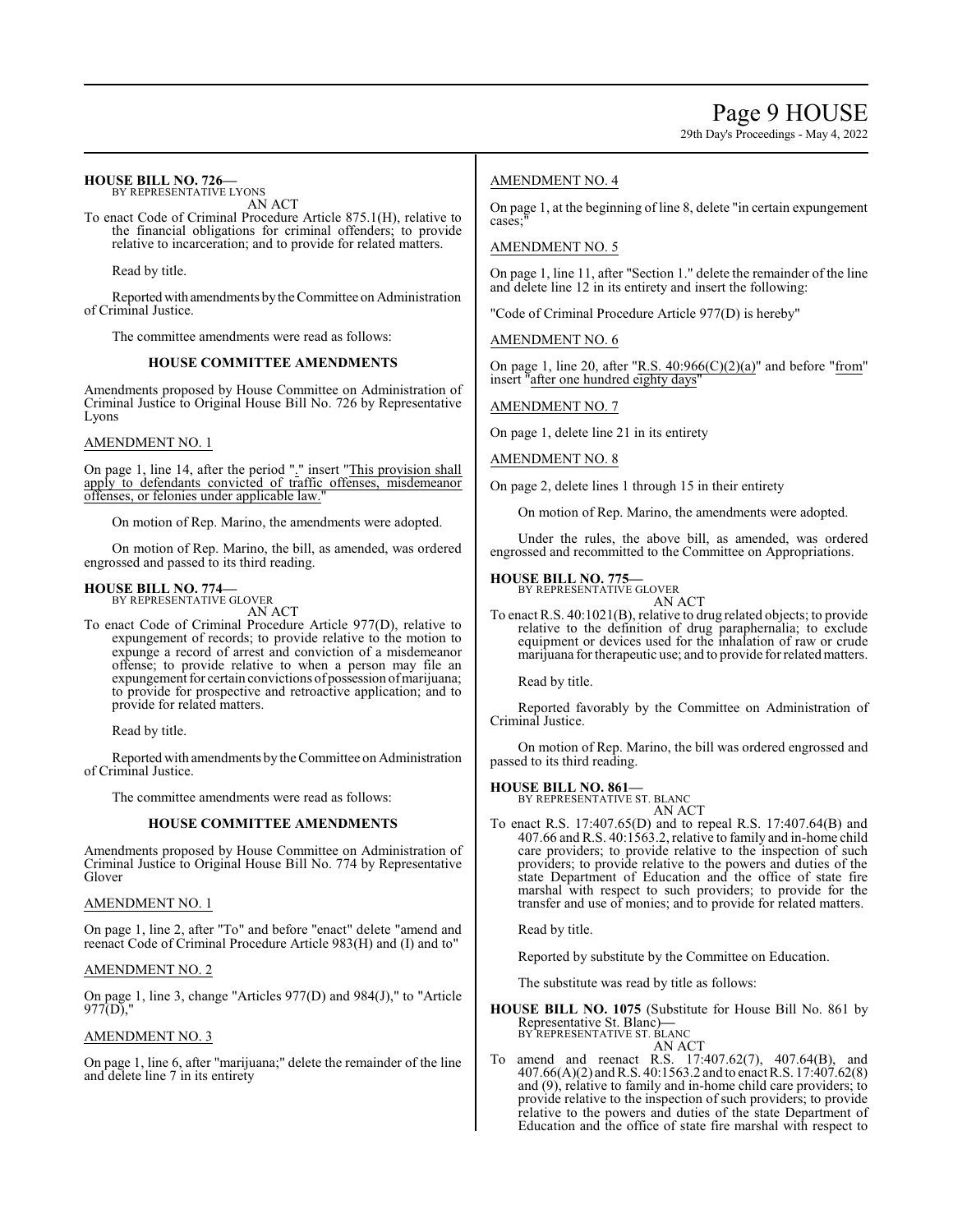# 29th Day's Proceedings - May 4, 2022

#### **HOUSE BILL NO. 726—** BY REPRESENTATIVE LYONS

AN ACT

To enact Code of Criminal Procedure Article 875.1(H), relative to the financial obligations for criminal offenders; to provide relative to incarceration; and to provide for related matters.

Read by title.

Reported with amendments by the Committee on Administration of Criminal Justice.

The committee amendments were read as follows:

#### **HOUSE COMMITTEE AMENDMENTS**

Amendments proposed by House Committee on Administration of Criminal Justice to Original House Bill No. 726 by Representative Lyons

#### AMENDMENT NO. 1

On page 1, line 14, after the period "." insert "This provision shall apply to defendants convicted of traffic offenses, misdemeanor offenses, or felonies under applicable law."

On motion of Rep. Marino, the amendments were adopted.

On motion of Rep. Marino, the bill, as amended, was ordered engrossed and passed to its third reading.

#### **HOUSE BILL NO. 774—**

BY REPRESENTATIVE GLOVER AN ACT

To enact Code of Criminal Procedure Article 977(D), relative to expungement of records; to provide relative to the motion to expunge a record of arrest and conviction of a misdemeanor offense; to provide relative to when a person may file an expungement for certain convictions of possession of marijuana; to provide for prospective and retroactive application; and to provide for related matters.

Read by title.

Reported with amendments by the Committee on Administration of Criminal Justice.

The committee amendments were read as follows:

#### **HOUSE COMMITTEE AMENDMENTS**

Amendments proposed by House Committee on Administration of Criminal Justice to Original House Bill No. 774 by Representative Glover

#### AMENDMENT NO. 1

On page 1, line 2, after "To" and before "enact" delete "amend and reenact Code of Criminal Procedure Article 983(H) and (I) and to"

#### AMENDMENT NO. 2

On page 1, line 3, change "Articles 977(D) and 984(J)," to "Article 977(D),"

#### AMENDMENT NO. 3

On page 1, line 6, after "marijuana;" delete the remainder of the line and delete line 7 in its entirety

#### AMENDMENT NO. 4

On page 1, at the beginning of line 8, delete "in certain expungement cases:

#### AMENDMENT NO. 5

On page 1, line 11, after "Section 1." delete the remainder of the line and delete line 12 in its entirety and insert the following:

"Code of Criminal Procedure Article 977(D) is hereby"

AMENDMENT NO. 6

On page 1, line 20, after "R.S.  $40:966(C)(2)(a)$ " and before "from" insert "after one hundred eighty days"

#### AMENDMENT NO. 7

On page 1, delete line 21 in its entirety

#### AMENDMENT NO. 8

On page 2, delete lines 1 through 15 in their entirety

On motion of Rep. Marino, the amendments were adopted.

Under the rules, the above bill, as amended, was ordered engrossed and recommitted to the Committee on Appropriations.

# **HOUSE BILL NO. 775—**

BY REPRESENTATIVE GLOVER AN ACT

To enact R.S. 40:1021(B), relative to drug related objects; to provide relative to the definition of drug paraphernalia; to exclude equipment or devices used for the inhalation of raw or crude marijuana for therapeutic use; and to provide for related matters.

Read by title.

Reported favorably by the Committee on Administration of Criminal Justice.

On motion of Rep. Marino, the bill was ordered engrossed and passed to its third reading.

#### **HOUSE BILL NO. 861—**

BY REPRESENTATIVE ST. BLANC AN ACT

To enact R.S. 17:407.65(D) and to repeal R.S. 17:407.64(B) and 407.66 and R.S. 40:1563.2, relative to family and in-home child care providers; to provide relative to the inspection of such providers; to provide relative to the powers and duties of the state Department of Education and the office of state fire marshal with respect to such providers; to provide for the transfer and use of monies; and to provide for related matters.

Read by title.

Reported by substitute by the Committee on Education.

The substitute was read by title as follows:

**HOUSE BILL NO. 1075** (Substitute for House Bill No. 861 by Representative St. Blanc)**—** BY REPRESENTATIVE ST. BLANC

AN ACT

To amend and reenact R.S. 17:407.62(7), 407.64(B), and 407.66(A)(2) andR.S. 40:1563.2 and to enact R.S. 17:407.62(8) and (9), relative to family and in-home child care providers; to provide relative to the inspection of such providers; to provide relative to the powers and duties of the state Department of Education and the office of state fire marshal with respect to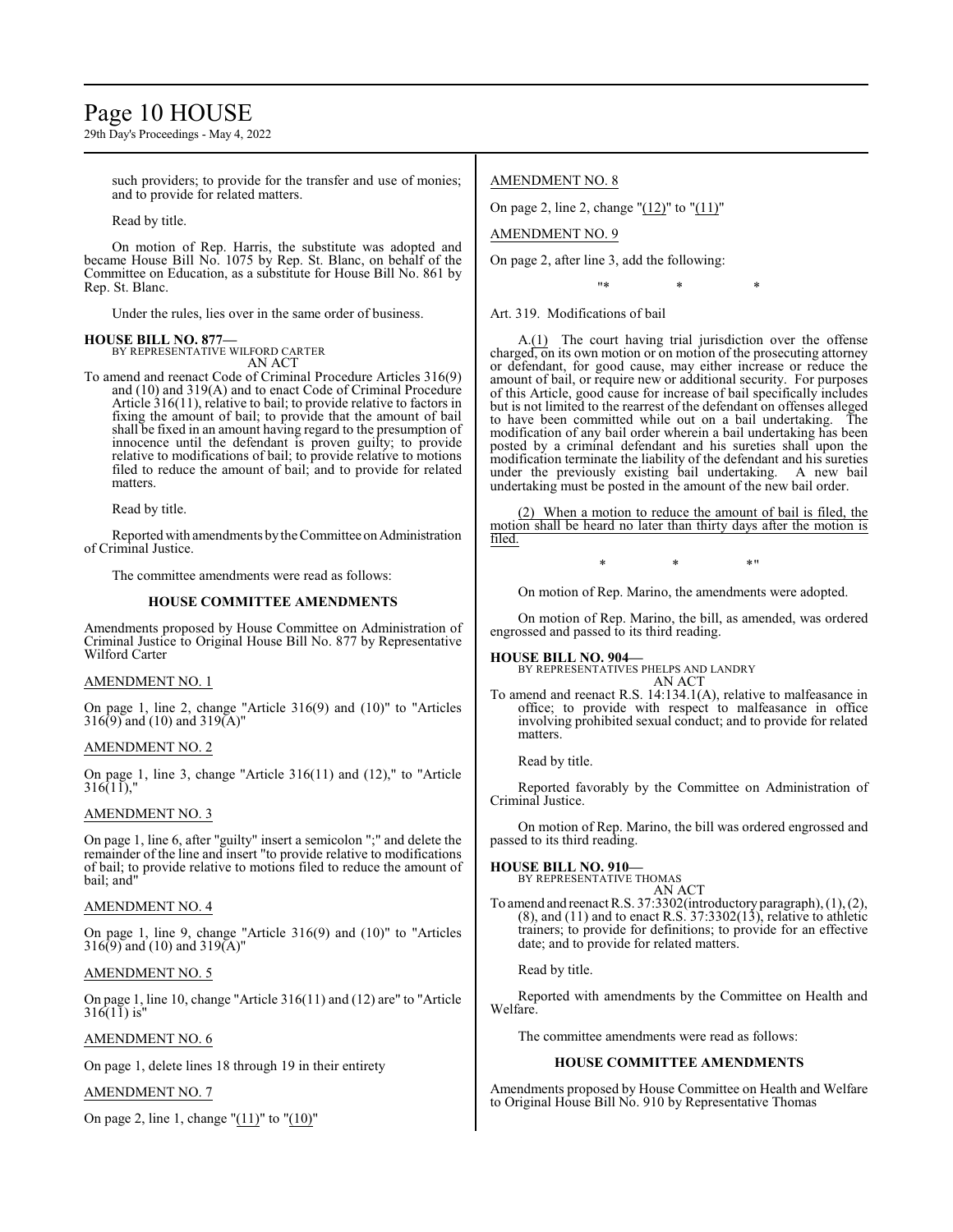# Page 10 HOUSE

29th Day's Proceedings - May 4, 2022

such providers; to provide for the transfer and use of monies; and to provide for related matters.

Read by title.

On motion of Rep. Harris, the substitute was adopted and became House Bill No. 1075 by Rep. St. Blanc, on behalf of the Committee on Education, as a substitute for House Bill No. 861 by Rep. St. Blanc.

Under the rules, lies over in the same order of business.

#### **HOUSE BILL NO. 877—**

BY REPRESENTATIVE WILFORD CARTER AN ACT

To amend and reenact Code of Criminal Procedure Articles 316(9) and (10) and 319(A) and to enact Code of Criminal Procedure Article 316(11), relative to bail; to provide relative to factors in fixing the amount of bail; to provide that the amount of bail shall be fixed in an amount having regard to the presumption of innocence until the defendant is proven guilty; to provide relative to modifications of bail; to provide relative to motions filed to reduce the amount of bail; and to provide for related matters.

Read by title.

Reported with amendments by the Committee on Administration of Criminal Justice.

The committee amendments were read as follows:

#### **HOUSE COMMITTEE AMENDMENTS**

Amendments proposed by House Committee on Administration of Criminal Justice to Original House Bill No. 877 by Representative Wilford Carter

#### AMENDMENT NO. 1

On page 1, line 2, change "Article 316(9) and (10)" to "Articles 316(9) and (10) and 319(A)"

#### AMENDMENT NO. 2

On page 1, line 3, change "Article 316(11) and (12)," to "Article  $316(11)$ ,"

### AMENDMENT NO. 3

On page 1, line 6, after "guilty" insert a semicolon ";" and delete the remainder of the line and insert "to provide relative to modifications of bail; to provide relative to motions filed to reduce the amount of bail; and"

#### AMENDMENT NO. 4

On page 1, line 9, change "Article 316(9) and (10)" to "Articles  $316(9)$  and  $(10)$  and  $319(A)$ "

#### AMENDMENT NO. 5

On page 1, line 10, change "Article 316(11) and (12) are" to "Article 316(11) is"

### AMENDMENT NO. 6

On page 1, delete lines 18 through 19 in their entirety

### AMENDMENT NO. 7

On page 2, line 1, change " $(11)$ " to " $(10)$ "

## AMENDMENT NO. 8

On page 2, line 2, change "(12)" to "(11)"

AMENDMENT NO. 9

On page 2, after line 3, add the following:

"\* \* \*

Art. 319. Modifications of bail

A.(1) The court having trial jurisdiction over the offense charged, on its own motion or on motion of the prosecuting attorney or defendant, for good cause, may either increase or reduce the amount of bail, or require new or additional security. For purposes of this Article, good cause for increase of bail specifically includes but is not limited to the rearrest of the defendant on offenses alleged to have been committed while out on a bail undertaking. The to have been committed while out on a bail undertaking. modification of any bail order wherein a bail undertaking has been posted by a criminal defendant and his sureties shall upon the modification terminate the liability of the defendant and his sureties under the previously existing bail undertaking. A new bail under the previously existing bail undertaking. A new bail undertaking must be posted in the amount of the new bail order.

(2) When a motion to reduce the amount of bail is filed, the motion shall be heard no later than thirty days after the motion is filed.

 $*$  \*  $*$  \*

On motion of Rep. Marino, the amendments were adopted.

On motion of Rep. Marino, the bill, as amended, was ordered engrossed and passed to its third reading.

### **HOUSE BILL NO. 904—**

BY REPRESENTATIVES PHELPS AND LANDRY AN ACT

- To amend and reenact R.S. 14:134.1(A), relative to malfeasance in office; to provide with respect to malfeasance in office involving prohibited sexual conduct; and to provide for related matters.
	- Read by title.

Reported favorably by the Committee on Administration of Criminal Justice.

On motion of Rep. Marino, the bill was ordered engrossed and passed to its third reading.

**HOUSE BILL NO. 910—**

BY REPRESENTATIVE THOMAS AN ACT

To amend and reenact R.S. 37:3302(introductory paragraph), (1), (2),  $(8)$ , and  $(11)$  and to enact R.S.  $37:3302(13)$ , relative to athletic trainers; to provide for definitions; to provide for an effective date; and to provide for related matters.

Read by title.

Reported with amendments by the Committee on Health and Welfare.

The committee amendments were read as follows:

#### **HOUSE COMMITTEE AMENDMENTS**

Amendments proposed by House Committee on Health and Welfare to Original House Bill No. 910 by Representative Thomas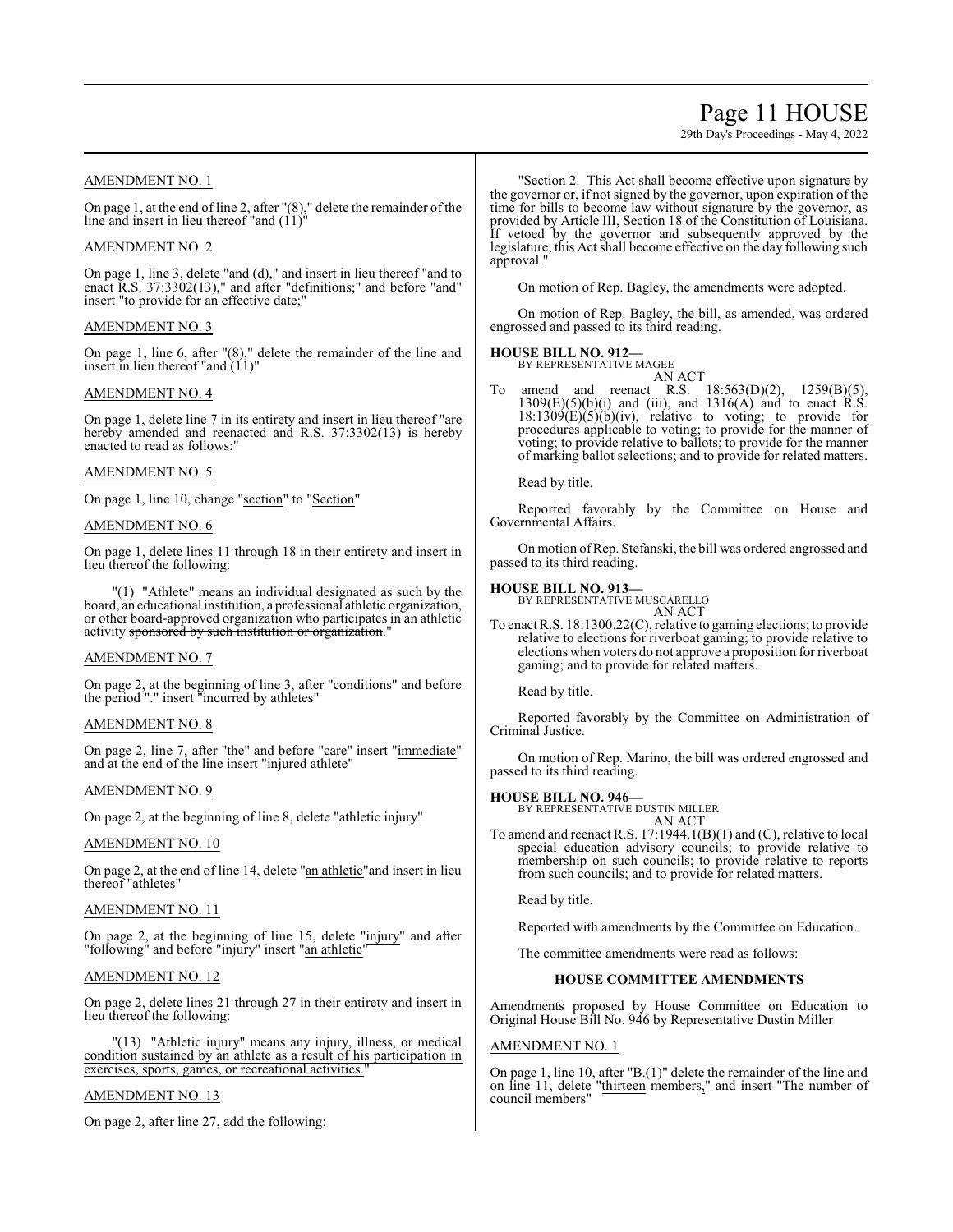# Page 11 HOUSE

29th Day's Proceedings - May 4, 2022

# AMENDMENT NO. 1

On page 1, at the end of line 2, after "(8)," delete the remainder of the line and insert in lieu thereof "and (11)"

### AMENDMENT NO. 2

On page 1, line 3, delete "and (d)," and insert in lieu thereof "and to enact R.S. 37:3302(13)," and after "definitions;" and before "and" insert "to provide for an effective date;"

### AMENDMENT NO. 3

On page 1, line 6, after "(8)," delete the remainder of the line and insert in lieu thereof "and  $(11)$ "

### AMENDMENT NO. 4

On page 1, delete line 7 in its entirety and insert in lieu thereof "are hereby amended and reenacted and R.S. 37:3302(13) is hereby enacted to read as follows:"

### AMENDMENT NO. 5

On page 1, line 10, change "section" to "Section"

### AMENDMENT NO. 6

On page 1, delete lines 11 through 18 in their entirety and insert in lieu thereof the following:

"(1) "Athlete" means an individual designated as such by the board, an educational institution, a professional athletic organization, or other board-approved organization who participates in an athletic activity sponsored by such institution or organization.

### AMENDMENT NO. 7

On page 2, at the beginning of line 3, after "conditions" and before the period "." insert "incurred by athletes"

### AMENDMENT NO. 8

On page 2, line 7, after "the" and before "care" insert "immediate" and at the end of the line insert "injured athlete"

### AMENDMENT NO. 9

On page 2, at the beginning of line 8, delete "athletic injury"

### AMENDMENT NO. 10

On page 2, at the end of line 14, delete "an athletic" and insert in lieu thereof "athletes"

### AMENDMENT NO. 11

On page 2, at the beginning of line 15, delete "injury" and after "following" and before "injury" insert "an athletic"

## AMENDMENT NO. 12

On page 2, delete lines 21 through 27 in their entirety and insert in lieu thereof the following:

"(13) "Athletic injury" means any injury, illness, or medical condition sustained by an athlete as a result of his participation in exercises, sports, games, or recreational activities.

# AMENDMENT NO. 13

On page 2, after line 27, add the following:

"Section 2. This Act shall become effective upon signature by the governor or, if not signed by the governor, upon expiration of the time for bills to become law without signature by the governor, as provided by Article III, Section 18 of the Constitution of Louisiana. If vetoed by the governor and subsequently approved by the legislature, this Act shall become effective on the day following such approval."

On motion of Rep. Bagley, the amendments were adopted.

On motion of Rep. Bagley, the bill, as amended, was ordered engrossed and passed to its third reading.

# **HOUSE BILL NO. 912—**

BY REPRESENTATIVE MAGEE AN ACT

amend and reenact R.S.  $18:563(D)(2)$ ,  $1259(B)(5)$ ,  $1309(E)(5)(b)(i)$  and (iii), and  $1316(A)$  and to enact R.S.  $18:1309(E)(5)(b)(iv)$ , relative to voting; to provide for procedures applicable to voting; to provide for the manner of voting; to provide relative to ballots; to provide for the manner of marking ballot selections; and to provide for related matters.

Read by title.

Reported favorably by the Committee on House and Governmental Affairs.

On motion ofRep. Stefanski, the bill was ordered engrossed and passed to its third reading.

### **HOUSE BILL NO. 913—**

BY REPRESENTATIVE MUSCARELLO AN ACT

To enact R.S. 18:1300.22(C), relative to gaming elections; to provide relative to elections for riverboat gaming; to provide relative to elections when voters do not approve a proposition for riverboat gaming; and to provide for related matters.

Read by title.

Reported favorably by the Committee on Administration of Criminal Justice.

On motion of Rep. Marino, the bill was ordered engrossed and passed to its third reading.

**HOUSE BILL NO. 946—** BY REPRESENTATIVE DUSTIN MILLER

AN ACT To amend and reenact R.S. 17:1944.1(B)(1) and (C), relative to local special education advisory councils; to provide relative to membership on such councils; to provide relative to reports from such councils; and to provide for related matters.

Read by title.

Reported with amendments by the Committee on Education.

The committee amendments were read as follows:

### **HOUSE COMMITTEE AMENDMENTS**

Amendments proposed by House Committee on Education to Original House Bill No. 946 by Representative Dustin Miller

### AMENDMENT NO. 1

On page 1, line 10, after "B.(1)" delete the remainder of the line and on line 11, delete "thirteen members," and insert "The number of council members"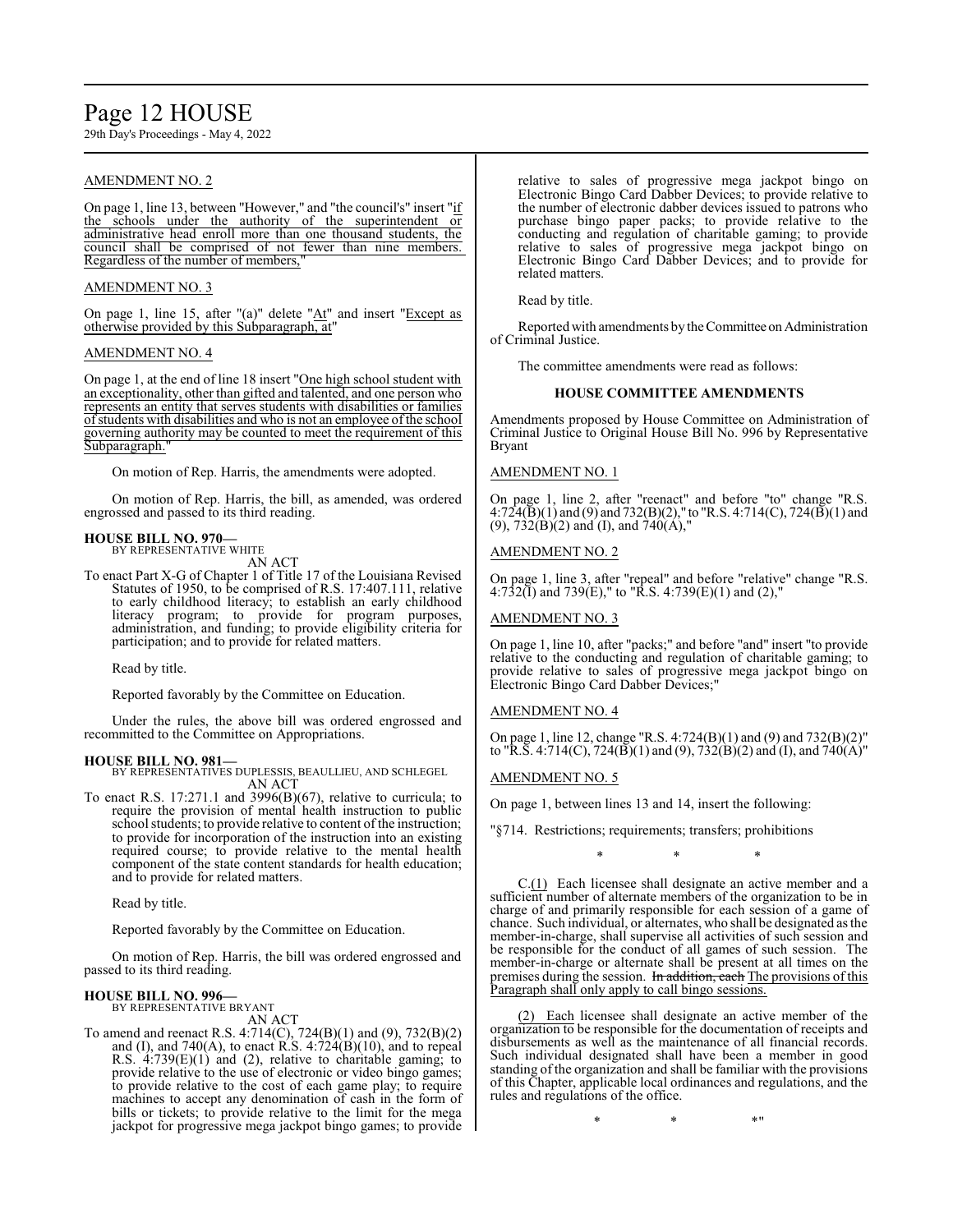# Page 12 HOUSE

29th Day's Proceedings - May 4, 2022

# AMENDMENT NO. 2

On page 1, line 13, between "However," and "the council's" insert "if the schools under the authority of the superintendent or administrative head enroll more than one thousand students, the council shall be comprised of not fewer than nine members. Regardless of the number of members,

#### AMENDMENT NO. 3

On page 1, line 15, after "(a)" delete " $At$ " and insert "Except as otherwise provided by this Subparagraph, at"

### AMENDMENT NO. 4

On page 1, at the end of line 18 insert "One high school student with an exceptionality, other than gifted and talented, and one person who represents an entity that serves students with disabilities or families of students with disabilities and who is not an employee of the school governing authority may be counted to meet the requirement of this Subparagraph."

On motion of Rep. Harris, the amendments were adopted.

On motion of Rep. Harris, the bill, as amended, was ordered engrossed and passed to its third reading.

#### **HOUSE BILL NO. 970—** BY REPRESENTATIVE WHITE

AN ACT

To enact Part X-G of Chapter 1 of Title 17 of the Louisiana Revised Statutes of 1950, to be comprised of R.S. 17:407.111, relative to early childhood literacy; to establish an early childhood literacy program; to provide for program purposes, administration, and funding; to provide eligibility criteria for participation; and to provide for related matters.

Read by title.

Reported favorably by the Committee on Education.

Under the rules, the above bill was ordered engrossed and recommitted to the Committee on Appropriations.

#### **HOUSE BILL NO. 981—**

BY REPRESENTATIVES DUPLESSIS, BEAULLIEU, AND SCHLEGEL AN ACT

To enact R.S. 17:271.1 and 3996(B)(67), relative to curricula; to require the provision of mental health instruction to public school students; to provide relative to content of the instruction; to provide for incorporation of the instruction into an existing required course; to provide relative to the mental health component of the state content standards for health education; and to provide for related matters.

Read by title.

Reported favorably by the Committee on Education.

On motion of Rep. Harris, the bill was ordered engrossed and passed to its third reading.

### **HOUSE BILL NO. 996—**

BY REPRESENTATIVE BRYANT AN ACT

To amend and reenact R.S. 4:714(C), 724(B)(1) and (9), 732(B)(2) and (I), and 740(A), to enact R.S.  $4:724(B)(10)$ , and to repeal R.S. 4:739(E)(1) and (2), relative to charitable gaming; to provide relative to the use of electronic or video bingo games; to provide relative to the cost of each game play; to require machines to accept any denomination of cash in the form of bills or tickets; to provide relative to the limit for the mega jackpot for progressive mega jackpot bingo games; to provide

relative to sales of progressive mega jackpot bingo on Electronic Bingo Card Dabber Devices; to provide relative to the number of electronic dabber devices issued to patrons who purchase bingo paper packs; to provide relative to the conducting and regulation of charitable gaming; to provide relative to sales of progressive mega jackpot bingo on Electronic Bingo Card Dabber Devices; and to provide for related matters.

Read by title.

Reported with amendments by the Committee on Administration of Criminal Justice.

The committee amendments were read as follows:

#### **HOUSE COMMITTEE AMENDMENTS**

Amendments proposed by House Committee on Administration of Criminal Justice to Original House Bill No. 996 by Representative Bryant

### AMENDMENT NO. 1

On page 1, line 2, after "reenact" and before "to" change "R.S. 4:724(B)(1) and (9) and 732(B)(2)," to "R.S. 4:714(C), 724(B)(1) and (9),  $732(B)(2)$  and (I), and  $740(A)$ ,

### AMENDMENT NO. 2

On page 1, line 3, after "repeal" and before "relative" change "R.S.  $4:732(1)$  and  $739(E)$ ," to "R.S.  $4:739(E)(1)$  and  $(2)$ ,"

#### AMENDMENT NO. 3

On page 1, line 10, after "packs;" and before "and" insert "to provide relative to the conducting and regulation of charitable gaming; to provide relative to sales of progressive mega jackpot bingo on Electronic Bingo Card Dabber Devices;"

#### AMENDMENT NO. 4

On page 1, line 12, change "R.S. 4:724(B)(1) and (9) and 732(B)(2)" to "R.S. 4:714(C), 724(B)(1) and (9), 732(B)(2) and (I), and 740(A)"

#### AMENDMENT NO. 5

On page 1, between lines 13 and 14, insert the following:

"§714. Restrictions; requirements; transfers; prohibitions

\* \* \*

C.(1) Each licensee shall designate an active member and a sufficient number of alternate members of the organization to be in charge of and primarily responsible for each session of a game of chance. Such individual, or alternates, who shall be designated as the member-in-charge, shall supervise all activities of such session and be responsible for the conduct of all games of such session. The member-in-charge or alternate shall be present at all times on the premises during the session. In addition, each The provisions of this Paragraph shall only apply to call bingo sessions.

(2) Each licensee shall designate an active member of the organization to be responsible for the documentation of receipts and disbursements as well as the maintenance of all financial records. Such individual designated shall have been a member in good standing of the organization and shall be familiar with the provisions of this Chapter, applicable local ordinances and regulations, and the rules and regulations of the office.

 $*$  \*  $*$  \*  $*$  \*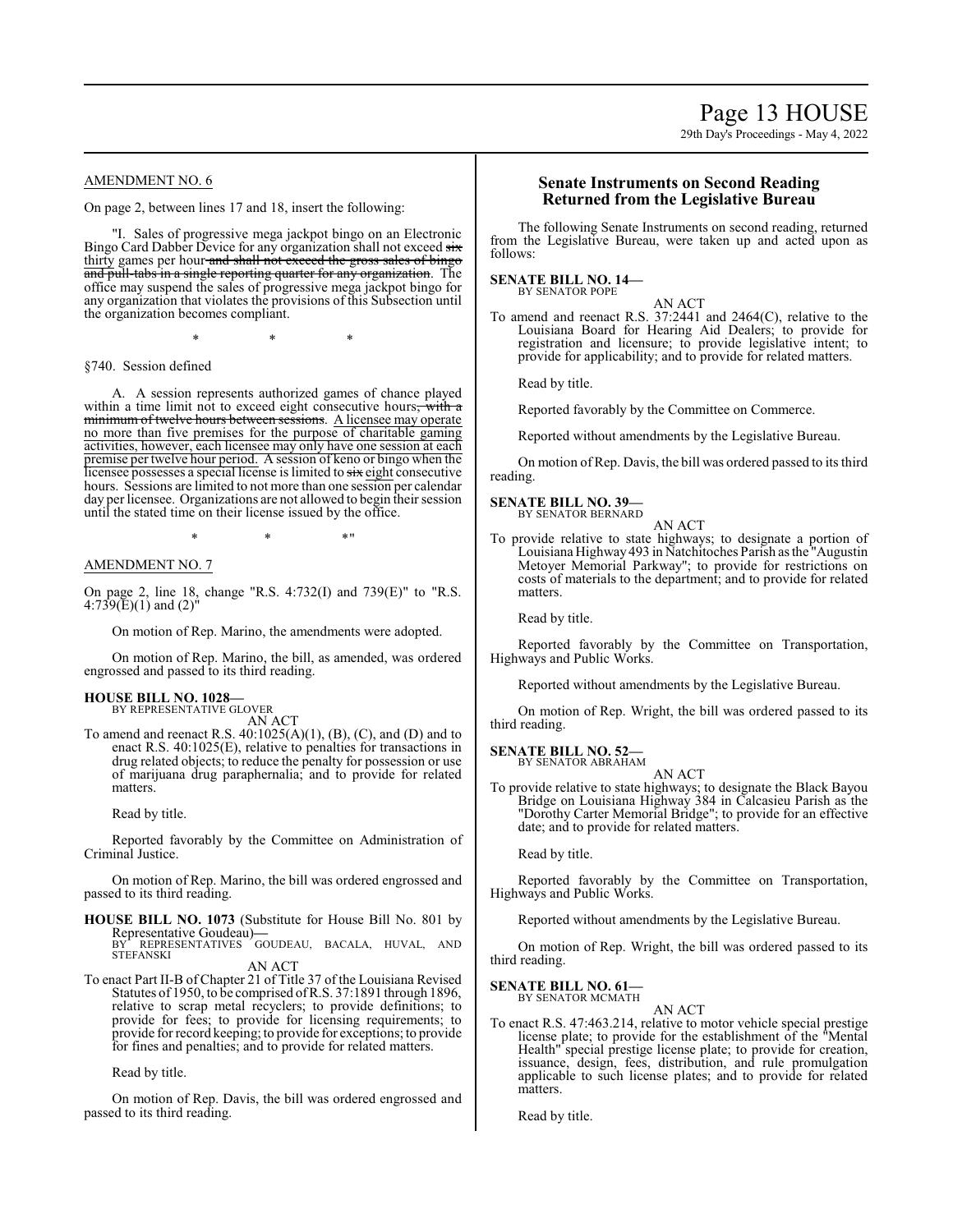#### AMENDMENT NO. 6

On page 2, between lines 17 and 18, insert the following:

"I. Sales of progressive mega jackpot bingo on an Electronic Bingo Card Dabber Device for any organization shall not exceed six thirty games per hour and shall not exceed the gross sales of bingo and pull-tabs in a single reporting quarter for any organization. The office may suspend the sales of progressive mega jackpot bingo for any organization that violates the provisions of this Subsection until the organization becomes compliant.

\* \* \*

§740. Session defined

A. A session represents authorized games of chance played within a time limit not to exceed eight consecutive hours, with a minimum of twelve hours between sessions. A licensee may operate no more than five premises for the purpose of charitable gaming activities, however, each licensee may only have one session at each premise per twelve hour period. A session of keno or bingo when the licensee possesses a special license is limited to six eight consecutive hours. Sessions are limited to not more than one session per calendar day per licensee. Organizations are not allowed to begin their session until the stated time on their license issued by the office.

 $*$  \*  $*$  \*  $*$  "

#### AMENDMENT NO. 7

On page 2, line 18, change "R.S. 4:732(I) and 739(E)" to "R.S.  $4:739(E)(1)$  and  $(2)$ "

On motion of Rep. Marino, the amendments were adopted.

On motion of Rep. Marino, the bill, as amended, was ordered engrossed and passed to its third reading.

#### **HOUSE BILL NO. 1028—** BY REPRESENTATIVE GLOVER

AN ACT

To amend and reenact R.S.  $40:1025(A)(1)$ , (B), (C), and (D) and to enact R.S. 40:1025(E), relative to penalties for transactions in drug related objects; to reduce the penalty for possession or use of marijuana drug paraphernalia; and to provide for related matters.

Read by title.

Reported favorably by the Committee on Administration of Criminal Justice.

On motion of Rep. Marino, the bill was ordered engrossed and passed to its third reading.

**HOUSE BILL NO. 1073** (Substitute for House Bill No. 801 by

Representative Goudeau)—<br>BY REPRESENTATIVES GOUDEAU, BACALA, HUVAL, AND<br>STEFANSKI AN ACT

To enact Part II-B of Chapter 21 of Title 37 of the Louisiana Revised Statutes of 1950, to be comprised ofR.S. 37:1891 through 1896, relative to scrap metal recyclers; to provide definitions; to provide for fees; to provide for licensing requirements; to provide forrecord keeping; to provide for exceptions; to provide for fines and penalties; and to provide for related matters.

Read by title.

On motion of Rep. Davis, the bill was ordered engrossed and passed to its third reading.

## **Senate Instruments on Second Reading Returned from the Legislative Bureau**

The following Senate Instruments on second reading, returned from the Legislative Bureau, were taken up and acted upon as follows:

#### **SENATE BILL NO. 14—** BY SENATOR POPE

AN ACT

To amend and reenact R.S. 37:2441 and 2464(C), relative to the Louisiana Board for Hearing Aid Dealers; to provide for registration and licensure; to provide legislative intent; to provide for applicability; and to provide for related matters.

Read by title.

Reported favorably by the Committee on Commerce.

Reported without amendments by the Legislative Bureau.

On motion of Rep. Davis, the bill was ordered passed to its third reading.

#### **SENATE BILL NO. 39—** BY SENATOR BERNARD

AN ACT

To provide relative to state highways; to designate a portion of Louisiana Highway 493 in Natchitoches Parish as the "Augustin Metoyer Memorial Parkway"; to provide for restrictions on costs of materials to the department; and to provide for related matters.

Read by title.

Reported favorably by the Committee on Transportation, Highways and Public Works.

Reported without amendments by the Legislative Bureau.

On motion of Rep. Wright, the bill was ordered passed to its third reading.

**SENATE BILL NO. 52—**

BY SENATOR ABRAHAM

AN ACT To provide relative to state highways; to designate the Black Bayou Bridge on Louisiana Highway 384 in Calcasieu Parish as the "Dorothy Carter Memorial Bridge"; to provide for an effective date; and to provide for related matters.

Read by title.

Reported favorably by the Committee on Transportation, Highways and Public Works.

Reported without amendments by the Legislative Bureau.

On motion of Rep. Wright, the bill was ordered passed to its third reading.

#### **SENATE BILL NO. 61—**

BY SENATOR MCMATH AN ACT

To enact R.S. 47:463.214, relative to motor vehicle special prestige license plate; to provide for the establishment of the "Mental Health" special prestige license plate; to provide for creation, issuance, design, fees, distribution, and rule promulgation applicable to such license plates; and to provide for related matters.

Read by title.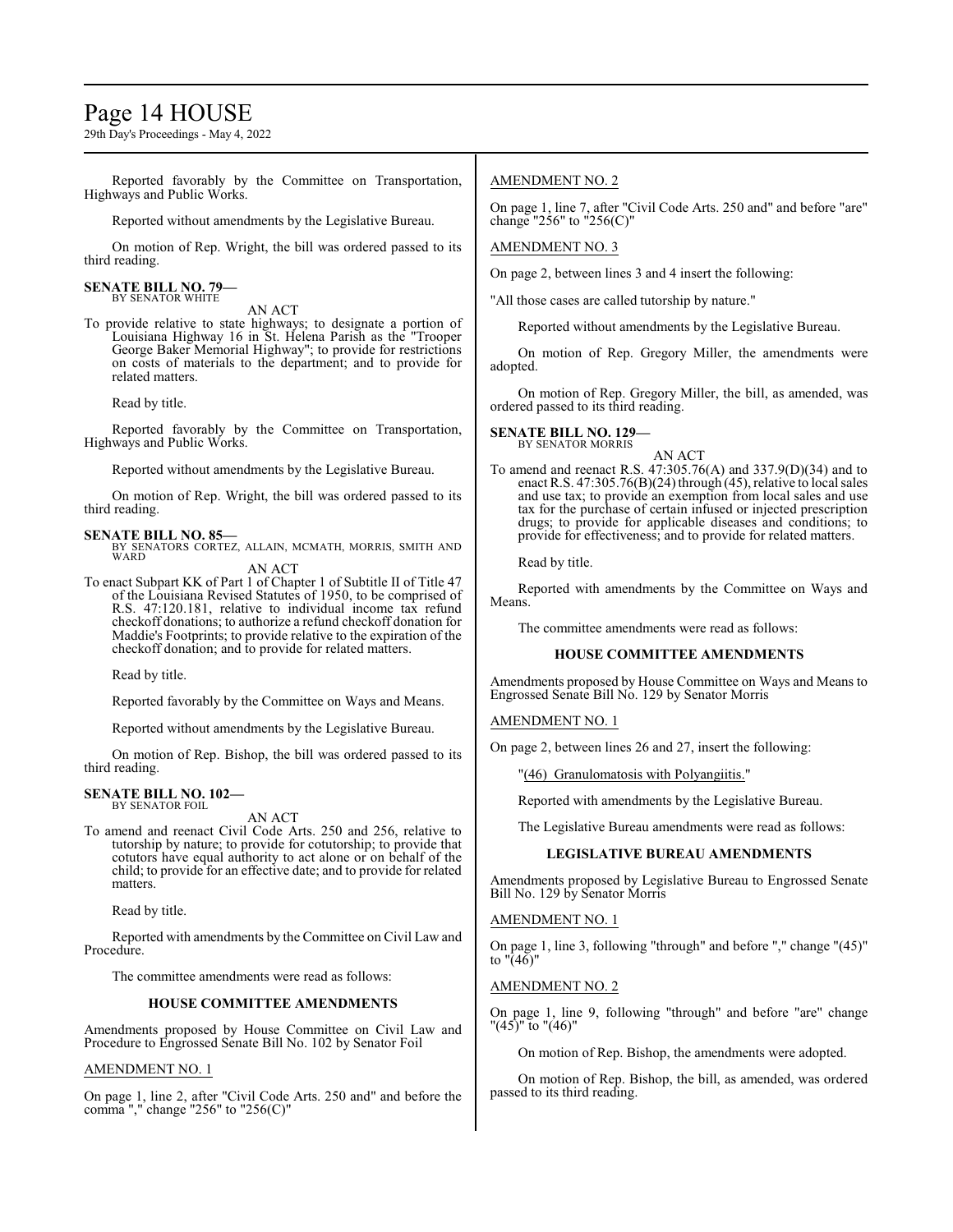# Page 14 HOUSE

29th Day's Proceedings - May 4, 2022

Reported favorably by the Committee on Transportation, Highways and Public Works.

Reported without amendments by the Legislative Bureau.

On motion of Rep. Wright, the bill was ordered passed to its third reading.

#### **SENATE BILL NO. 79—** BY SENATOR WHITE

AN ACT

To provide relative to state highways; to designate a portion of Louisiana Highway 16 in St. Helena Parish as the "Trooper George Baker Memorial Highway"; to provide for restrictions on costs of materials to the department; and to provide for related matters.

Read by title.

Reported favorably by the Committee on Transportation, Highways and Public Works.

Reported without amendments by the Legislative Bureau.

On motion of Rep. Wright, the bill was ordered passed to its third reading.

**SENATE BILL NO. 85—** BY SENATORS CORTEZ, ALLAIN, MCMATH, MORRIS, SMITH AND WARD

AN ACT

To enact Subpart KK of Part 1 of Chapter 1 of Subtitle II of Title 47 of the Louisiana Revised Statutes of 1950, to be comprised of R.S. 47:120.181, relative to individual income tax refund checkoff donations; to authorize a refund checkoff donation for Maddie's Footprints; to provide relative to the expiration of the checkoff donation; and to provide for related matters.

Read by title.

Reported favorably by the Committee on Ways and Means.

Reported without amendments by the Legislative Bureau.

On motion of Rep. Bishop, the bill was ordered passed to its third reading.

#### **SENATE BILL NO. 102—** BY SENATOR FOIL

AN ACT

To amend and reenact Civil Code Arts. 250 and 256, relative to tutorship by nature; to provide for cotutorship; to provide that cotutors have equal authority to act alone or on behalf of the child; to provide for an effective date; and to provide for related matters.

Read by title.

Reported with amendments by the Committee on Civil Law and Procedure.

The committee amendments were read as follows:

#### **HOUSE COMMITTEE AMENDMENTS**

Amendments proposed by House Committee on Civil Law and Procedure to Engrossed Senate Bill No. 102 by Senator Foil

#### AMENDMENT NO. 1

On page 1, line 2, after "Civil Code Arts. 250 and" and before the comma "," change "256" to "256(C)"

#### AMENDMENT NO. 2

On page 1, line 7, after "Civil Code Arts. 250 and" and before "are" change "256" to "256(C)"

#### AMENDMENT NO. 3

On page 2, between lines 3 and 4 insert the following:

"All those cases are called tutorship by nature."

Reported without amendments by the Legislative Bureau.

On motion of Rep. Gregory Miller, the amendments were adopted.

On motion of Rep. Gregory Miller, the bill, as amended, was ordered passed to its third reading.

# **SENATE BILL NO. 129—** BY SENATOR MORRIS

AN ACT

To amend and reenact R.S. 47:305.76(A) and 337.9(D)(34) and to enact R.S. 47:305.76(B)(24) through (45), relative to local sales and use tax; to provide an exemption from local sales and use tax for the purchase of certain infused or injected prescription drugs; to provide for applicable diseases and conditions; to provide for effectiveness; and to provide for related matters.

Read by title.

Reported with amendments by the Committee on Ways and Means.

The committee amendments were read as follows:

#### **HOUSE COMMITTEE AMENDMENTS**

Amendments proposed by House Committee on Ways and Means to Engrossed Senate Bill No. 129 by Senator Morris

AMENDMENT NO. 1

On page 2, between lines 26 and 27, insert the following:

"(46) Granulomatosis with Polyangiitis."

Reported with amendments by the Legislative Bureau.

The Legislative Bureau amendments were read as follows:

#### **LEGISLATIVE BUREAU AMENDMENTS**

Amendments proposed by Legislative Bureau to Engrossed Senate Bill No. 129 by Senator Morris

#### AMENDMENT NO. 1

On page 1, line 3, following "through" and before "," change "(45)" to  $\sqrt{46}$ "

AMENDMENT NO. 2

On page 1, line 9, following "through" and before "are" change "(45)" to "(46)"

On motion of Rep. Bishop, the amendments were adopted.

On motion of Rep. Bishop, the bill, as amended, was ordered passed to its third reading.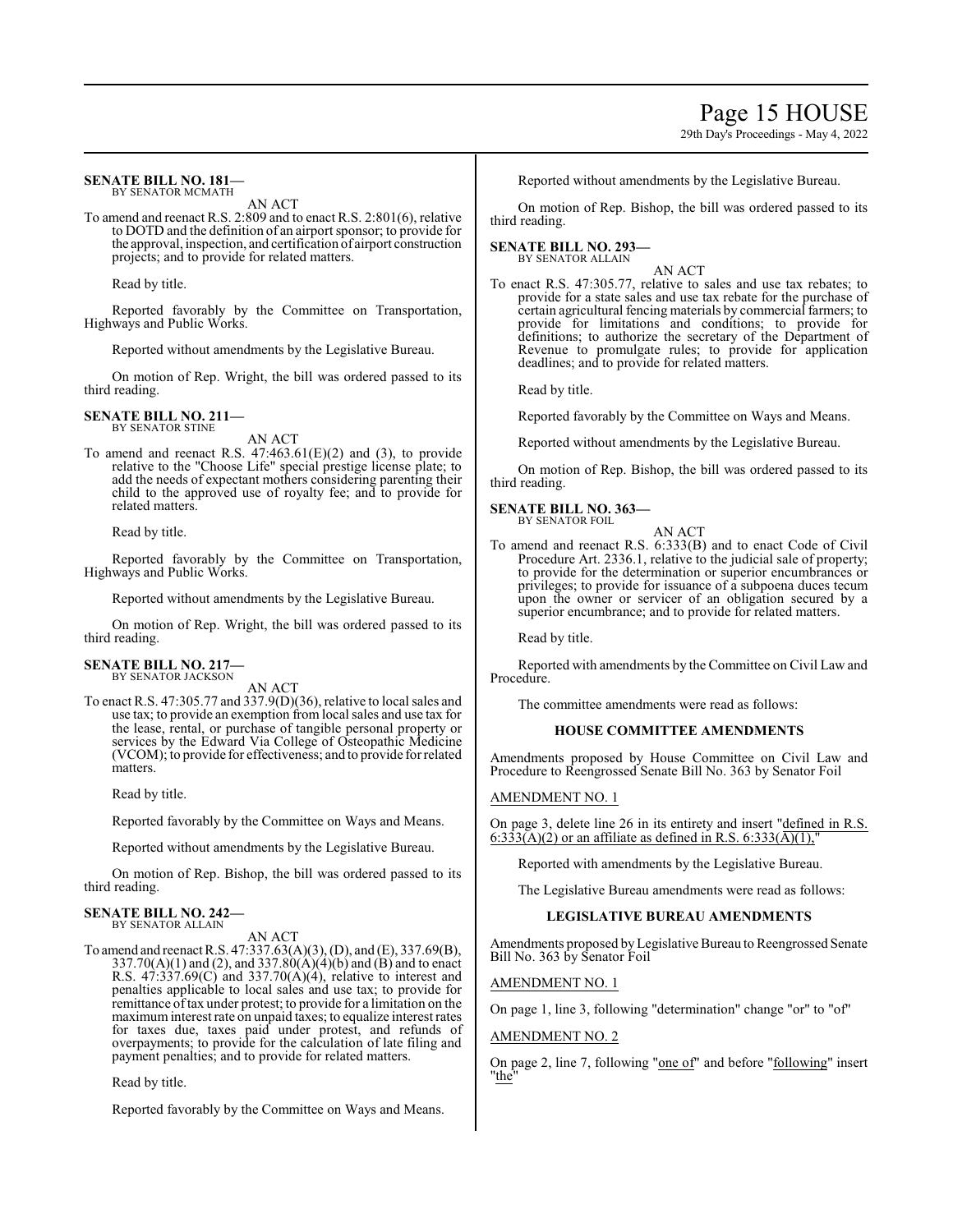# Page 15 HOUSE

29th Day's Proceedings - May 4, 2022

#### **SENATE BILL NO. 181—** BY SENATOR MCMATH

AN ACT

To amend and reenact R.S. 2:809 and to enact R.S. 2:801(6), relative to DOTD and the definition of an airport sponsor; to provide for the approval, inspection, and certification of airport construction projects; and to provide for related matters.

Read by title.

Reported favorably by the Committee on Transportation, Highways and Public Works.

Reported without amendments by the Legislative Bureau.

On motion of Rep. Wright, the bill was ordered passed to its third reading.

**SENATE BILL NO. 211—** BY SENATOR STINE

AN ACT

To amend and reenact R.S.  $47:463.61(E)(2)$  and (3), to provide relative to the "Choose Life" special prestige license plate; to add the needs of expectant mothers considering parenting their child to the approved use of royalty fee; and to provide for related matters.

Read by title.

Reported favorably by the Committee on Transportation, Highways and Public Works.

Reported without amendments by the Legislative Bureau.

On motion of Rep. Wright, the bill was ordered passed to its third reading.

#### **SENATE BILL NO. 217—** BY SENATOR JACKSON

AN ACT To enact R.S. 47:305.77 and 337.9(D)(36), relative to local sales and use tax; to provide an exemption from local sales and use tax for the lease, rental, or purchase of tangible personal property or services by the Edward Via College of Osteopathic Medicine (VCOM); to provide for effectiveness; and to provide for related matters.

Read by title.

Reported favorably by the Committee on Ways and Means.

Reported without amendments by the Legislative Bureau.

On motion of Rep. Bishop, the bill was ordered passed to its third reading.

#### **SENATE BILL NO. 242—** BY SENATOR ALLAIN

AN ACT

To amend and reenact R.S. 47:337.63(A)(3), (D), and (E), 337.69(B), 337.70(A)(1) and (2), and 337.80(A)(4)(b) and (B) and to enact R.S.  $47:337.69(C)$  and  $337.70(A)(4)$ , relative to interest and penalties applicable to local sales and use tax; to provide for remittance oftax under protest; to provide for a limitation on the maximuminterest rate on unpaid taxes; to equalize interest rates for taxes due, taxes paid under protest, and refunds of overpayments; to provide for the calculation of late filing and payment penalties; and to provide for related matters.

Read by title.

Reported favorably by the Committee on Ways and Means.

Reported without amendments by the Legislative Bureau.

On motion of Rep. Bishop, the bill was ordered passed to its third reading.

#### **SENATE BILL NO. 293—** BY SENATOR ALLAIN

AN ACT

To enact R.S. 47:305.77, relative to sales and use tax rebates; to provide for a state sales and use tax rebate for the purchase of certain agricultural fencing materials by commercial farmers; to provide for limitations and conditions; to provide for definitions; to authorize the secretary of the Department of Revenue to promulgate rules; to provide for application deadlines; and to provide for related matters.

Read by title.

Reported favorably by the Committee on Ways and Means.

Reported without amendments by the Legislative Bureau.

On motion of Rep. Bishop, the bill was ordered passed to its third reading.

#### **SENATE BILL NO. 363—** BY SENATOR FOIL

AN ACT

To amend and reenact R.S. 6:333(B) and to enact Code of Civil Procedure Art. 2336.1, relative to the judicial sale of property; to provide for the determination or superior encumbrances or privileges; to provide for issuance of a subpoena duces tecum upon the owner or servicer of an obligation secured by a superior encumbrance; and to provide for related matters.

Read by title.

Reported with amendments by the Committee on Civil Law and Procedure.

The committee amendments were read as follows:

### **HOUSE COMMITTEE AMENDMENTS**

Amendments proposed by House Committee on Civil Law and Procedure to Reengrossed Senate Bill No. 363 by Senator Foil

#### AMENDMENT NO. 1

On page 3, delete line 26 in its entirety and insert "defined in R.S. 6:333(A)(2) or an affiliate as defined in R.S. 6:333( $\overline{A}$ )(1),"

Reported with amendments by the Legislative Bureau.

The Legislative Bureau amendments were read as follows:

### **LEGISLATIVE BUREAU AMENDMENTS**

Amendments proposed byLegislative Bureau to Reengrossed Senate Bill No. 363 by Senator Foil

AMENDMENT NO. 1

On page 1, line 3, following "determination" change "or" to "of"

### AMENDMENT NO. 2

On page 2, line 7, following "one of" and before "following" insert "the"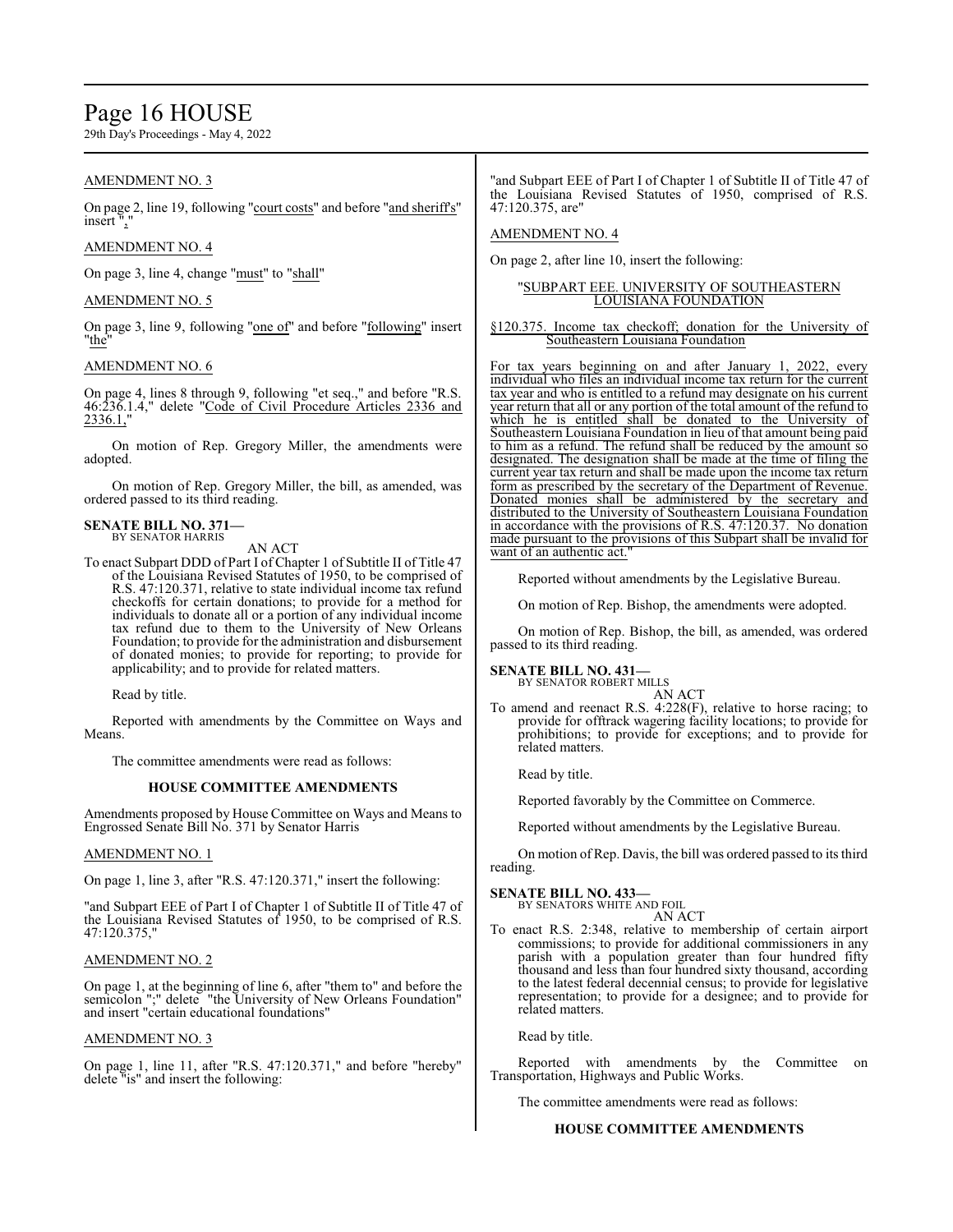# Page 16 HOUSE

29th Day's Proceedings - May 4, 2022

# AMENDMENT NO. 3

On page 2, line 19, following "court costs" and before "and sheriff's" insert",

#### AMENDMENT NO. 4

On page 3, line 4, change "must" to "shall"

#### AMENDMENT NO. 5

On page 3, line 9, following "one of" and before "following" insert "the"

#### AMENDMENT NO. 6

On page 4, lines 8 through 9, following "et seq.," and before "R.S. 46:236.1.4," delete "Code of Civil Procedure Articles 2336 and 2336.1,"

On motion of Rep. Gregory Miller, the amendments were adopted.

On motion of Rep. Gregory Miller, the bill, as amended, was ordered passed to its third reading.

#### **SENATE BILL NO. 371—** BY SENATOR HARRIS

AN ACT

To enact Subpart DDD of Part I of Chapter 1 of Subtitle II of Title 47 of the Louisiana Revised Statutes of 1950, to be comprised of R.S. 47:120.371, relative to state individual income tax refund checkoffs for certain donations; to provide for a method for individuals to donate all or a portion of any individual income tax refund due to them to the University of New Orleans Foundation; to provide for the administration and disbursement of donated monies; to provide for reporting; to provide for applicability; and to provide for related matters.

Read by title.

Reported with amendments by the Committee on Ways and Means.

The committee amendments were read as follows:

#### **HOUSE COMMITTEE AMENDMENTS**

Amendments proposed by House Committee on Ways and Means to Engrossed Senate Bill No. 371 by Senator Harris

#### AMENDMENT NO. 1

On page 1, line 3, after "R.S. 47:120.371," insert the following:

"and Subpart EEE of Part I of Chapter 1 of Subtitle II of Title 47 of the Louisiana Revised Statutes of 1950, to be comprised of R.S. 47:120.375,"

#### AMENDMENT NO. 2

On page 1, at the beginning of line 6, after "them to" and before the semicolon ";" delete "the University of New Orleans Foundation" and insert "certain educational foundations"

#### AMENDMENT NO. 3

On page 1, line 11, after "R.S. 47:120.371," and before "hereby" delete "is" and insert the following:

'and Subpart EEE of Part I of Chapter 1 of Subtitle II of Title 47 of the Louisiana Revised Statutes of 1950, comprised of R.S. 47:120.375, are"

AMENDMENT NO. 4

On page 2, after line 10, insert the following:

#### "SUBPART EEE. UNIVERSITY OF SOUTHEASTERN LOUISIANA FOUNDATION

§120.375. Income tax checkoff; donation for the University of Southeastern Louisiana Foundation

For tax years beginning on and after January 1, 2022, every individual who files an individual income tax return for the current tax year and who is entitled to a refund may designate on his current year return that all or any portion of the total amount of the refund to which he is entitled shall be donated to the University of Southeastern Louisiana Foundation in lieu of that amount being paid to him as a refund. The refund shall be reduced by the amount so designated. The designation shall be made at the time of filing the current year tax return and shall be made upon the income tax return form as prescribed by the secretary of the Department of Revenue. Donated monies shall be administered by the secretary and distributed to the University of Southeastern Louisiana Foundation in accordance with the provisions of R.S. 47:120.37. No donation made pursuant to the provisions of this Subpart shall be invalid for want of an authentic act."

Reported without amendments by the Legislative Bureau.

On motion of Rep. Bishop, the amendments were adopted.

On motion of Rep. Bishop, the bill, as amended, was ordered passed to its third reading.

# **SENATE BILL NO. 431—** BY SENATOR ROBERT MILLS

AN ACT

To amend and reenact R.S. 4:228(F), relative to horse racing; to provide for offtrack wagering facility locations; to provide for prohibitions; to provide for exceptions; and to provide for related matters.

Read by title.

Reported favorably by the Committee on Commerce.

Reported without amendments by the Legislative Bureau.

On motion of Rep. Davis, the bill was ordered passed to its third reading.

### **SENATE BILL NO. 433—**

BY SENATORS WHITE AND FOIL AN ACT

To enact R.S. 2:348, relative to membership of certain airport commissions; to provide for additional commissioners in any parish with a population greater than four hundred fifty thousand and less than four hundred sixty thousand, according to the latest federal decennial census; to provide for legislative representation; to provide for a designee; and to provide for related matters.

Read by title.

Reported with amendments by the Committee on Transportation, Highways and Public Works.

The committee amendments were read as follows:

#### **HOUSE COMMITTEE AMENDMENTS**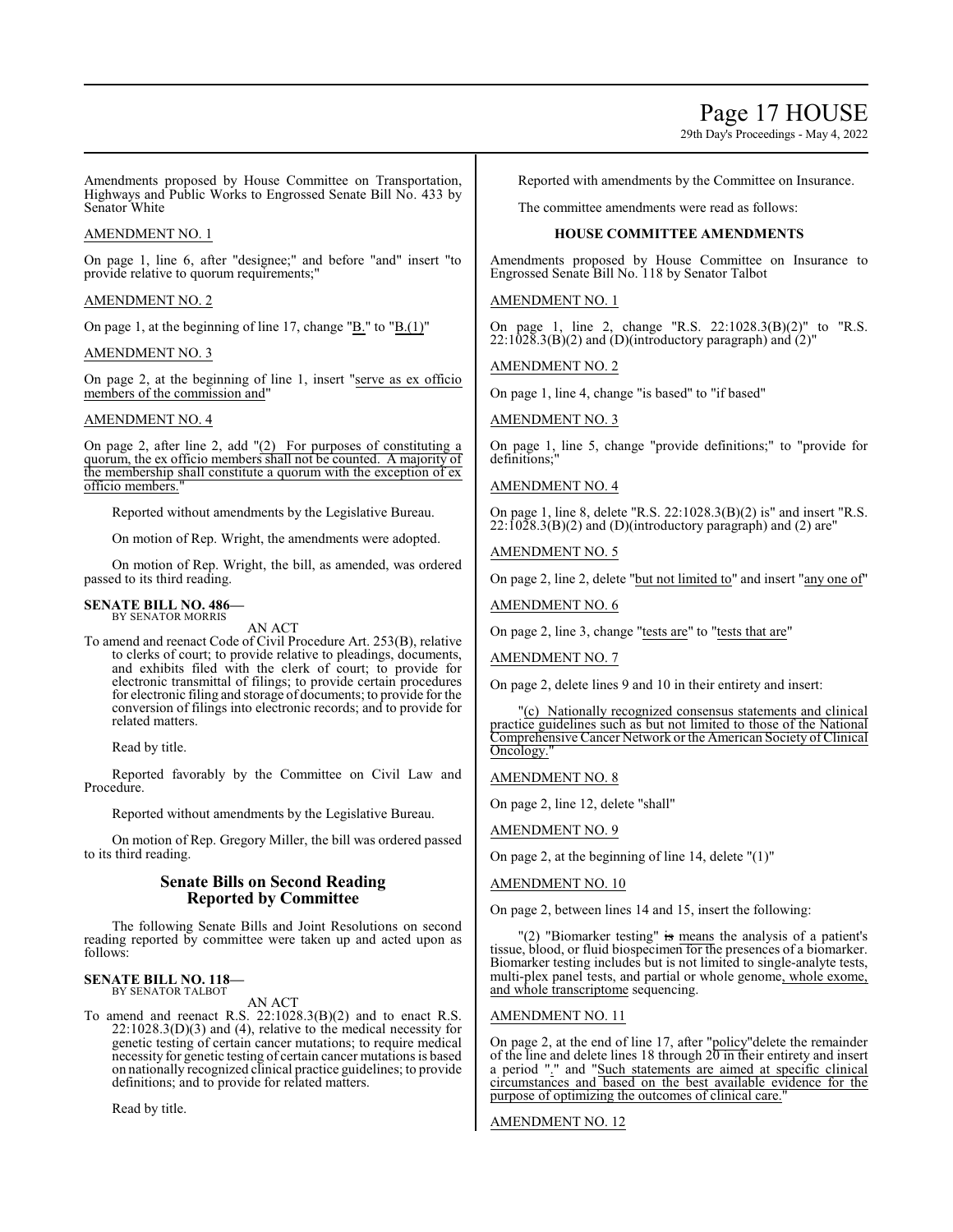# Page 17 HOUSE

29th Day's Proceedings - May 4, 2022

Amendments proposed by House Committee on Transportation, Highways and Public Works to Engrossed Senate Bill No. 433 by Senator White

### AMENDMENT NO. 1

On page 1, line 6, after "designee;" and before "and" insert "to provide relative to quorum requirements;"

#### AMENDMENT NO. 2

On page 1, at the beginning of line 17, change "B." to "B.(1)"

#### AMENDMENT NO. 3

On page 2, at the beginning of line 1, insert "serve as ex officio members of the commission and"

### AMENDMENT NO. 4

On page 2, after line 2, add "(2) For purposes of constituting a quorum, the ex officio members shall not be counted. A majority of the membership shall constitute a quorum with the exception of ex officio members."

Reported without amendments by the Legislative Bureau.

On motion of Rep. Wright, the amendments were adopted.

On motion of Rep. Wright, the bill, as amended, was ordered passed to its third reading.

#### **SENATE BILL NO. 486—** BY SENATOR MORRIS

AN ACT

To amend and reenact Code of Civil Procedure Art. 253(B), relative to clerks of court; to provide relative to pleadings, documents, and exhibits filed with the clerk of court; to provide for electronic transmittal of filings; to provide certain procedures for electronic filing and storage of documents; to provide for the conversion of filings into electronic records; and to provide for related matters.

Read by title.

Reported favorably by the Committee on Civil Law and Procedure.

Reported without amendments by the Legislative Bureau.

On motion of Rep. Gregory Miller, the bill was ordered passed to its third reading.

# **Senate Bills on Second Reading Reported by Committee**

The following Senate Bills and Joint Resolutions on second reading reported by committee were taken up and acted upon as follows:

#### **SENATE BILL NO. 118—** BY SENATOR TALBOT

AN ACT

To amend and reenact R.S. 22:1028.3(B)(2) and to enact R.S.  $22:1028.3(D)(3)$  and (4), relative to the medical necessity for genetic testing of certain cancer mutations; to require medical necessity for genetic testing of certain cancer mutations is based on nationally recognized clinical practice guidelines; to provide definitions; and to provide for related matters.

Read by title.

Reported with amendments by the Committee on Insurance.

The committee amendments were read as follows:

#### **HOUSE COMMITTEE AMENDMENTS**

Amendments proposed by House Committee on Insurance to Engrossed Senate Bill No. 118 by Senator Talbot

AMENDMENT NO. 1

On page 1, line 2, change "R.S. 22:1028.3(B)(2)" to "R.S.  $22:102\overline{8}.3(\overline{B})(2)$  and (D)(introductory paragraph) and (2)"

AMENDMENT NO. 2

On page 1, line 4, change "is based" to "if based"

AMENDMENT NO. 3

On page 1, line 5, change "provide definitions;" to "provide for definitions;

AMENDMENT NO. 4

On page 1, line 8, delete "R.S. 22:1028.3(B)(2) is" and insert "R.S.  $22:10\overline{28.3(B)(2)}$  and (D)(introductory paragraph) and (2) are"

AMENDMENT NO. 5

On page 2, line 2, delete "but not limited to" and insert "any one of"

AMENDMENT NO. 6

On page 2, line 3, change "tests are" to "tests that are"

AMENDMENT NO. 7

On page 2, delete lines 9 and 10 in their entirety and insert:

"(c) Nationally recognized consensus statements and clinical practice guidelines such as but not limited to those of the National Comprehensive Cancer Network or the American Society of Clinical Oncology.'

AMENDMENT NO. 8

On page 2, line 12, delete "shall"

AMENDMENT NO. 9

On page 2, at the beginning of line 14, delete "(1)"

AMENDMENT NO. 10

On page 2, between lines 14 and 15, insert the following:

"(2) "Biomarker testing" is means the analysis of a patient's tissue, blood, or fluid biospecimen for the presences of a biomarker. Biomarker testing includes but is not limited to single-analyte tests, multi-plex panel tests, and partial or whole genome, whole exome, and whole transcriptome sequencing.

AMENDMENT NO. 11

On page 2, at the end of line 17, after "policy" delete the remainder of the line and delete lines 18 through  $2\overline{0}$  in their entirety and insert a period "." and "Such statements are aimed at specific clinical circumstances and based on the best available evidence for the purpose of optimizing the outcomes of clinical care."

AMENDMENT NO. 12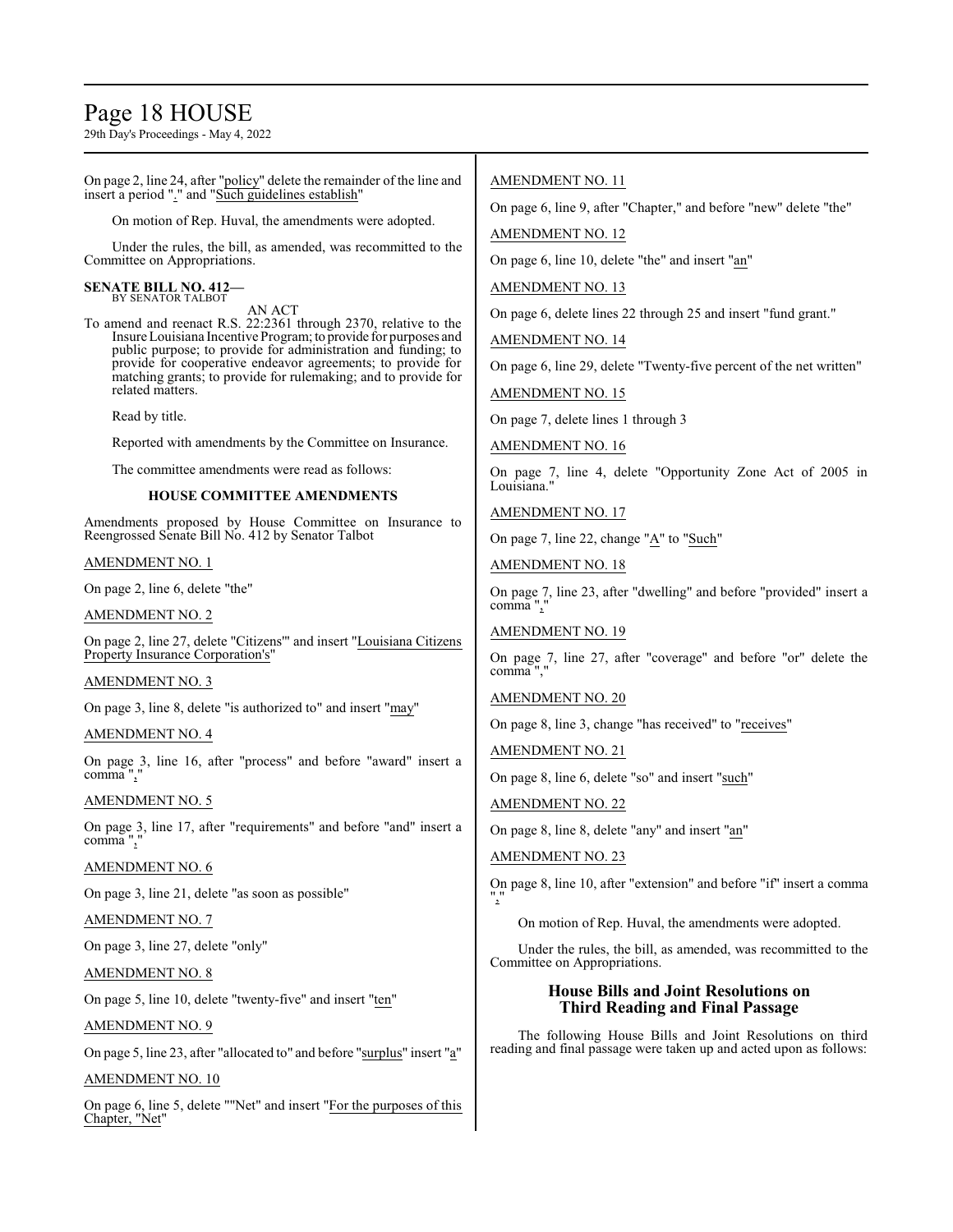# Page 18 HOUSE

29th Day's Proceedings - May 4, 2022

On page 2, line 24, after "policy" delete the remainder of the line and insert a period "." and "Such guidelines establish"

On motion of Rep. Huval, the amendments were adopted.

Under the rules, the bill, as amended, was recommitted to the Committee on Appropriations.

#### **SENATE BILL NO. 412—** BY SENATOR TALBOT

AN ACT

To amend and reenact R.S. 22:2361 through 2370, relative to the Insure Louisiana Incentive Program; to provide for purposes and public purpose; to provide for administration and funding; to provide for cooperative endeavor agreements; to provide for matching grants; to provide for rulemaking; and to provide for related matters.

Read by title.

Reported with amendments by the Committee on Insurance.

The committee amendments were read as follows:

# **HOUSE COMMITTEE AMENDMENTS**

Amendments proposed by House Committee on Insurance to Reengrossed Senate Bill No. 412 by Senator Talbot

AMENDMENT NO. 1

On page 2, line 6, delete "the"

AMENDMENT NO. 2

On page 2, line 27, delete "Citizens'" and insert "Louisiana Citizens Property Insurance Corporation's"

AMENDMENT NO. 3

On page 3, line 8, delete "is authorized to" and insert "may"

### AMENDMENT NO. 4

On page 3, line 16, after "process" and before "award" insert a comma",

### AMENDMENT NO. 5

On page 3, line 17, after "requirements" and before "and" insert a comma",

AMENDMENT NO. 6

On page 3, line 21, delete "as soon as possible"

AMENDMENT NO. 7

On page 3, line 27, delete "only"

AMENDMENT NO. 8

On page 5, line 10, delete "twenty-five" and insert "ten"

AMENDMENT NO. 9

On page 5, line 23, after "allocated to" and before "surplus" insert "a"

## AMENDMENT NO. 10

On page 6, line 5, delete ""Net" and insert "For the purposes of this Chapter, "Net"

# AMENDMENT NO. 11

On page 6, line 9, after "Chapter," and before "new" delete "the"

AMENDMENT NO. 12

On page 6, line 10, delete "the" and insert "an"

## AMENDMENT NO. 13

On page 6, delete lines 22 through 25 and insert "fund grant."

AMENDMENT NO. 14

On page 6, line 29, delete "Twenty-five percent of the net written"

AMENDMENT NO. 15

On page 7, delete lines 1 through 3

AMENDMENT NO. 16

On page 7, line 4, delete "Opportunity Zone Act of 2005 in Louisiana."

AMENDMENT NO. 17

On page 7, line 22, change " $\underline{A}$ " to "Such"

AMENDMENT NO. 18

On page 7, line 23, after "dwelling" and before "provided" insert a comma ","

AMENDMENT NO. 19

On page 7, line 27, after "coverage" and before "or" delete the comma ","

### AMENDMENT NO. 20

On page 8, line 3, change "has received" to "receives"

AMENDMENT NO. 21

On page 8, line 6, delete "so" and insert "such"

### AMENDMENT NO. 22

On page 8, line 8, delete "any" and insert "an"

AMENDMENT NO. 23

On page 8, line 10, after "extension" and before "if" insert a comma ","

On motion of Rep. Huval, the amendments were adopted.

Under the rules, the bill, as amended, was recommitted to the Committee on Appropriations.

# **House Bills and Joint Resolutions on Third Reading and Final Passage**

The following House Bills and Joint Resolutions on third reading and final passage were taken up and acted upon as follows: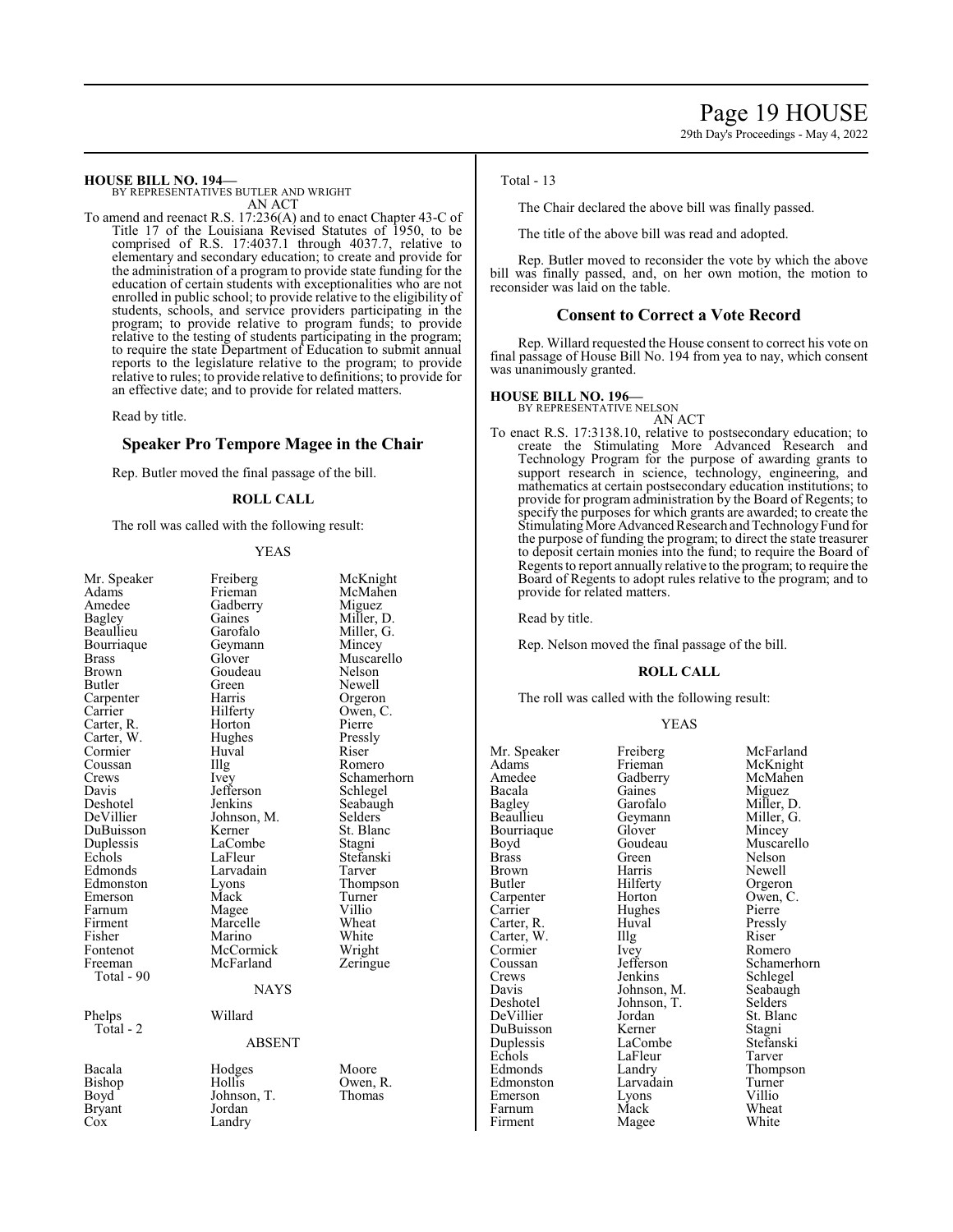**HOUSE BILL NO. 194—**

BY REPRESENTATIVES BUTLER AND WRIGHT AN ACT

To amend and reenact R.S. 17:236(A) and to enact Chapter 43-C of Title 17 of the Louisiana Revised Statutes of 1950, to be comprised of R.S. 17:4037.1 through 4037.7, relative to elementary and secondary education; to create and provide for the administration of a program to provide state funding for the education of certain students with exceptionalities who are not enrolled in public school; to provide relative to the eligibility of students, schools, and service providers participating in the program; to provide relative to program funds; to provide relative to the testing of students participating in the program; to require the state Department of Education to submit annual reports to the legislature relative to the program; to provide relative to rules; to provide relative to definitions; to provide for an effective date; and to provide for related matters.

Read by title.

# **Speaker Pro Tempore Magee in the Chair**

Rep. Butler moved the final passage of the bill.

#### **ROLL CALL**

The roll was called with the following result:

#### YEAS

| Mr. Speaker<br>Adams<br>Amedee<br>Bagley<br>Beaullieu<br>Bourriaque<br>Brass<br>Brown<br>Butler<br>Carpenter<br>Carrier<br>Carter, R.<br>Carter, W.<br>Cormier<br>Coussan<br>Crews<br>Davis<br>Deshotel<br>DeVillier<br>DuBuisson<br>Duplessis<br>Echols<br>Edmonds<br>Edmonston<br>Emerson<br>Farnum<br>Firment<br>Fisher<br>Fontenot<br>Freeman<br>Total - 90<br>Phelps<br>Total - 2 | Freiberg<br>Frieman<br>Gadberry<br>Gaines<br>Garofalo<br>Geymann<br>Glover<br>Goudeau<br>Green<br>Harris<br>Hilferty<br>Horton<br>Hughes<br>Huval<br>$\prod_{i=1}^{n}$<br>Ivey<br>Jefferson<br>Jenkins<br>Johnson, M.<br>Kerner<br>LaCombe<br>LaFleur<br>Larvadain<br>Lyons<br>Mack<br>Magee<br>Marcelle<br>Marino<br>McCormick<br>McFarland<br><b>NAYS</b><br>Willard | McKnight<br>McMahen<br>Miguez<br>Miller, D.<br>Miller, G.<br>Mincey<br>Muscarello<br>Nelson<br>Newell<br>Orgeron<br>Owen, C.<br>Pierre<br>Pressly<br>Riser<br>Romero<br>Schamerhorn<br>Schlegel<br>Seabaugh<br>Selders<br>St. Blanc<br>Stagni<br>Stefanski<br>Tarver<br>Thompson<br>Turner<br>Villio<br>Wheat<br>White<br>Wright<br>Zeringue |
|----------------------------------------------------------------------------------------------------------------------------------------------------------------------------------------------------------------------------------------------------------------------------------------------------------------------------------------------------------------------------------------|------------------------------------------------------------------------------------------------------------------------------------------------------------------------------------------------------------------------------------------------------------------------------------------------------------------------------------------------------------------------|----------------------------------------------------------------------------------------------------------------------------------------------------------------------------------------------------------------------------------------------------------------------------------------------------------------------------------------------|
|                                                                                                                                                                                                                                                                                                                                                                                        | <b>ABSENT</b>                                                                                                                                                                                                                                                                                                                                                          |                                                                                                                                                                                                                                                                                                                                              |
| Bacala<br>Bishop<br>Boyd<br>Bryant<br>Cox                                                                                                                                                                                                                                                                                                                                              | Hodges<br>Hollis<br>Johnson, T.<br>Jordan<br>Landry                                                                                                                                                                                                                                                                                                                    | Moore<br>Owen, R.<br>Thomas                                                                                                                                                                                                                                                                                                                  |

#### Total - 13

The Chair declared the above bill was finally passed.

The title of the above bill was read and adopted.

Rep. Butler moved to reconsider the vote by which the above bill was finally passed, and, on her own motion, the motion to reconsider was laid on the table.

## **Consent to Correct a Vote Record**

Rep. Willard requested the House consent to correct his vote on final passage of House Bill No. 194 from yea to nay, which consent was unanimously granted.

# **HOUSE BILL NO. 196—** BY REPRESENTATIVE NELSON

AN ACT

To enact R.S. 17:3138.10, relative to postsecondary education; to create the Stimulating More Advanced Research and Technology Program for the purpose of awarding grants to support research in science, technology, engineering, and mathematics at certain postsecondary education institutions; to provide for program administration by the Board of Regents; to specify the purposes for which grants are awarded; to create the Stimulating More Advanced Research and Technology Fund for the purpose of funding the program; to direct the state treasurer to deposit certain monies into the fund; to require the Board of Regents to report annually relative to the program; to require the Board of Regents to adopt rules relative to the program; and to provide for related matters.

Read by title.

Rep. Nelson moved the final passage of the bill.

#### **ROLL CALL**

The roll was called with the following result:

#### YEAS

Mr. Speaker Freiberg McFarland<br>Adams Frieman McKnight Adams Frieman McKnight<br>
Amedee Gadberry McMahen Amedee Gadberry<br>Bacala Gaines Bacala Gaines Miguez Bagley Garofalo Miller, D.<br>Beaullieu Geymann Miller, G. Bourriaque Glover<br>Boyd Goudeau Boyd Goudeau Muscarello<br>Brass Green Nelson Brass Green Nelson<br>Brown Harris Newell Brown Harris Newell<br>Butler Hilferty Orgeron Carpenter Horton Owen,<br>
Carrier Hughes Pierre Carter, R. Huval Pressl<br>Carter, W. Illg Riser Carter, W.<br>Cormier Cormier Ivey Romero<br>Coussan Jefferson Schamer Coussan Jefferson Schamerhorn<br>Crews Jenkins Schlegel Crews Jenkins Schlegel<br>Davis Johnson, M. Seabaugh Davis Johnson, M. Seabaughten<br>Deshotel Johnson, T. Selders Deshotel Johnson, T.<br>DeVillier Jordan DuBuisson Kerner Stagni<br>
Duplessis LaCombe Stefanski Duplessis LaCombe Stefans<br>Echols LaFleur Tarver Echols LaFleur<br>
Edmonds Landrv Edmonston Larvadain Turner<br>Emerson Lyons Villio Emerson Lyons Villio<br>Farnum Mack Wheat Farnum Mack Wheat<br>
Firment Mage White Firment Magee

Geymann Miller,<br>Glover Mincey Hilferty Orgeron<br>Horton Owen, C. Hughes Pierre<br>
Huval Pressly Jordan St. Blanc<br>Kerner Stagni Landry Thompson<br>Larvadain Turner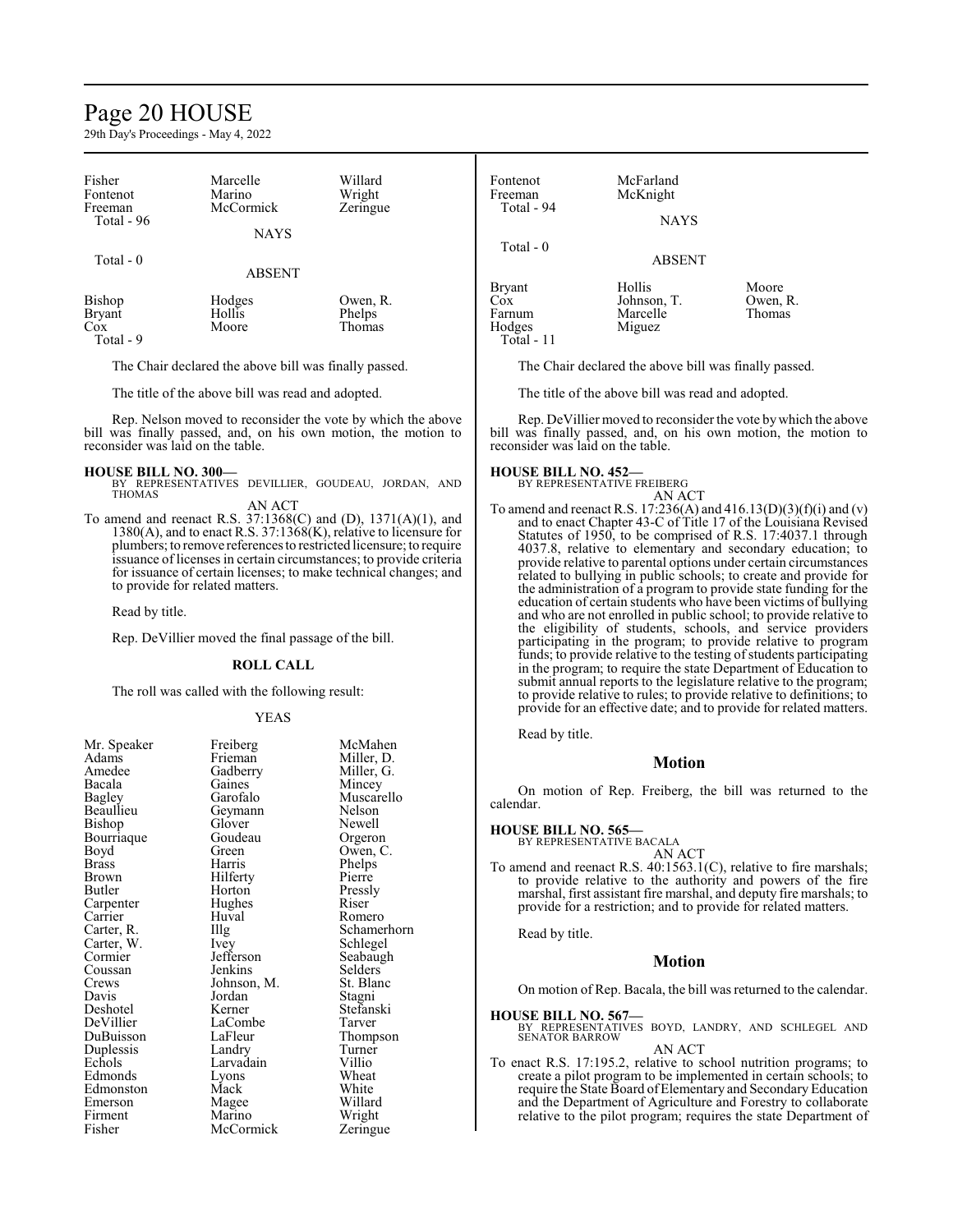# Page 20 HOUSE

29th Day's Proceedings - May 4, 2022

| Fisher<br>Fontenot<br>Freeman<br>Total - 96<br>Total - 0 | Marcelle<br>Marino<br>McCormick<br><b>NAYS</b> | Willard<br>Wright<br>Zeringue | Fontenot<br>Freeman<br>Total - 94<br>Total - 0 | McFarland<br>McKnight<br><b>NAYS</b><br><b>ABSENT</b> |                    |
|----------------------------------------------------------|------------------------------------------------|-------------------------------|------------------------------------------------|-------------------------------------------------------|--------------------|
|                                                          | <b>ABSENT</b>                                  |                               | <b>Bryant</b>                                  | Hollis                                                | Moore              |
| <b>Bishop</b><br><b>Bryant</b><br>Cox<br>Total - 9       | Hodges<br>Hollis<br>Moore                      | Owen, R.<br>Phelps<br>Thomas  | Cox<br>Farnum<br>Hodges<br>Total - 11          | Johnson, T.<br>Marcelle<br>Miguez                     | Owen, R.<br>Thomas |

The Chair declared the above bill was finally passed.

The title of the above bill was read and adopted.

Rep. Nelson moved to reconsider the vote by which the above bill was finally passed, and, on his own motion, the motion to reconsider was laid on the table.

#### **HOUSE BILL NO. 300—**

BY REPRESENTATIVES DEVILLIER, GOUDEAU, JORDAN, AND THOMAS

AN ACT To amend and reenact R.S. 37:1368(C) and (D), 1371(A)(1), and 1380(A), and to enact R.S. 37:1368(K), relative to licensure for plumbers; to remove references to restricted licensure; to require issuance of licenses in certain circumstances; to provide criteria for issuance of certain licenses; to make technical changes; and to provide for related matters.

Read by title.

Rep. DeVillier moved the final passage of the bill.

#### **ROLL CALL**

The roll was called with the following result:

#### YEAS

| Mr. Speaker<br>Adams<br>Amedee<br>Bacala<br>Bagley<br>Beaullieu<br>Bishop<br>Bourriaque<br>Boyd<br>Brass<br>Brown<br><b>Butler</b><br>Carpenter<br>Carrier<br>Carter, R.<br>Carter, W.<br>Cormier<br>Coussan<br>Crews<br>Davis<br>Deshotel<br>DeVillier<br>DuBuisson<br>Duplessis | Freiberg<br>Frieman<br>Gadberry<br>Gaines<br>Garofalo<br>Geymann<br>Glover<br>Goudeau<br>Green<br>Harris<br>Hilferty<br>Horton<br>Hughes<br>Huval<br>Illg<br>Ivey<br>Jefferson<br>Jenkins<br>Johnson, M.<br>Jordan<br>Kerner<br>LaCombe<br>LaFleur<br>Landry | McMahei<br>Miller, D<br>Miller, G<br>Mincey<br>Muscarel<br>Nelson<br>Newell<br>Orgeron<br>Owen, C.<br>Phelps<br>Pierre<br>Pressly<br>Riser<br>Romero<br>Schamerl<br>Schlegel<br>Seabaugh<br>Selders<br>St. Blanc<br>Stagni<br>Tarver<br>Thompso<br>Turner |
|-----------------------------------------------------------------------------------------------------------------------------------------------------------------------------------------------------------------------------------------------------------------------------------|--------------------------------------------------------------------------------------------------------------------------------------------------------------------------------------------------------------------------------------------------------------|-----------------------------------------------------------------------------------------------------------------------------------------------------------------------------------------------------------------------------------------------------------|
|                                                                                                                                                                                                                                                                                   |                                                                                                                                                                                                                                                              |                                                                                                                                                                                                                                                           |
|                                                                                                                                                                                                                                                                                   |                                                                                                                                                                                                                                                              |                                                                                                                                                                                                                                                           |
|                                                                                                                                                                                                                                                                                   |                                                                                                                                                                                                                                                              |                                                                                                                                                                                                                                                           |
|                                                                                                                                                                                                                                                                                   |                                                                                                                                                                                                                                                              | Stefanski                                                                                                                                                                                                                                                 |
|                                                                                                                                                                                                                                                                                   |                                                                                                                                                                                                                                                              |                                                                                                                                                                                                                                                           |
|                                                                                                                                                                                                                                                                                   |                                                                                                                                                                                                                                                              |                                                                                                                                                                                                                                                           |
|                                                                                                                                                                                                                                                                                   |                                                                                                                                                                                                                                                              |                                                                                                                                                                                                                                                           |
| Echols                                                                                                                                                                                                                                                                            | Larvadain                                                                                                                                                                                                                                                    | Villio                                                                                                                                                                                                                                                    |
| Edmonds<br>Edmonston                                                                                                                                                                                                                                                              | Lyons<br>Mack                                                                                                                                                                                                                                                | Wheat<br>White                                                                                                                                                                                                                                            |
| Emerson                                                                                                                                                                                                                                                                           |                                                                                                                                                                                                                                                              | Willard                                                                                                                                                                                                                                                   |
| Firment                                                                                                                                                                                                                                                                           | Magee<br>Marino                                                                                                                                                                                                                                              | Wright                                                                                                                                                                                                                                                    |
| Fisher                                                                                                                                                                                                                                                                            | McCormick                                                                                                                                                                                                                                                    | Zeringue                                                                                                                                                                                                                                                  |
|                                                                                                                                                                                                                                                                                   |                                                                                                                                                                                                                                                              |                                                                                                                                                                                                                                                           |

icMahen iller, D. iller, G.<br>lincey Iuscarello<br>|elson rgeron chamerhorn chlegel eabaugh<br>elders t. Blanc<br>tagni tefanski<br>arver hompson<br>urner

The Chair declared the above bill was finally passed.

The title of the above bill was read and adopted.

Rep. DeVillier moved to reconsider the vote bywhich the above bill was finally passed, and, on his own motion, the motion to reconsider was laid on the table.

# **HOUSE BILL NO. 452—**

BY REPRESENTATIVE FREIBERG AN ACT

To amend and reenact R.S.  $17:236(A)$  and  $416.13(D)(3)(f)(i)$  and (v) and to enact Chapter 43-C of Title 17 of the Louisiana Revised Statutes of 1950, to be comprised of R.S. 17:4037.1 through 4037.8, relative to elementary and secondary education; to provide relative to parental options under certain circumstances related to bullying in public schools; to create and provide for the administration of a program to provide state funding for the education of certain students who have been victims of bullying and who are not enrolled in public school; to provide relative to the eligibility of students, schools, and service providers participating in the program; to provide relative to program funds; to provide relative to the testing of students participating in the program; to require the state Department of Education to submit annual reports to the legislature relative to the program; to provide relative to rules; to provide relative to definitions; to provide for an effective date; and to provide for related matters.

Read by title.

#### **Motion**

On motion of Rep. Freiberg, the bill was returned to the calendar.

#### **HOUSE BILL NO. 565—**

BY REPRESENTATIVE BACALA AN ACT

To amend and reenact R.S. 40:1563.1(C), relative to fire marshals; to provide relative to the authority and powers of the fire marshal, first assistant fire marshal, and deputy fire marshals; to provide for a restriction; and to provide for related matters.

Read by title.

#### **Motion**

On motion of Rep. Bacala, the bill was returned to the calendar.

#### **HOUSE BILL NO. 567—**

BY REPRESENTATIVES BOYD, LANDRY, AND SCHLEGEL AND SENATOR BARROW

AN ACT

To enact R.S. 17:195.2, relative to school nutrition programs; to create a pilot program to be implemented in certain schools; to require the State Board of Elementary and Secondary Education and the Department of Agriculture and Forestry to collaborate relative to the pilot program; requires the state Department of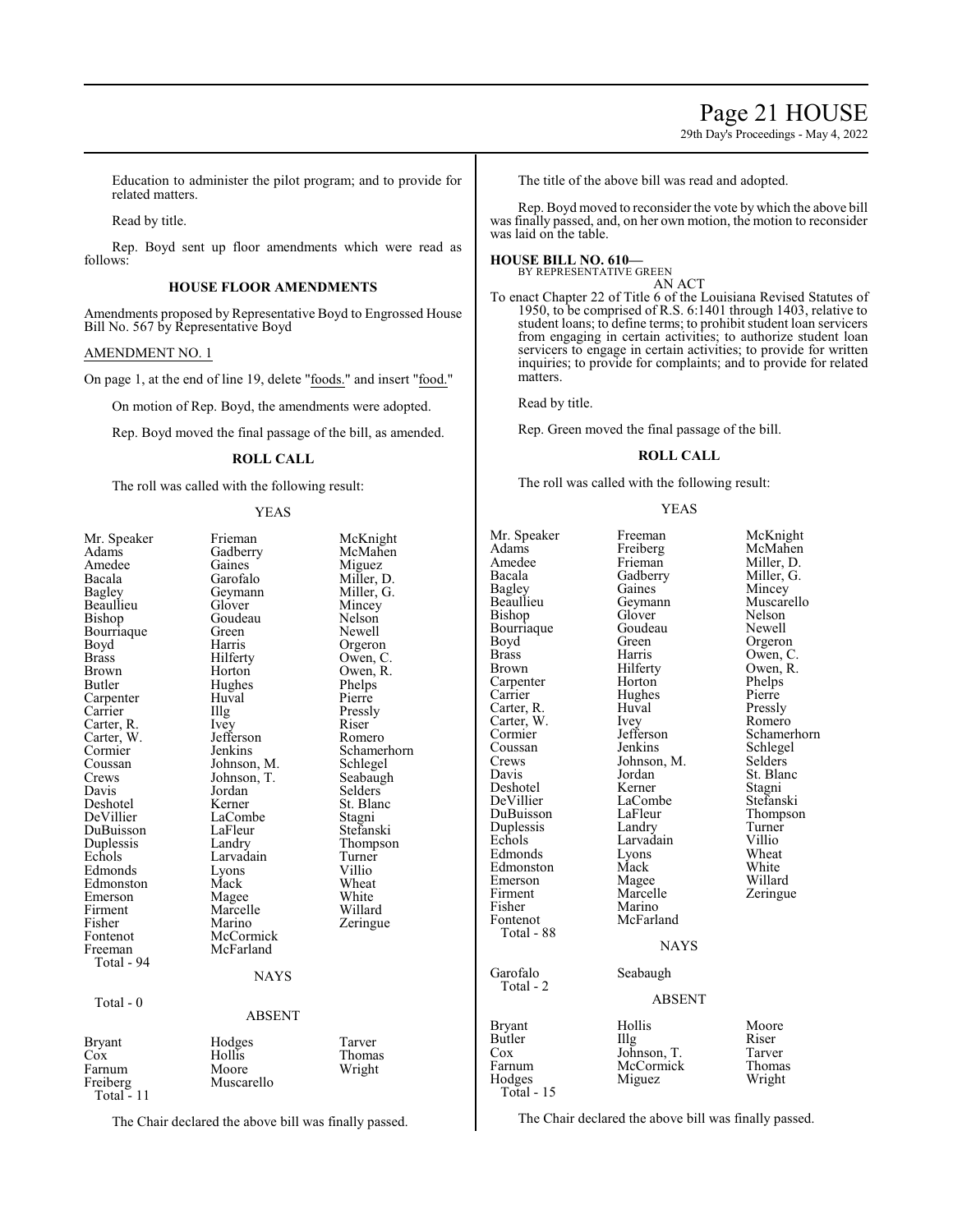# Page 21 HOUSE

29th Day's Proceedings - May 4, 2022

Education to administer the pilot program; and to provide for related matters.

Read by title.

Rep. Boyd sent up floor amendments which were read as follows:

#### **HOUSE FLOOR AMENDMENTS**

Amendments proposed by Representative Boyd to Engrossed House Bill No. 567 by Representative Boyd

#### AMENDMENT NO. 1

On page 1, at the end of line 19, delete "foods." and insert "food."

On motion of Rep. Boyd, the amendments were adopted.

Rep. Boyd moved the final passage of the bill, as amended.

#### **ROLL CALL**

The roll was called with the following result:

#### YEAS

| Mr. Speaker  | Frieman       | McKnight    |
|--------------|---------------|-------------|
| Adams        | Gadberry      | McMahen     |
| Amedee       | Gaines        | Miguez      |
| Bacala       | Garofalo      | Miller, D.  |
| Bagley       | Geymann       | Miller, G.  |
| Beaullieu    | Glover        | Mincey      |
| Bishop       | Goudeau       | Nelson      |
| Bourriaque   | Green         | Newell      |
| Boyd         | Harris        | Orgeron     |
| <b>Brass</b> | Hilferty      | Owen, C.    |
| Brown        | Horton        | Owen, R.    |
| Butler       | Hughes        | Phelps      |
| Carpenter    | Huval         | Pierre      |
| Carrier      | Illg          | Pressly     |
| Carter, R.   | <i>lvey</i>   | Riser       |
| Carter, W.   | Jefferson     | Romero      |
| Cormier      | Jenkins       | Schamerhorn |
| Coussan      | Johnson, M.   | Schlegel    |
| Crews        | Johnson, T.   | Seabaugh    |
| Davis        | Jordan        | Selders     |
| Deshotel     | Kerner        | St. Blanc   |
| DeVillier    | LaCombe       | Stagni      |
| DuBuisson    | LaFleur       | Stefanski   |
| Duplessis    | Landry        | Thompson    |
| Echols       | Larvadain     | Turner      |
| Edmonds      | Lyons         | Villio      |
| Edmonston    | Mack          | Wheat       |
| Emerson      | Magee         | White       |
| Firment      | Marcelle      | Willard     |
| Fisher       | Marino        | Zeringue    |
| Fontenot     | McCormick     |             |
| Freeman      | McFarland     |             |
| Total - 94   |               |             |
|              | <b>NAYS</b>   |             |
| Total - 0    |               |             |
|              | <b>ABSENT</b> |             |
| Bryant       | Hodges        | Tarver      |
| Cox          | Hollis        | Thomas      |
| Farnum       | Moore         | Wright      |
| Freiberg     | Muscarello    |             |
| Total - 11   |               |             |
|              |               |             |

The Chair declared the above bill was finally passed.

The title of the above bill was read and adopted.

Rep. Boyd moved to reconsider the vote by which the above bill was finally passed, and, on her own motion, the motion to reconsider was laid on the table.

#### **HOUSE BILL NO. 610—** BY REPRESENTATIVE GREEN

AN ACT

To enact Chapter 22 of Title 6 of the Louisiana Revised Statutes of 1950, to be comprised of R.S. 6:1401 through 1403, relative to student loans; to define terms; to prohibit student loan servicers from engaging in certain activities; to authorize student loan servicers to engage in certain activities; to provide for written inquiries; to provide for complaints; and to provide for related matters.

Read by title.

Rep. Green moved the final passage of the bill.

#### **ROLL CALL**

The roll was called with the following result:

#### YEAS

Mr. Speaker Freeman McKnight<br>
Adams Freiberg McMahen Adams Freiberg McMahen<br>Amedee Frieman Miller, D. Amedee Frieman Miller, D.<br>Bacala Gadberry Miller, G. Bacala Gadberry Miller, G.<br>Bagley Gaines Mincey Bagley Gaines Mincey<br>Beaullieu Geymann Muscare Beaullieu Geymann Muscarello<br>Bishop Glover Nelson Glover Nelson<br>Goudeau Newell Bourriaque Goude<br>Boyd Green Boyd Green Orgeron<br>Brass Harris Owen Brass Harris Owen, C.<br>Brown Hilferty Owen, R. Carpenter Horton Phelps<br>
Carrier Hughes Pierre Hughes Pierre<br>Huval Pressly Carter, R. Huval Pressly Carter, W. Ivey<br>Cormier Jefferson Cormier Jefferson Schamerhorn<br>
Coussan Jenkins Schlegel Coussan Jenkins Schlegel<br>Crews Johnson, M. Selders Crews Johnson, M.<br>Davis Jordan Deshotel Kerner Stagni<br>
DeVillier LaCombe Stefanski DeVillier LaCombe<br>
DuBuisson LaFleur Duplessis Landry Turner<br>
Echols Larvadain Villio Larvadain Villio<br>
Lyons Wheat Edmonds Lyons Wheat<br>Edmonston Mack White Edmonston Mack White<br>
Emerson Magee Willard Emerson Magee<br>Firment Marcelle Firment Marcelle Zeringue<br>Fisher Marino Fisher Marino<br>Fontenot McFarl McFarland Total - 88 NAYS Garofalo Seabaugh Total - 2  $T_0$ 

 $\overline{\phantom{a}}$ 

Hilferty Owen, R.<br>Horton Phelps Jordan St. Blanc<br>Kerner Stagni LaFleur Thompson<br>Landry Turner

#### ABSENT

|                  | Hollis      | Moore  |
|------------------|-------------|--------|
| Bryant<br>Butler | Illg        | Riser  |
| Cox              | Johnson, T. | Tarver |
| Farnum           | McCormick   | Thomas |
| Hodges           | Miguez      | Wright |
| Total $-15$      |             |        |

The Chair declared the above bill was finally passed.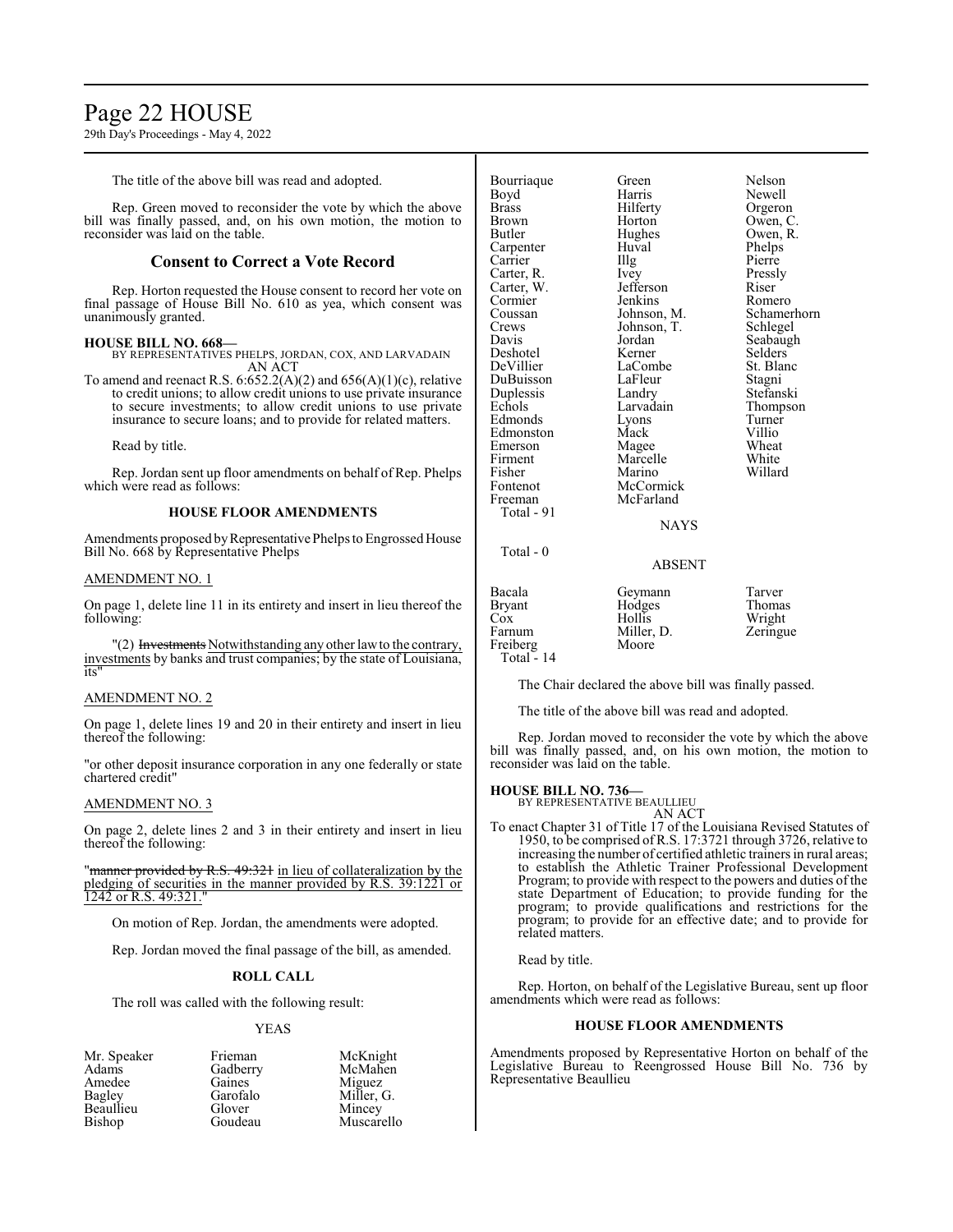# Page 22 HOUSE

29th Day's Proceedings - May 4, 2022

The title of the above bill was read and adopted.

Rep. Green moved to reconsider the vote by which the above bill was finally passed, and, on his own motion, the motion to reconsider was laid on the table.

## **Consent to Correct a Vote Record**

Rep. Horton requested the House consent to record her vote on final passage of House Bill No. 610 as yea, which consent was unanimously granted.

**HOUSE BILL NO. 668—** BY REPRESENTATIVES PHELPS, JORDAN, COX, AND LARVADAIN AN ACT

To amend and reenact R.S.  $6:652.2(A)(2)$  and  $656(A)(1)(c)$ , relative to credit unions; to allow credit unions to use private insurance to secure investments; to allow credit unions to use private insurance to secure loans; and to provide for related matters.

Read by title.

Rep. Jordan sent up floor amendments on behalf of Rep. Phelps which were read as follows:

#### **HOUSE FLOOR AMENDMENTS**

Amendments proposed by Representative Phelps to Engrossed House Bill No. 668 by Representative Phelps

#### AMENDMENT NO. 1

On page 1, delete line 11 in its entirety and insert in lieu thereof the following:

"(2) Investments Notwithstanding any other law to the contrary, investments by banks and trust companies; by the state of Louisiana, its"

#### AMENDMENT NO. 2

On page 1, delete lines 19 and 20 in their entirety and insert in lieu thereof the following:

"or other deposit insurance corporation in any one federally or state chartered credit"

#### AMENDMENT NO. 3

On page 2, delete lines 2 and 3 in their entirety and insert in lieu thereof the following:

'manner provided by R.S. 49:321 in lieu of collateralization by the pledging of securities in the manner provided by R.S. 39:1221 or 1242 or R.S. 49:321.

On motion of Rep. Jordan, the amendments were adopted.

Rep. Jordan moved the final passage of the bill, as amended.

### **ROLL CALL**

The roll was called with the following result:

### YEAS

Mr. Speaker Frieman McKnight<br>
Adams Gadberry McMahen Amedee Gaines<br>Bagley Garofalo Beaullieu Glover<br>Bishop Goudeau

Gadberry McMah<br>Gaines Miguez Garofalo Miller, G.<br>Glover Mincey

Muscarello

| Bourriaque   | Green       | Nelson         |
|--------------|-------------|----------------|
| Boyd         | Harris      | Newell         |
| <b>Brass</b> | Hilferty    | Orgeron        |
| Brown        | Horton      | Owen, C.       |
| Butler       | Hughes      | Owen, R.       |
| Carpenter    | Huval       | Phelps         |
| Carrier      | Illg        | Pierre         |
| Carter, R.   | <i>lvey</i> | Pressly        |
| Carter, W.   | Jefferson   | Riser          |
| Cormier      | Jenkins     | Romero         |
| Coussan      | Johnson, M. | Schamerhorn    |
| Crews        | Johnson, T. | Schlegel       |
| Davis        | Jordan      | Seabaugh       |
| Deshotel     | Kerner      | <b>Selders</b> |
| DeVillier    | LaCombe     | St. Blanc      |
| DuBuisson    | LaFleur     | Stagni         |
| Duplessis    | Landry      | Stefanski      |
| Echols       | Larvadain   | Thompson       |
| Edmonds      | Lyons       | Turner         |
| Edmonston    | Mack        | Villio         |
| Emerson      | Magee       | Wheat          |
| Firment      | Marcelle    | White          |
| Fisher       | Marino      | Willard        |
| Fontenot     | McCormick   |                |
| Freeman      | McFarland   |                |
| Total - 91   |             |                |
|              | NAYS        |                |

#### ABSENT

| Bacala      | Geymann    | Tarver   |
|-------------|------------|----------|
| Bryant      | Hodges     | Thomas   |
| Cox         | Hollis     | Wright   |
| Farnum      | Miller, D. | Zeringue |
| Freiberg    | Moore      |          |
| Total $-14$ |            |          |
|             |            |          |

The Chair declared the above bill was finally passed.

The title of the above bill was read and adopted.

Rep. Jordan moved to reconsider the vote by which the above bill was finally passed, and, on his own motion, the motion to reconsider was laid on the table.

### **HOUSE BILL NO. 736—**

Total - 0

BY REPRESENTATIVE BEAULLIEU AN ACT

To enact Chapter 31 of Title 17 of the Louisiana Revised Statutes of 1950, to be comprised ofR.S. 17:3721 through 3726, relative to increasing the number of certified athletic trainers in rural areas; to establish the Athletic Trainer Professional Development Program; to provide with respect to the powers and duties of the state Department of Education; to provide funding for the program; to provide qualifications and restrictions for the program; to provide for an effective date; and to provide for related matters.

#### Read by title.

Rep. Horton, on behalf of the Legislative Bureau, sent up floor amendments which were read as follows:

#### **HOUSE FLOOR AMENDMENTS**

Amendments proposed by Representative Horton on behalf of the Legislative Bureau to Reengrossed House Bill No. 736 by Representative Beaullieu

NAYS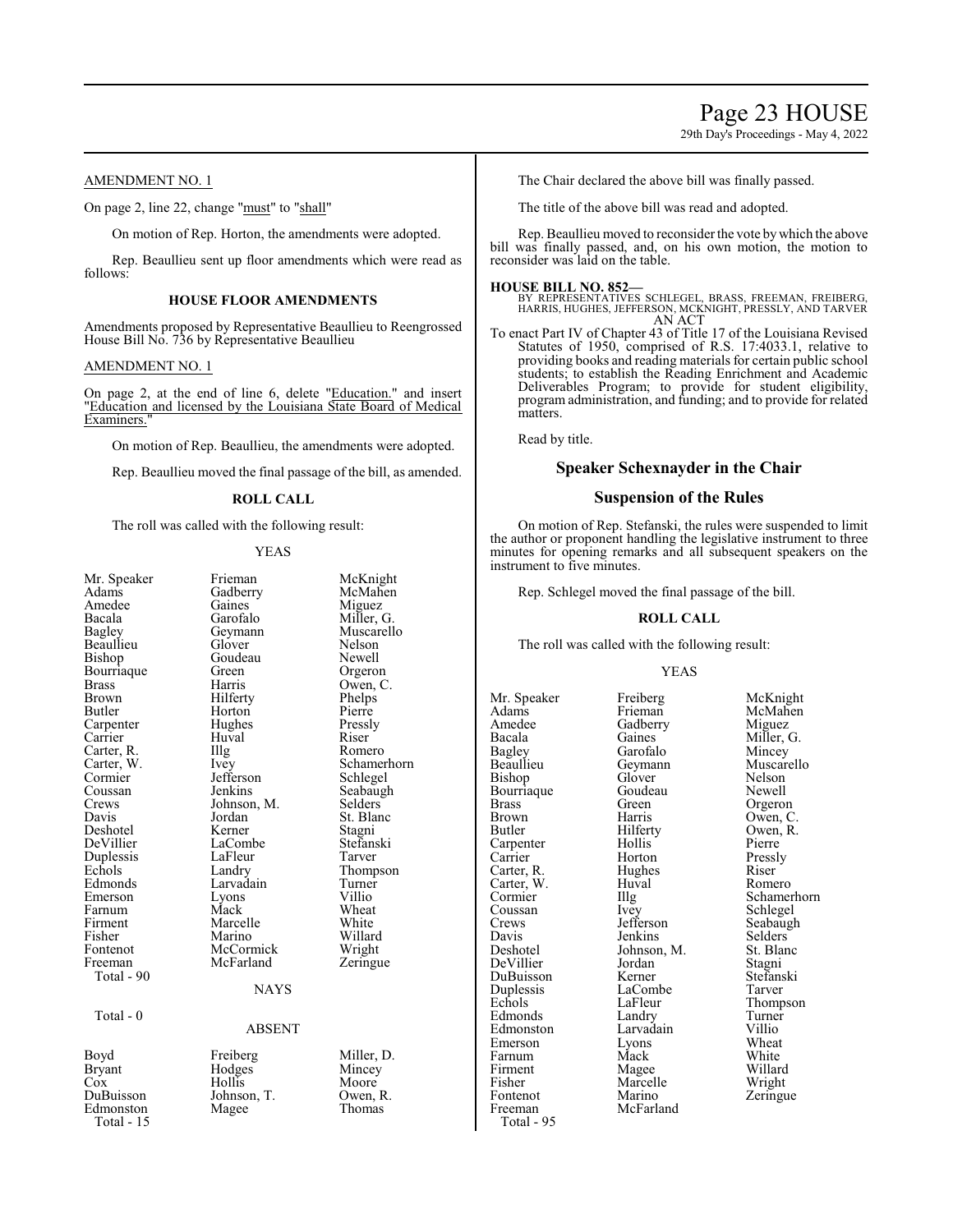# Page 23 HOUSE

29th Day's Proceedings - May 4, 2022

#### AMENDMENT NO. 1

On page 2, line 22, change "must" to "shall"

On motion of Rep. Horton, the amendments were adopted.

Rep. Beaullieu sent up floor amendments which were read as follows:

## **HOUSE FLOOR AMENDMENTS**

Amendments proposed by Representative Beaullieu to Reengrossed House Bill No. 736 by Representative Beaullieu

#### AMENDMENT NO. 1

On page 2, at the end of line 6, delete "Education." and insert "Education and licensed by the Louisiana State Board of Medical Examiners.'

On motion of Rep. Beaullieu, the amendments were adopted.

Rep. Beaullieu moved the final passage of the bill, as amended.

#### **ROLL CALL**

The roll was called with the following result:

#### YEAS

| Mr. Speaker<br>Adams<br>Amedee<br>Bacala<br>Bagley<br>Beaullieu<br>Bishop<br>Bourriaque<br>Brass<br>Brown<br>Butler<br>Carpenter<br>Carrier<br>Carter, R.<br>Carter, W.<br>Cormier<br>Coussan<br>Crews<br>Davis<br>Deshotel<br>DeVillier<br>Duplessis<br>Echols<br>Edmonds<br>Emerson<br>Farnum<br>Firment<br>Fisher<br>Fontenot<br>Freeman<br>Total - 90 | Frieman<br>Gadberry<br>Gaines<br>Garofalo<br>Geymann<br>Glover<br>Goudeau<br>Green<br>Harris<br>Hilferty<br>Horton<br>Hughes<br>Huval<br>Illg<br>Ivey<br>Jefferson<br>Jenkins<br>Johnson, M.<br>Jordan<br>Kerner<br>LaCombe<br>LaFleur<br>Landry<br>Larvadain<br>Lyons<br>Mack<br>Marcelle<br>Marino<br>McCormick<br>McFarland<br><b>NAYS</b> | McKnight<br>McMaher<br>Miguez<br>Miller, G.<br>Muscarell<br>Nelson<br>Newell<br>Orgeron<br>Owen, C.<br>Phelps<br>Pierre<br>Pressly<br>Riser<br>Romero<br>Schamerh<br>Schlegel<br>Seabaugh<br>Selders<br>St. Blanc<br>Stagni<br>Stefanski<br>Tarver<br>Thompson<br>Turner<br>Villio<br>Wheat<br>White<br>Willard<br>Wright<br>Zeringue |
|-----------------------------------------------------------------------------------------------------------------------------------------------------------------------------------------------------------------------------------------------------------------------------------------------------------------------------------------------------------|-----------------------------------------------------------------------------------------------------------------------------------------------------------------------------------------------------------------------------------------------------------------------------------------------------------------------------------------------|---------------------------------------------------------------------------------------------------------------------------------------------------------------------------------------------------------------------------------------------------------------------------------------------------------------------------------------|
| Total - 0                                                                                                                                                                                                                                                                                                                                                 | ABSENT                                                                                                                                                                                                                                                                                                                                        |                                                                                                                                                                                                                                                                                                                                       |
| Boyd<br>Bryant<br>Cox<br>DuBuisson<br>Edmonston<br>Total - 15                                                                                                                                                                                                                                                                                             | Freiberg<br>Hodges<br>Hollis<br>Johnson, T.<br>Magee                                                                                                                                                                                                                                                                                          | Miller, D.<br>Mincey<br>Moore<br>Owen, R.<br>Thomas                                                                                                                                                                                                                                                                                   |

Knight Mahen<br>guez iscarello<br>Ison ven, C.<br>elps amerhorn hlegel ıbaugh<br>ders ompson

The Chair declared the above bill was finally passed.

The title of the above bill was read and adopted.

Rep. Beaullieu moved to reconsider the vote bywhich the above bill was finally passed, and, on his own motion, the motion to reconsider was laid on the table.

#### **HOUSE BILL NO. 852—**

BY REPRESENTATIVES SCHLEGEL, BRASS, FREEMAN, FREIBERG, HARRIS, HUGHES, JEFFERSON, MCKNIGHT, PRESSLY, AND TARVER AN ACT

To enact Part IV of Chapter 43 of Title 17 of the Louisiana Revised Statutes of 1950, comprised of R.S. 17:4033.1, relative to providing books and reading materials for certain public school students; to establish the Reading Enrichment and Academic Deliverables Program; to provide for student eligibility, program administration, and funding; and to provide for related matters.

Read by title.

## **Speaker Schexnayder in the Chair**

#### **Suspension of the Rules**

On motion of Rep. Stefanski, the rules were suspended to limit the author or proponent handling the legislative instrument to three minutes for opening remarks and all subsequent speakers on the instrument to five minutes.

Rep. Schlegel moved the final passage of the bill.

#### **ROLL CALL**

The roll was called with the following result:

#### YEAS

Amedee Gadberry<br>Bacala Gaines Bagley Garofalo<br>Beaullieu Geymann Bourriaque Goude<br>Brass Green Carter, W. Huv<br>Cormier Hllg Duplessis LaCombe<br>
Echols LaFleur Fisher Marcelle<br>Fontenot Marino McFarland Total - 95

Mr. Speaker Freiberg McKnight<br>
Adams Frieman McMahen Adams Frieman McMahen Bacala Gaines Miller, G.<br>Bagley Garofalo Mincey Geymann Muscarello<br>Glover Nelson Bishop Glover Nelson<br>Bourriaque Goudeau Newell Brass Green Orgeron<br>Brown Harris Owen, C Brown Harris Owen, C.<br>Butler Hilferty Owen, R. Hilferty Owen, R.<br>Hollis Pierre Carpenter Hollis Pierre<br>
Carrier Horton Pressly Horton Pressl<br>Hughes Riser Carter, R. Hughes Riser Carter, W. Huval Romero Cormier Illg Schamerhorn<br>
Coussan Ivey Schlegel Coussan Ivey Schlegel<br>Crews Jefferson Seabaugl Crews Jefferson Seabaugh<br>
Davis Jenkins Selders Davis Jenkins Selders<br>Deshotel Johnson, M. St. Blanc Johnson, M. St. Blanch<br>Jordan Stagni DeVillier Jordan Stagni DuBuisson Kerner Stefans<br>
Duplessis LaCombe Tarver LaFleur Thompson<br>Landrv Turner Edmonds Landry Turner<br>Edmonston Larvadain Villio Edmonston Larvadain Villio<br>Emerson Lyons Wheat Emerson Lyons Wheat<br>
Farnum Mack White Farnum Mack White<br>Firment Mage Willard Firment Magee Willard<br>Fisher Marcelle Wright Fontenot Marino Zeringue<br>Freeman McFarland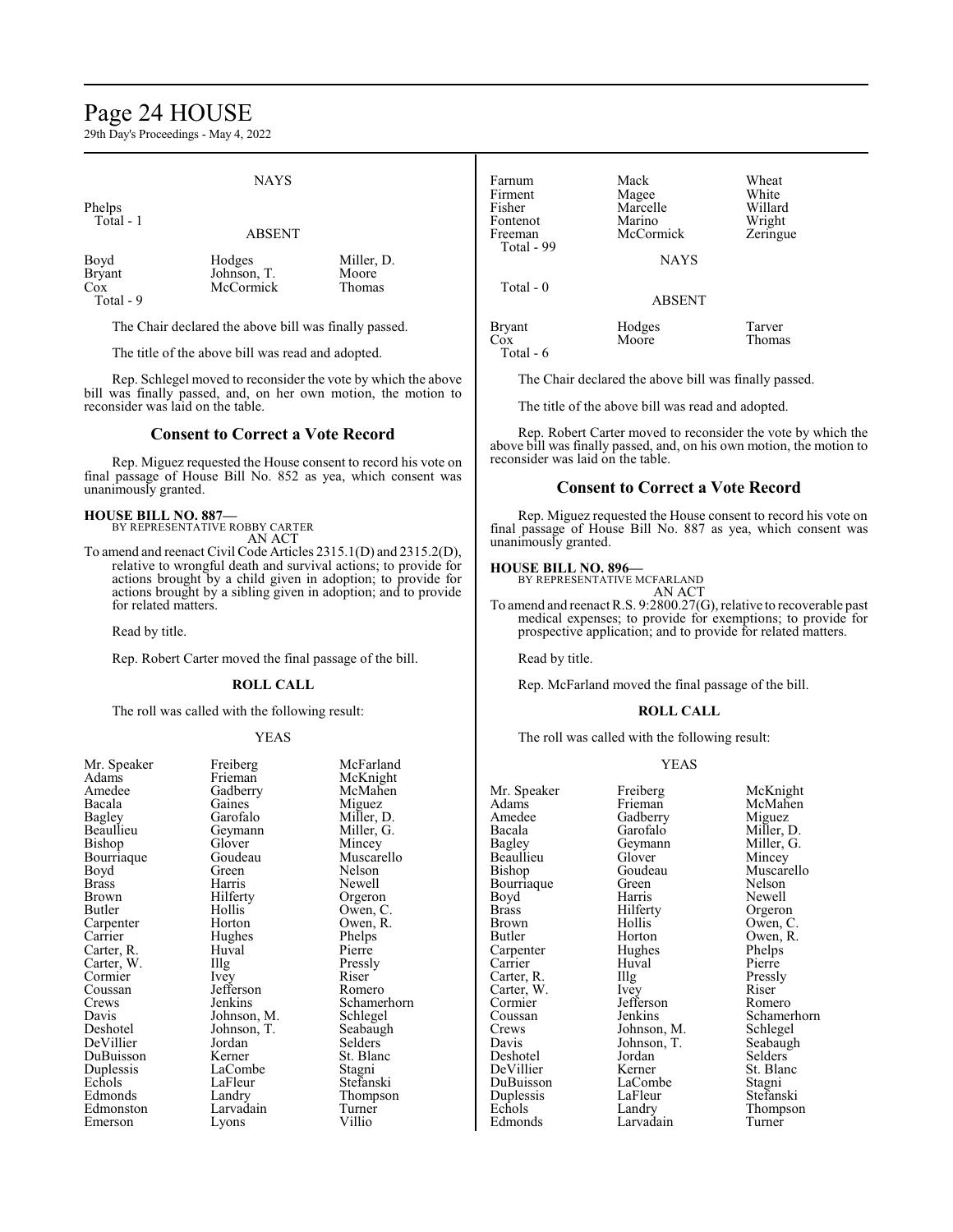# Page 24 HOUSE

29th Day's Proceedings - May 4, 2022

#### **NAYS**

Phelps Total - 1

#### ABSENT

| Boyd          | Hodges      | Miller, D. |
|---------------|-------------|------------|
| <b>Bryant</b> | Johnson, T. | Moore      |
| Cox           | McCormick   | Thomas     |
| Total - 9     |             |            |

The Chair declared the above bill was finally passed.

The title of the above bill was read and adopted.

Rep. Schlegel moved to reconsider the vote by which the above bill was finally passed, and, on her own motion, the motion to reconsider was laid on the table.

#### **Consent to Correct a Vote Record**

Rep. Miguez requested the House consent to record his vote on final passage of House Bill No. 852 as yea, which consent was unanimously granted.

#### **HOUSE BILL NO. 887—**

BY REPRESENTATIVE ROBBY CARTER AN ACT

To amend and reenact Civil Code Articles 2315.1(D) and 2315.2(D), relative to wrongful death and survival actions; to provide for actions brought by a child given in adoption; to provide for actions brought by a sibling given in adoption; and to provide for related matters.

Read by title.

Rep. Robert Carter moved the final passage of the bill.

#### **ROLL CALL**

The roll was called with the following result:

Hughes

Jefferson<br>Jenkins

Johnson, T.<br>Jordan

LaCombe<br>LaFleur

Lyons

#### YEAS

| Mr. Speaker   |
|---------------|
| Adams         |
| Amedee        |
| Bacala        |
| <b>Bagley</b> |
| Beaullieu     |
| Bishop        |
| Bourriaque    |
| Boyd          |
| <b>Brass</b>  |
| Brown         |
| Butler        |
| Carpenter     |
| Carrier       |
| Carter, R.    |
| Carter, W.    |
| Cormier       |
| Coussan       |
| Crews         |
| Davis         |
| Deshotel      |
| DeVillier     |
| DuBuisson     |
| Duplessis     |
| Echols        |
| Edmonds       |
| Edmonston     |
| Emerson       |
|               |

Freiberg McFarland<br>Frieman McKnight Frieman McKnight<br>Gadberry McMahen Gadberry McMahen<br>Gaines Miguez Gaines Miguez<br>Garofalo Miller, I Garofalo Miller, D.<br>Geymann Miller, G. Geymann Miller, G.<br>Glover Mincey Glover Mincey<br>Goudeau Muscar Goudeau Muscarello<br>Green Nelson Green Nelson<br>Harris Newell Harris Newell<br>Hilferty Orgeror Hilferty Orgeron<br>Hollis Owen, C Hollis Owen, C.<br>Horton Owen, R. Owen, R.<br>Phelps Huval Pierre<br>
Illg Pressl The Pressly<br>
The Pressly<br>
Riser Riser<br>Romero Schamerhorn<br>Schlegel Johnson, M. Schlegel<br>Johnson, T. Seabaugh Jordan Selders<br>
Kerner St. Blan St. Blanc<br>Stagni LaFleur Stefanski<br>Landry Thompso Thompson<br>Turner Larvadain Turner<br>Lyons Villio

| Farnum<br>Firment<br>Fisher<br>Fontenot<br>Freeman | Mack<br>Magee<br>Marcelle<br>Marino<br>McCormick | Wheat<br>White<br>Willard<br>Wright<br>Zeringue |
|----------------------------------------------------|--------------------------------------------------|-------------------------------------------------|
| Total - 99                                         | <b>NAYS</b>                                      |                                                 |
| Total $-0$                                         | <b>ABSENT</b>                                    |                                                 |
| <b>Bryant</b><br>Cox<br>Total - 6                  | Hodges<br>Moore                                  | Tarver<br>Thomas                                |

The Chair declared the above bill was finally passed.

The title of the above bill was read and adopted.

Rep. Robert Carter moved to reconsider the vote by which the above bill was finally passed, and, on his own motion, the motion to reconsider was laid on the table.

### **Consent to Correct a Vote Record**

Rep. Miguez requested the House consent to record his vote on final passage of House Bill No. 887 as yea, which consent was unanimously granted.

# **HOUSE BILL NO. 896—** BY REPRESENTATIVE MCFARLAND

- AN ACT
- To amend and reenact R.S. 9:2800.27(G), relative to recoverable past medical expenses; to provide for exemptions; to provide for prospective application; and to provide for related matters.

Read by title.

Rep. McFarland moved the final passage of the bill.

#### **ROLL CALL**

The roll was called with the following result:

#### YEAS

| Mr. Speaker   | Freiberg    | McKnight    |
|---------------|-------------|-------------|
| Adams         | Frieman     | McMahen     |
| Amedee        | Gadberry    | Miguez      |
| Bacala        | Garofalo    | Miller, D.  |
| Bagley        | Geymann     | Miller, G.  |
| Beaullieu     | Glover      | Mincey      |
| Bishop        | Goudeau     | Muscarello  |
| Bourriaque    | Green       | Nelson      |
| Boyd          | Harris      | Newell      |
| Brass         | Hilferty    | Orgeron     |
| Brown         | Hollis      | Owen, C.    |
| <b>Butler</b> | Horton      | Owen, R.    |
| Carpenter     | Hughes      | Phelps      |
| Carrier       | Huval       | Pierre      |
| Carter, R.    | Illg        | Pressly     |
| Carter, W.    | Ivey        | Riser       |
| Cormier       | Jefferson   | Romero      |
| Coussan       | Jenkins     | Schamerhorn |
| Crews         | Johnson, M. | Schlegel    |
| Davis         | Johnson, T. | Seabaugh    |
| Deshotel      | Jordan      | Selders     |
| DeVillier     | Kerner      | St. Blanc   |
| DuBuisson     | LaCombe     | Stagni      |
| Duplessis     | LaFleur     | Stefanski   |
| Echols        | Landry      | Thompson    |
| Edmonds       | Larvadain   | Turner      |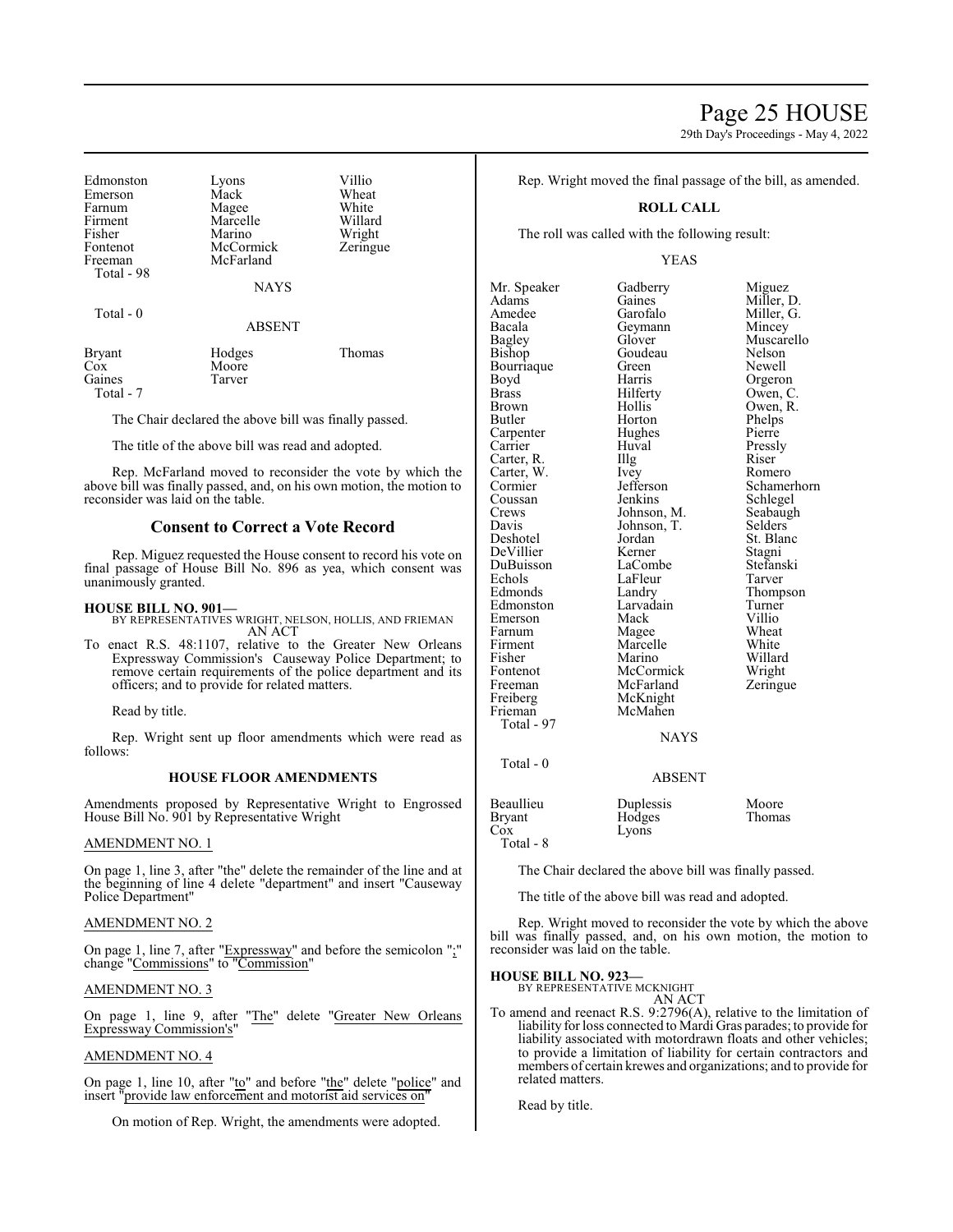# Page 25 HOUSE

29th Day's Proceedings - May 4, 2022

| Edmonston  | Lyons     | Villio |
|------------|-----------|--------|
| Emerson    | Mack      | Wheat  |
| Farnum     | Magee     | White  |
| Firment    | Marcelle  | Willar |
| Fisher     | Marino    | Wrigh  |
| Fontenot   | McCormick | Zering |
| Freeman    | McFarland |        |
| Total - 98 |           |        |

Zeringue

#### **NAYS**

#### Total - 0

ABSENT

| <b>Bryant</b> | Hodges | <b>Thomas</b> |
|---------------|--------|---------------|
| $\cos$        | Moore  |               |
| Gaines        | Tarver |               |
| Total - 7     |        |               |

The Chair declared the above bill was finally passed.

The title of the above bill was read and adopted.

Rep. McFarland moved to reconsider the vote by which the above bill was finally passed, and, on his own motion, the motion to reconsider was laid on the table.

# **Consent to Correct a Vote Record**

Rep. Miguez requested the House consent to record his vote on final passage of House Bill No. 896 as yea, which consent was unanimously granted.

#### **HOUSE BILL NO. 901—**

BY REPRESENTATIVES WRIGHT, NELSON, HOLLIS, AND FRIEMAN AN ACT

To enact R.S. 48:1107, relative to the Greater New Orleans Expressway Commission's Causeway Police Department; to remove certain requirements of the police department and its officers; and to provide for related matters.

Read by title.

Rep. Wright sent up floor amendments which were read as follows:

#### **HOUSE FLOOR AMENDMENTS**

Amendments proposed by Representative Wright to Engrossed House Bill No. 901 by Representative Wright

#### AMENDMENT NO. 1

On page 1, line 3, after "the" delete the remainder of the line and at the beginning of line 4 delete "department" and insert "Causeway Police Department"

#### AMENDMENT NO. 2

On page 1, line 7, after "Expressway" and before the semicolon ";" change "Commissions" to "Commission"

#### AMENDMENT NO. 3

On page 1, line 9, after "The" delete "Greater New Orleans Expressway Commission's"

## AMENDMENT NO. 4

On page 1, line 10, after "to" and before "the" delete "police" and insert "provide law enforcement and motorist aid services on"

On motion of Rep. Wright, the amendments were adopted.

Rep. Wright moved the final passage of the bill, as amended.

#### **ROLL CALL**

The roll was called with the following result:

#### YEAS

Mr. Speaker Gadberry Miguez<br>Adams Gaines Miller, 1 Adams Gaines Miller, D.<br>Amedee Garofalo Miller, G. Amedee Garofalo Miller, G.<br>Bacala Geymann Mincey Bacala Geymann<br>Bagley Glover Bagley Glover Muscarello<br>Bishop Goudeau Nelson Bourriaque Boyd Harris Orgeron<br>Brass Hilferty Owen, C Brass Hilferty Owen, C. Brown Hollis Owen, R.<br>Butler Horton Phelps Carpenter Hughe<br>Carrier Huval Carter, R. Illg. Riser<br>Carter, W. Ivey Romero Carter, W. Ivey<br>Cormier Jefferson Cormier Jefferson Schamerhorn<br>
Coussan Jenkins Schlegel Coussan Jenkins Schlegel<br>Crews Johnson, M. Seabaugh Crews Johnson, M. Seabaughter Seabaughter Seabaughter Seabaughter Seabaughter Seabaughter Seabaughter Seabaughter<br>
The Seabaughter Seabaughter Seabaughter Seabaughter Seabaughter Seabaughter Seabaughter Seabaughter Seabaug Davis Johnson, T.<br>Deshotel Jordan DeVillier Kerner<br>DuBuisson LaCombe DuBuisson LaCombe Stefanski Echols LaFleur<br>Edmonds Landry Edmonston Larvadain Turner<br>Emerson Mack Villio Emerson Mack Villio<br>
Farnum Magee Wheat Farnum Magee Wheat<br>Firment Marcelle White Firment Marcelle White<br>
Fisher Marino Willard Fontenot McCormick Wright<br>
Freeman McFarland Zeringue Freeman McFarland<br>
Freiberg McKnight Freiberg McKnight<br>Frieman McMahen McMahen Total - 97

Goudeau Nelson<br>Green Newell Horton Phelps<br>Hughes Pierre Huval Pressly<br>Illg Riser Jordan St. Blanc<br>Kerner Stagni Landry Thompson<br>
Larvadain Turner Marino Willard<br>
McCormick Wright

# NAYS

Total - 0

#### ABSENT

| Beaullieu | Duplessis | Moore  |
|-----------|-----------|--------|
| Bryant    | Hodges    | Thomas |
| Cox       | Lyons     |        |
| Total - 8 |           |        |

The Chair declared the above bill was finally passed.

The title of the above bill was read and adopted.

Rep. Wright moved to reconsider the vote by which the above bill was finally passed, and, on his own motion, the motion to reconsider was laid on the table.

#### **HOUSE BILL NO. 923—**

BY REPRESENTATIVE MCKNIGHT AN ACT

To amend and reenact R.S. 9:2796(A), relative to the limitation of liability for loss connected to Mardi Gras parades; to provide for liability associated with motordrawn floats and other vehicles; to provide a limitation of liability for certain contractors and members of certain krewes and organizations; and to provide for related matters.

Read by title.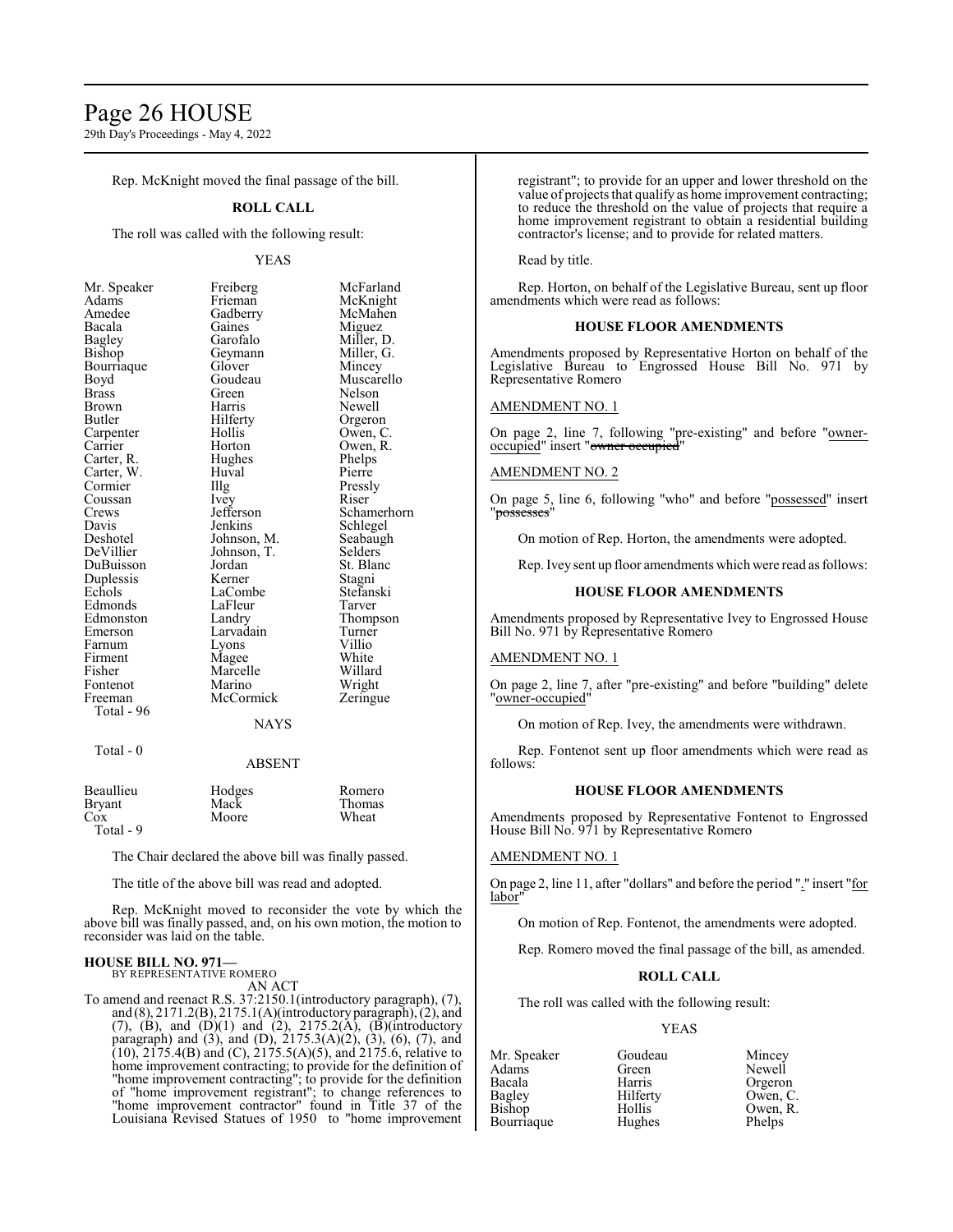# Page 26 HOUSE

29th Day's Proceedings - May 4, 2022

Rep. McKnight moved the final passage of the bill.

#### **ROLL CALL**

The roll was called with the following result:

#### YEAS

| Mr. Speaker  | Freiberg    | McFarland   |
|--------------|-------------|-------------|
| Adams        | Frieman     | McKnight    |
| Amedee       | Gadberry    | McMahen     |
| Bacala       | Gaines      | Miguez      |
| Bagley       | Garofalo    | Miller, D.  |
| Bishop       | Geymann     | Miller, G.  |
| Bourriaque   | Glover      | Mincey      |
| Boyd         | Goudeau     | Muscarello  |
| <b>Brass</b> | Green       | Nelson      |
| Brown        | Harris      | Newell      |
| Butler       | Hilferty    | Orgeron     |
| Carpenter    | Hollis      | Owen, C.    |
| Carrier      | Horton      | Owen, R.    |
| Carter, R.   | Hughes      | Phelps      |
| Carter, W.   | Huval       | Pierre      |
| Cormier      | Illg        | Pressly     |
| Coussan      | Ivey        | Riser       |
| Crews        | Jefferson   | Schamerhorn |
| Davis        | Jenkins     | Schlegel    |
| Deshotel     | Johnson, M. | Seabaugh    |
| DeVillier    | Johnson, T. | Selders     |
| DuBuisson    | Jordan      | St. Blanc   |
| Duplessis    | Kerner      | Stagni      |
| Echols       | LaCombe     | Stefanski   |
| Edmonds      | LaFleur     | Tarver      |
| Edmonston    | Landry      | Thompson    |
| Emerson      | Larvadain   | Turner      |
| Farnum       | Lyons       | Villio      |
| Firment      | Magee       | White       |
| Fisher       | Marcelle    | Willard     |
| Fontenot     | Marino      | Wright      |
| Freeman      | McCormick   | Zeringue    |
| Total - 96   |             |             |
|              | NAYS        |             |

#### Total - 0

# ABSENT

| Beaullieu | Hodges | Romero |
|-----------|--------|--------|
| Bryant    | Mack   | Thomas |
| Cox       | Moore  | Wheat  |
| Total - 9 |        |        |

The Chair declared the above bill was finally passed.

The title of the above bill was read and adopted.

Rep. McKnight moved to reconsider the vote by which the above bill was finally passed, and, on his own motion, the motion to reconsider was laid on the table.

# **HOUSE BILL NO. 971—** BY REPRESENTATIVE ROMERO

AN ACT

To amend and reenact R.S. 37:2150.1(introductory paragraph), (7), and (8), 2171.2(B), 2175.1(A)(introductory paragraph), (2), and (7), (B), and  $(D)(1)$  and  $(2)$ , 2175.2(A),  $(B)$ (introductory paragraph) and (3), and (D),  $2175.3(A)(2)$ , (3), (6), (7), and  $(10)$ ,  $2175.4(B)$  and  $(C)$ ,  $2175.5(A)(5)$ , and  $2175.6$ , relative to home improvement contracting; to provide for the definition of "home improvement contracting"; to provide for the definition of "home improvement registrant"; to change references to "home improvement contractor" found in Title 37 of the Louisiana Revised Statues of 1950 to "home improvement

registrant"; to provide for an upper and lower threshold on the value of projects that qualify as home improvement contracting; to reduce the threshold on the value of projects that require a home improvement registrant to obtain a residential building contractor's license; and to provide for related matters.

Read by title.

Rep. Horton, on behalf of the Legislative Bureau, sent up floor amendments which were read as follows:

#### **HOUSE FLOOR AMENDMENTS**

Amendments proposed by Representative Horton on behalf of the Legislative Bureau to Engrossed House Bill No. 971 by Representative Romero

#### AMENDMENT NO. 1

On page 2, line 7, following "pre-existing" and before "owneroccupied" insert "<del>owner occupied</del>"

#### AMENDMENT NO. 2

On page 5, line 6, following "who" and before "possessed" insert "possesses"

On motion of Rep. Horton, the amendments were adopted.

Rep. Ivey sent up floor amendments which were read as follows:

### **HOUSE FLOOR AMENDMENTS**

Amendments proposed by Representative Ivey to Engrossed House Bill No. 971 by Representative Romero

#### AMENDMENT NO. 1

On page 2, line 7, after "pre-existing" and before "building" delete "owner-occupied"

On motion of Rep. Ivey, the amendments were withdrawn.

Rep. Fontenot sent up floor amendments which were read as follows:

#### **HOUSE FLOOR AMENDMENTS**

Amendments proposed by Representative Fontenot to Engrossed House Bill No. 971 by Representative Romero

#### AMENDMENT NO. 1

On page 2, line 11, after "dollars" and before the period "." insert "for labor'

On motion of Rep. Fontenot, the amendments were adopted.

Rep. Romero moved the final passage of the bill, as amended.

## **ROLL CALL**

The roll was called with the following result:

#### YEAS

Mr. Speaker Goudeau Mincey<br>Adams Green Newell Adams Green Newell<br>
Bacala Harris Orgeror Bacala Harris Orgeron Bagley Hilferty Owen, C.<br>Bishop Hollis Owen, R. Bourriaque

Hollis Owen, R.<br>Hughes Phelps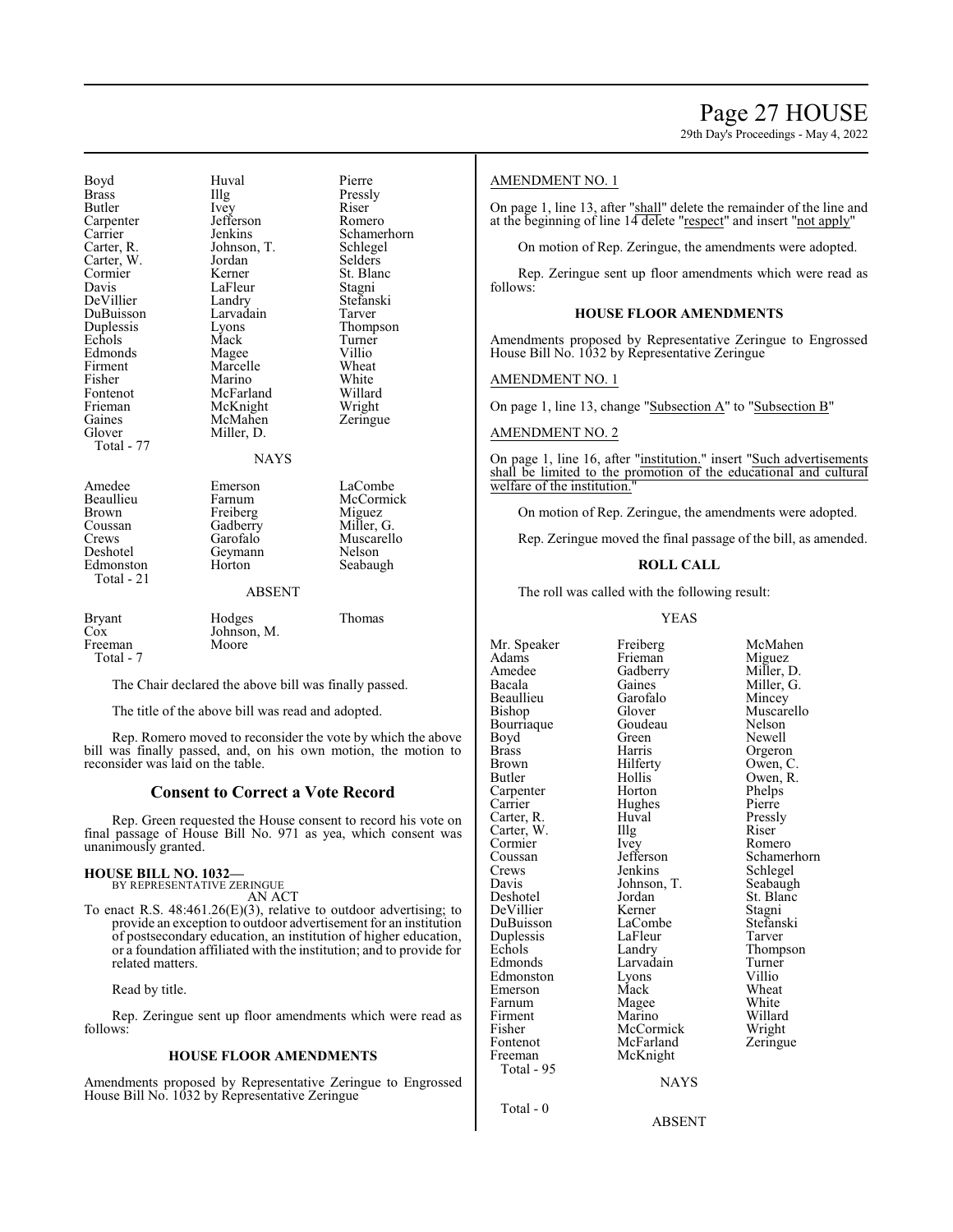29th Day's Proceedings - May 4, 2022

Boyd Huval Pierre<br>Brass Hllg Pressl Illg Pressly<br>Ivey Riser Butler Ivey Riser Carpenter Jefferso<br>Carrier Jenkins Carter, R. Carter, W. Jordan Selders Cormier Kerner St. Blanc LaFleur Stagni<br>Landry Stefanski DeVillier Landry Stefans<br>DuBuisson Larvadain Tarver DuBuisson Larvadain<br>
Duplessis Lyons Echols Mack Turne<br>
Edmonds Mage Villio Edmonds Magee Villio<br>Firment Marcelle Wheat Firment Marcelle Wheat<br>
Fisher Marino White Fisher Marino White Fontenot McFarland Willard<br>Frieman McKnight Wright McKnight Wright<br>
McMahen Zeringue Gaines McMahen<br>Glover Miller D Miller, D. Total - 77 **NAYS** Amedee Emerson LaCombe<br>
Beaullieu Farnum McCormic Beaullieu Farnum McCormick Brown Freiberg Miguez<br>
Coussan Gadberry Miller, G. Coussan Gadberry<br>Crews Garofalo Crews Garofalo Muscarello<br>
Deshotel Geymann Nelson Deshotel Geymann<br>Edmonston Horton Total - 21 ABSENT Bryant Hodges Thomas<br>
Cox Johnson, M. Johnson, M.<br>Moore Freeman Total - 7

Jenkins Schamerhorn<br>Johnson, T. Schlegel Lyons Thompson<br>Mack Turner

Seabaugh

The Chair declared the above bill was finally passed.

The title of the above bill was read and adopted.

Rep. Romero moved to reconsider the vote by which the above bill was finally passed, and, on his own motion, the motion to reconsider was laid on the table.

### **Consent to Correct a Vote Record**

Rep. Green requested the House consent to record his vote on final passage of House Bill No. 971 as yea, which consent was unanimously granted.

#### **HOUSE BILL NO. 1032—** BY REPRESENTATIVE ZERINGUE

AN ACT

To enact R.S. 48:461.26(E)(3), relative to outdoor advertising; to provide an exception to outdoor advertisement for an institution of postsecondary education, an institution of higher education, or a foundation affiliated with the institution; and to provide for related matters.

Read by title.

Rep. Zeringue sent up floor amendments which were read as follows:

#### **HOUSE FLOOR AMENDMENTS**

Amendments proposed by Representative Zeringue to Engrossed House Bill No. 1032 by Representative Zeringue

#### AMENDMENT NO. 1

On page 1, line 13, after "shall" delete the remainder of the line and at the beginning of line 14 delete "respect" and insert "not apply"

On motion of Rep. Zeringue, the amendments were adopted.

Rep. Zeringue sent up floor amendments which were read as follows:

#### **HOUSE FLOOR AMENDMENTS**

Amendments proposed by Representative Zeringue to Engrossed House Bill No. 1032 by Representative Zeringue

# AMENDMENT NO. 1

On page 1, line 13, change "Subsection A" to "Subsection B"

#### AMENDMENT NO. 2

On page 1, line 16, after "institution." insert "Such advertisements shall be limited to the promotion of the educational and cultural welfare of the institution.

On motion of Rep. Zeringue, the amendments were adopted.

Rep. Zeringue moved the final passage of the bill, as amended.

#### **ROLL CALL**

The roll was called with the following result:

#### YEAS

Adams Frieman<br>Amedee Gadberry Amedee Gadberry Miller, D.<br>Bacala Gaines Miller, G. Beaullieu Garofal<br>Bishop Glover Bourriaque Goudeau Nelson<br>Boyd Green Newell Boyd Green<br>Brass Harris Brass Harris Orgeron<br>Brown Hilferty Owen, C Brown Hilferty Owen, C.<br>Butler Hollis Owen, R. Carpenter Horton Phelps<br>
Carrier Hughes Pierre Carter, R. Huval Pressly Carter, W. Illg Riser<br>Cormier Ivev Romero Cormier Ivey<br>Coussan Jefferson Crews Jenkins Schlegel<br>Davis Johnson, T. Seabaugh Davis Johnson, T.<br>Deshotel Jordan DeVillier Kerner Stagni<br>DuBuisson LaCombe Stefanski DuBuisson LaCombe Stefans<br>
Duplessis LaFleur Tarver Duplessis<br>Echols Echols Landry Thompson<br>
Edmonds Larvadain Turner Edmonston Lyons Villio Emerson Mack Wheat<br>
Farnum Magee White Farnum Magee<br>Firment Marino Firment Marino Willard<br>Fisher McCormick Wright Fisher McCormick Wright<br>
Fontenot McFarland Zeringue Fontenot McFarland<br>Freeman McKnight Total - 95

Hughes Pierre<br>Huval Pressly Larvadain Turner<br>Lyons Villio McKnight

Total - 0

Mr. Speaker Freiberg McMahen<br>Adams Frieman Miguez Gaines Miller, G.<br>Garofalo Mincey Glover Muscarello<br>Goudeau Nelson Hollis Owen, R.<br>Horton Phelps Coussan Jefferson Schamerhorn<br>Crews Jenkins Schlegel Jordan St. Blanc<br>Kerner Stagni

#### NAYS

ABSENT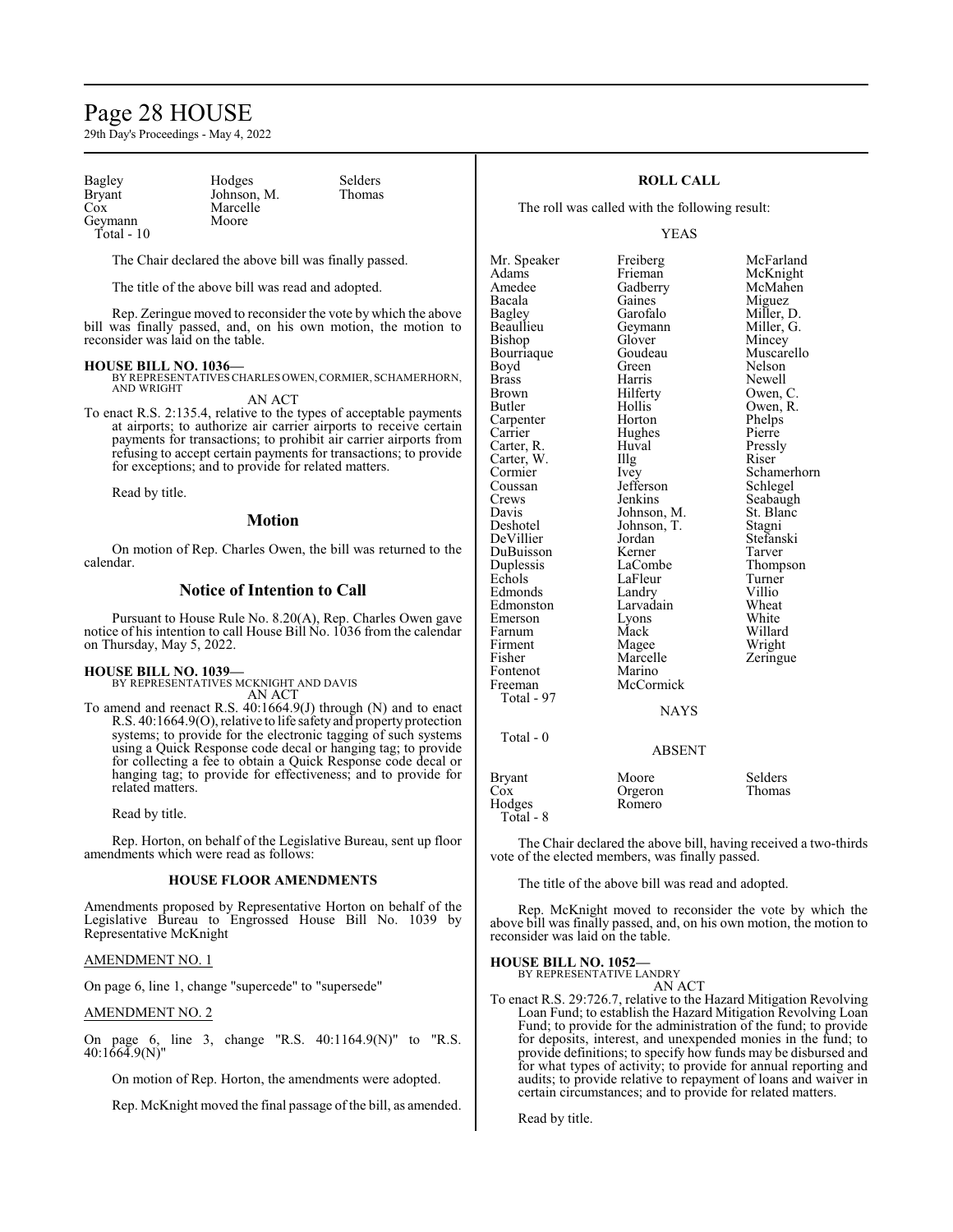# Page 28 HOUSE

29th Day's Proceedings - May 4, 2022

Bagley Hodges Selders<br>Bryant Johnson, M. Thomas Bryant Johnson, M.<br>Cox Marcelle Geymann Total - 10

Marcelle<br>Moore

The Chair declared the above bill was finally passed.

The title of the above bill was read and adopted.

Rep. Zeringue moved to reconsider the vote by which the above bill was finally passed, and, on his own motion, the motion to reconsider was laid on the table.

#### **HOUSE BILL NO. 1036—**

BY REPRESENTATIVES CHARLES OWEN, CORMIER, SCHAMERHORN, AND WRIGHT AN ACT

To enact R.S. 2:135.4, relative to the types of acceptable payments at airports; to authorize air carrier airports to receive certain payments for transactions; to prohibit air carrier airports from refusing to accept certain payments for transactions; to provide for exceptions; and to provide for related matters.

Read by title.

#### **Motion**

On motion of Rep. Charles Owen, the bill was returned to the calendar.

#### **Notice of Intention to Call**

Pursuant to House Rule No. 8.20(A), Rep. Charles Owen gave notice of his intention to call House Bill No. 1036 from the calendar on Thursday, May 5, 2022.

#### **HOUSE BILL NO. 1039—**

BY REPRESENTATIVES MCKNIGHT AND DAVIS AN ACT

To amend and reenact R.S. 40:1664.9(J) through (N) and to enact R.S. 40:1664.9(O), relative to life safety and property protection systems; to provide for the electronic tagging of such systems using a Quick Response code decal or hanging tag; to provide for collecting a fee to obtain a Quick Response code decal or hanging tag; to provide for effectiveness; and to provide for related matters.

Read by title.

Rep. Horton, on behalf of the Legislative Bureau, sent up floor amendments which were read as follows:

#### **HOUSE FLOOR AMENDMENTS**

Amendments proposed by Representative Horton on behalf of the Legislative Bureau to Engrossed House Bill No. 1039 by Representative McKnight

#### AMENDMENT NO. 1

On page 6, line 1, change "supercede" to "supersede"

#### AMENDMENT NO. 2

On page 6, line 3, change "R.S. 40:1164.9(N)" to "R.S. 40:1664.9(N)"

On motion of Rep. Horton, the amendments were adopted.

Rep. McKnight moved the final passage of the bill, as amended.

## **ROLL CALL**

The roll was called with the following result:

#### YEAS

Mr. Speaker Freiberg McFarland<br>Adams Frieman McKnight Adams Frieman McKnight<br>Amedee Gadberry McMahen Amedee Gadberry McMahen<br>Bacala Gaines Miguez Bacala Gaines Miguez<br>
Bagley Garofalo Miller, I Bagley Garofalo Miller, D. Bishop Glover Mincey<br>Bourriaque Goudeau Muscarello Bourriaque Goudeau Muscarello<br>Boyd Green Nelson Boyd Brass Harris Newell<br>Brown Hilferty Owen, Brown Hilferty Owen, C.<br>Butler Hollis Owen, R. Carpenter Horton Phelps<br>
Carrier Hughes Pierre Carter, R. Huval Pressly Carter, W. Illg<br>Cormier Ivev Cormier Ivey Schamerhorn<br>
Coussan Iefferson Schlegel Coussan Jefferson Schlegel<br>Crews Jenkins Seabaugh Crews Jenkins Seabaugh<br>
Davis Johnson, M. St. Blanc Davis Johnson, M. St. Blanck St. Blanck Johnson, T. Stagni Deshotel Johnson, T.<br>DeVillier Jordan DuBuisson Kerner<br>
Duplessis LaCombe Duplessis LaCombe Thompson<br>
Echols LaFleur Turner Edmonds Landry Villio<br>Edmonston Larvadain Wheat Emerson Lyons White<br>
Farnum Mack Willard Farnum Mack Willard<br>Firment Magee Wright Firment Magee<br>Fisher Marcelle Fontenot<br>Freeman McCormick Total - 97

Total - 0

Geymann Miller, I<br>Glover Mincey Hollis Owen, R.<br>Horton Phelps Hughes Pierre<br>Huval Pressly Jordan Stefanski<br>Kerner Tarver LaFleur Turner<br>
Landry Villio Larvadain Wheat<br>
Lyons White Marcelle Zeringue<br>Marino

NAYS

# ABSENT

| Bryant    | Moore   | Selders |
|-----------|---------|---------|
| Cox       | Orgeron | Thomas  |
| Hodges    | Romero  |         |
| Total - 8 |         |         |

The Chair declared the above bill, having received a two-thirds vote of the elected members, was finally passed.

The title of the above bill was read and adopted.

Rep. McKnight moved to reconsider the vote by which the above bill was finally passed, and, on his own motion, the motion to reconsider was laid on the table.

# **HOUSE BILL NO. 1052—** BY REPRESENTATIVE LANDRY

AN ACT

To enact R.S. 29:726.7, relative to the Hazard Mitigation Revolving Loan Fund; to establish the Hazard Mitigation Revolving Loan Fund; to provide for the administration of the fund; to provide for deposits, interest, and unexpended monies in the fund; to provide definitions; to specify how funds may be disbursed and for what types of activity; to provide for annual reporting and audits; to provide relative to repayment of loans and waiver in certain circumstances; and to provide for related matters.

Read by title.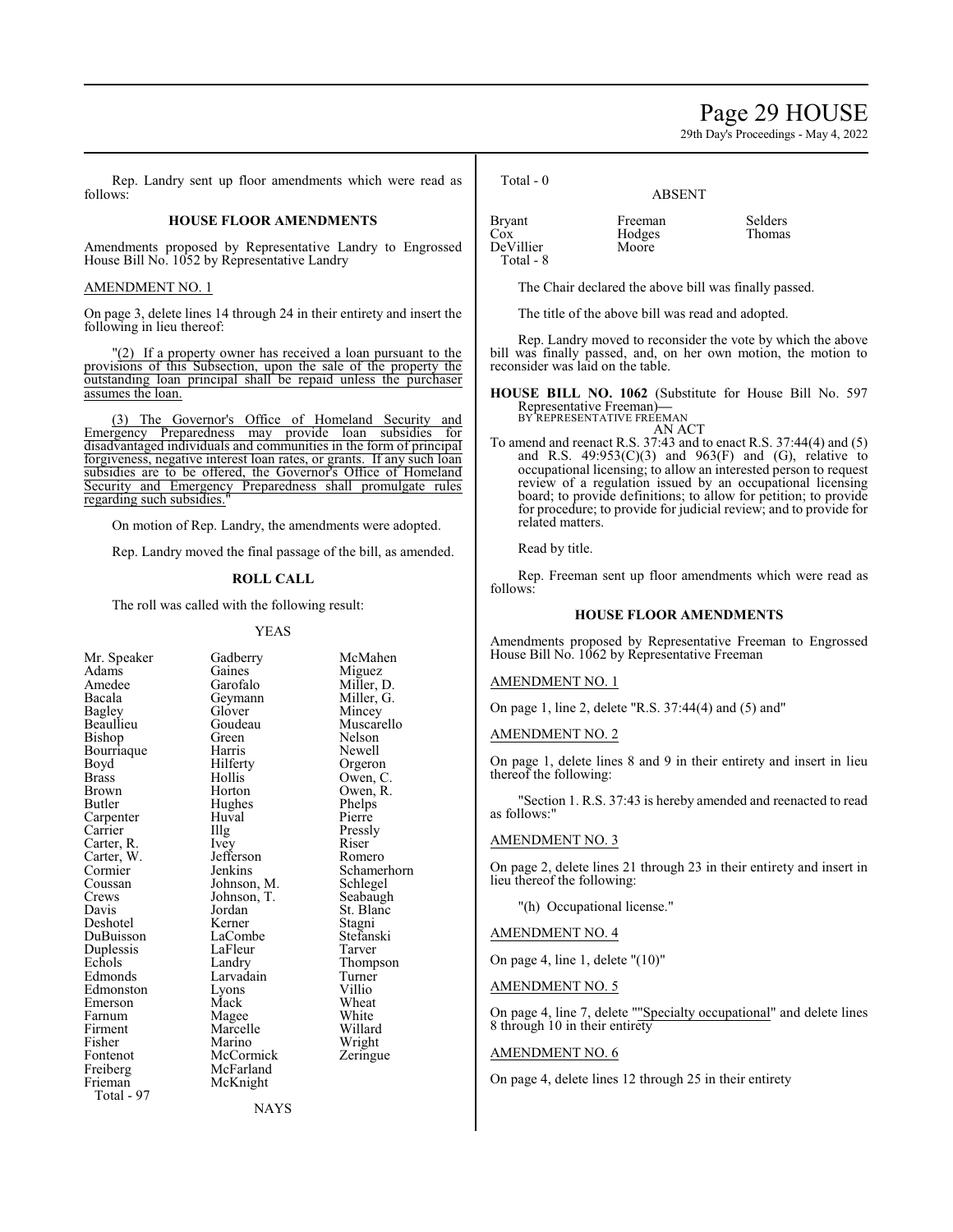# Page 29 HOUSE

29th Day's Proceedings - May 4, 2022

Rep. Landry sent up floor amendments which were read as follows:

#### **HOUSE FLOOR AMENDMENTS**

Amendments proposed by Representative Landry to Engrossed House Bill No. 1052 by Representative Landry

#### AMENDMENT NO. 1

On page 3, delete lines 14 through 24 in their entirety and insert the following in lieu thereof:

"(2) If a property owner has received a loan pursuant to the provisions of this Subsection, upon the sale of the property the outstanding loan principal shall be repaid unless the purchaser assumes the loan.

(3) The Governor's Office of Homeland Security and Emergency Preparedness may provide loan subsidies for disadvantaged individuals and communities in the form of principal forgiveness, negative interest loan rates, or grants. If any such loan subsidies are to be offered, the Governor's Office of Homeland Security and Emergency Preparedness shall promulgate rules regarding such subsidies.

On motion of Rep. Landry, the amendments were adopted.

Rep. Landry moved the final passage of the bill, as amended.

#### **ROLL CALL**

The roll was called with the following result:

#### YEAS

Bagley Glover<br>
Beaullieu Goudeau Bourriaque Harris<br>Boyd Hilferty Carpenter Huv<br>Carrier Hllg Carter, W. Jefferson Cormier Crews Johnson, T.<br>Davis Jordan Duplessis LaFleur<br>Echols Landry Freiberg<br>Frieman Total - 97

Mr. Speaker Gadberry McMahen<br>Adams Gaines Miguez Adams Gaines Miguez Amedee Garofalo Miller, D.<br>Bacala Geymann Miller, G. Bacala Geymann Miller, G. Goudeau Muscarello<br>Green Nelson Bishop Green Nelson<br>Bourriaque Harris Newell Boyd Hilferty Orgeron<br>Brass Hollis Owen Brass Hollis Owen, C. Brown Horton Owen, R. Hughes Phelps<br>Huval Pierre The Pressly<br>
Ivev Riser Carter, R. Ivey Riser<br>Carter. W. Iefferson Romero Cormier Jenkins Schamerhorn<br>Coussan Johnson, M. Schlegel Coussan Johnson, M. Schlegel<br>Crews Johnson, T. Seabaugh Jordan St. Blanc<br>Kerner Stagni Deshotel Kerner Stagni<br>DuBuisson LaCombe Stefanski DuBuisson LaCombe Stefans<br>Duplessis LaFleur Tarver Echols Landry Thompson<br>Edmonds Larvadain Turner Larvadain Turner<br>Lyons Villio Edmonston Lyons Villio Emerson Mack Wheat<br>
Farnum Magee White Farnum Magee White<br>Firment Marcelle Willard Firment Marcelle Willard<br>Fisher Marino Wright Fisher Marino Wright<br>
Fontenot McCormick Zeringue McCormick<br>McFarland McKnight

Total - 0

|                                         | .                          |                          |
|-----------------------------------------|----------------------------|--------------------------|
| Bryant<br>Cox<br>DeVillier<br>Total - 8 | Freeman<br>Hodges<br>Moore | <b>Selders</b><br>Thomas |
|                                         |                            |                          |

The Chair declared the above bill was finally passed.

ABSENT

The title of the above bill was read and adopted.

Rep. Landry moved to reconsider the vote by which the above bill was finally passed, and, on her own motion, the motion to reconsider was laid on the table.

**HOUSE BILL NO. 1062** (Substitute for House Bill No. 597 Representative Freeman)**—** BY REPRESENTATIVE FREEMAN

AN ACT

To amend and reenact R.S. 37:43 and to enact R.S. 37:44(4) and (5) and R.S.  $49:953(C)(3)$  and  $963(F)$  and (G), relative to occupational licensing; to allow an interested person to request review of a regulation issued by an occupational licensing board; to provide definitions; to allow for petition; to provide for procedure; to provide for judicial review; and to provide for related matters.

Read by title.

Rep. Freeman sent up floor amendments which were read as follows:

#### **HOUSE FLOOR AMENDMENTS**

Amendments proposed by Representative Freeman to Engrossed House Bill No. 1062 by Representative Freeman

### AMENDMENT NO. 1

On page 1, line 2, delete "R.S. 37:44(4) and (5) and"

#### AMENDMENT NO. 2

On page 1, delete lines 8 and 9 in their entirety and insert in lieu thereof the following:

"Section 1. R.S. 37:43 is hereby amended and reenacted to read as follows:"

#### AMENDMENT NO. 3

On page 2, delete lines 21 through 23 in their entirety and insert in lieu thereof the following:

"(h) Occupational license."

AMENDMENT NO. 4

On page 4, line 1, delete "(10)"

AMENDMENT NO. 5

On page 4, line 7, delete ""Specialty occupational" and delete lines 8 through 10 in their entirety

## AMENDMENT NO. 6

On page 4, delete lines 12 through 25 in their entirety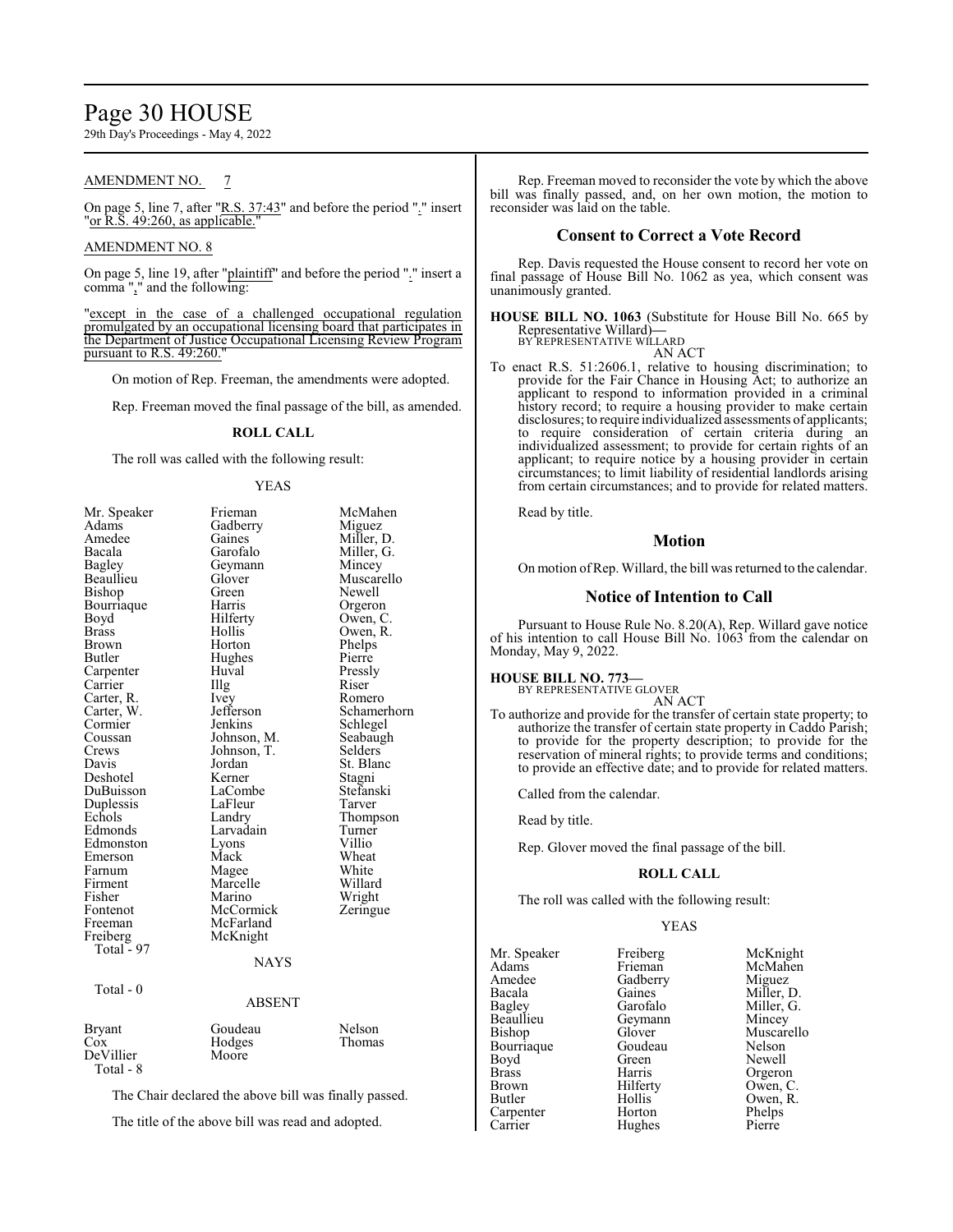# Page 30 HOUSE

29th Day's Proceedings - May 4, 2022

### AMENDMENT NO. 7

On page 5, line 7, after "R.S. 37:43" and before the period "." insert "or R.S. 49:260, as applicable."

#### AMENDMENT NO. 8

On page 5, line 19, after "plaintiff" and before the period "." insert a comma "," and the following:

"except in the case of a challenged occupational regulation promulgated by an occupational licensing board that participates in the Department of Justice Occupational Licensing Review Program pursuant to R.S. 49:260.

On motion of Rep. Freeman, the amendments were adopted.

Rep. Freeman moved the final passage of the bill, as amended.

#### **ROLL CALL**

The roll was called with the following result:

#### YEAS

| Mr. Speaker   | Frieman       | McMahen     |
|---------------|---------------|-------------|
| Adams         | Gadberry      | Miguez      |
| Amedee        | Gaines        | Miller, D.  |
| Bacala        | Garofalo      | Miller, G.  |
| <b>Bagley</b> | Geymann       | Mincey      |
| Beaullieu     | Glover        | Muscarello  |
| Bishop        | Green         | Newell      |
| Bourriaque    | Harris        | Orgeron     |
| Boyd          | Hilferty      | Owen, C.    |
| <b>Brass</b>  | Hollis        | Owen, R.    |
| Brown         | Horton        | Phelps      |
| Butler        | Hughes        | Pierre      |
| Carpenter     | Huval         | Pressly     |
| Carrier       | Illg          | Riser       |
| Carter, R.    | Ivey          | Romero      |
| Carter, W.    | Jefferson     | Schamerhorn |
| Cormier       | Jenkins       | Schlegel    |
| Coussan       | Johnson, M.   | Seabaugh    |
| Crews         | Johnson, T.   | Selders     |
| Davis         | Jordan        | St. Blanc   |
| Deshotel      | Kerner        | Stagni      |
| DuBuisson     | LaCombe       | Stefanski   |
| Duplessis     | LaFleur       | Tarver      |
| Echols        | Landry        | Thompson    |
| Edmonds       | Larvadain     | Turner      |
| Edmonston     | Lyons         | Villio      |
| Emerson       | Mack          | Wheat       |
| Farnum        | Magee         | White       |
| Firment       | Marcelle      | Willard     |
| Fisher        | Marino        | Wright      |
| Fontenot      | McCormick     | Zeringue    |
| Freeman       | McFarland     |             |
| Freiberg      | McKnight      |             |
| Total - 97    |               |             |
|               | NAYS          |             |
| Total - 0     |               |             |
|               | <b>ABSENT</b> |             |
| <b>Bryant</b> | Goudeau       | Nelson      |
| $\cos$        | Hodges        | Thomas      |
| DeVillier     | Moore         |             |

The Chair declared the above bill was finally passed.

The title of the above bill was read and adopted.

Total - 8

Rep. Freeman moved to reconsider the vote by which the above bill was finally passed, and, on her own motion, the motion to reconsider was laid on the table.

#### **Consent to Correct a Vote Record**

Rep. Davis requested the House consent to record her vote on final passage of House Bill No. 1062 as yea, which consent was unanimously granted.

**HOUSE BILL NO. 1063** (Substitute for House Bill No. 665 by Representative Willard)**—** BY REPRESENTATIVE WILLARD

AN ACT

To enact R.S. 51:2606.1, relative to housing discrimination; to provide for the Fair Chance in Housing Act; to authorize an applicant to respond to information provided in a criminal history record; to require a housing provider to make certain disclosures; to require individualized assessments of applicants; to require consideration of certain criteria during an individualized assessment; to provide for certain rights of an applicant; to require notice by a housing provider in certain circumstances; to limit liability of residential landlords arising from certain circumstances; and to provide for related matters.

Read by title.

# **Motion**

On motion ofRep. Willard, the bill was returned to the calendar.

#### **Notice of Intention to Call**

Pursuant to House Rule No. 8.20(A), Rep. Willard gave notice of his intention to call House Bill No. 1063 from the calendar on Monday, May 9, 2022.

**HOUSE BILL NO. 773—** BY REPRESENTATIVE GLOVER

AN ACT

To authorize and provide for the transfer of certain state property; to authorize the transfer of certain state property in Caddo Parish; to provide for the property description; to provide for the reservation of mineral rights; to provide terms and conditions; to provide an effective date; and to provide for related matters.

Called from the calendar.

Read by title.

Rep. Glover moved the final passage of the bill.

#### **ROLL CALL**

The roll was called with the following result:

Hughes

#### YEAS

Mr. Speaker Freiberg McKnight<br>Adams Frieman McMahen Adams Frieman McMahen<br>Amedee Gadberry Miguez Amedee Gadberry<br>Bacala Gaines Bacala Gaines Miller, D. Bagley Garofalo Miller, G.<br>Beaullieu Geymann Mincey Beaullieu Geymann<br>Bishop Glover Bourriaque Goude<br>Boyd Green Boyd Green Newell<br>Brass Harris Orgerol Brass Harris Orgeron<br>Brown Hilferty Owen, C Brown Hilferty Owen, C. Carpenter Horton Phelps<br>
Carrier Hughes Pierre

Glover Muscarello<br>Goudeau Nelson Hollis Owen, R.<br>Horton Phelps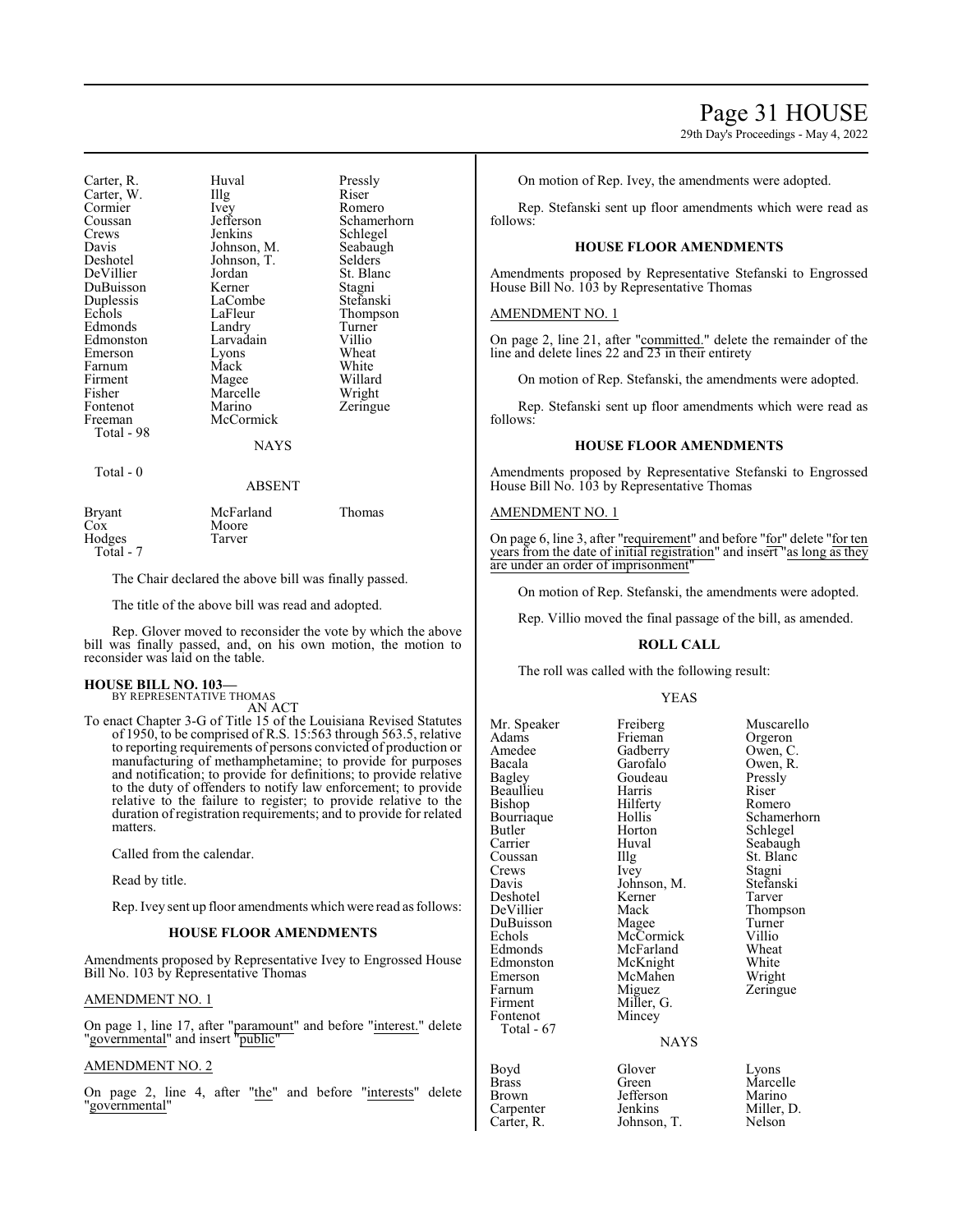29th Day's Proceedings - May 4, 2022

| Carter, R.<br>Carter, W.<br>Cormier<br>Coussan<br>Crews<br>Davis<br>Deshotel<br>DeVillier<br>DuBuisson<br>Duplessis<br>Echols<br>Edmonds<br>Edmonston<br>Emerson<br>Farnum<br>Firment<br>Fisher<br>Fontenot<br>Freeman<br>Total - 98 | Huval<br>Illg<br>Ivey<br>Jefferson<br>Jenkins<br>Johnson, M.<br>Johnson, T.<br>Jordan<br>Kerner<br>LaCombe<br>LaFleur<br>Landry<br>Larvadain<br>Lyons<br>Mack<br>Magee<br>Marcelle<br>Marino<br>McCormick<br><b>NAYS</b> | Pressly<br>Riser<br>Romero<br>Schamerhorn<br>Schlegel<br>Seabaugh<br>Selders<br>St. Blanc<br>Stagni<br>Stefanski<br>Thompson<br>Turner<br>Villio<br>Wheat<br>White<br>Willard<br>Wright<br>Zeringue |
|--------------------------------------------------------------------------------------------------------------------------------------------------------------------------------------------------------------------------------------|--------------------------------------------------------------------------------------------------------------------------------------------------------------------------------------------------------------------------|-----------------------------------------------------------------------------------------------------------------------------------------------------------------------------------------------------|
| Total - 0                                                                                                                                                                                                                            | ABSENT                                                                                                                                                                                                                   |                                                                                                                                                                                                     |
| Bryant<br>Cox<br>Hodges<br>Total - 7                                                                                                                                                                                                 | McFarland<br>Moore<br>Tarver                                                                                                                                                                                             | Thomas                                                                                                                                                                                              |

The Chair declared the above bill was finally passed.

The title of the above bill was read and adopted.

Rep. Glover moved to reconsider the vote by which the above bill was finally passed, and, on his own motion, the motion to reconsider was laid on the table.

### **HOUSE BILL NO. 103—**

BY REPRESENTATIVE THOMAS AN ACT

To enact Chapter 3-G of Title 15 of the Louisiana Revised Statutes of 1950, to be comprised of R.S. 15:563 through 563.5, relative to reporting requirements of persons convicted of production or manufacturing of methamphetamine; to provide for purposes and notification; to provide for definitions; to provide relative to the duty of offenders to notify law enforcement; to provide relative to the failure to register; to provide relative to the duration of registration requirements; and to provide for related matters.

Called from the calendar.

Read by title.

Rep. Ivey sent up floor amendments which were read as follows:

#### **HOUSE FLOOR AMENDMENTS**

Amendments proposed by Representative Ivey to Engrossed House Bill No. 103 by Representative Thomas

#### AMENDMENT NO. 1

On page 1, line 17, after "paramount" and before "interest." delete "governmental" and insert "public"

#### AMENDMENT NO. 2

On page 2, line 4, after "the" and before "interests" delete "governmental"

On motion of Rep. Ivey, the amendments were adopted.

Rep. Stefanski sent up floor amendments which were read as follows:

#### **HOUSE FLOOR AMENDMENTS**

Amendments proposed by Representative Stefanski to Engrossed House Bill No. 103 by Representative Thomas

#### AMENDMENT NO. 1

On page 2, line 21, after "committed." delete the remainder of the line and delete lines 22 and 23 in their entirety

On motion of Rep. Stefanski, the amendments were adopted.

Rep. Stefanski sent up floor amendments which were read as follows:

#### **HOUSE FLOOR AMENDMENTS**

Amendments proposed by Representative Stefanski to Engrossed House Bill No. 103 by Representative Thomas

#### AMENDMENT NO. 1

On page 6, line 3, after "requirement" and before "for" delete "for ten years from the date of initial registration" and insert "as long as they are under an order of imprisonment

On motion of Rep. Stefanski, the amendments were adopted.

Rep. Villio moved the final passage of the bill, as amended.

#### **ROLL CALL**

The roll was called with the following result:

#### YEAS

| Mr. Speaker                                 | Freiberg                                      | Muscarello  |
|---------------------------------------------|-----------------------------------------------|-------------|
| Adams                                       | Frieman                                       | Orgeron     |
| Amedee                                      | Gadberry                                      | Owen, C.    |
| Bacala                                      | Garofalo                                      | Owen, R.    |
| Bagley                                      | Goudeau                                       | Pressly     |
| Beaullieu                                   | Harris                                        | Riser       |
| Bishop                                      | Hilferty                                      | Romero      |
| Bourriaque                                  | Hollis                                        | Schamerhorn |
| Butler                                      | Horton                                        | Schlegel    |
| Carrier                                     | Huval                                         | Seabaugh    |
| Coussan                                     | Illg                                          | St. Blanc   |
| Crews                                       | Ivey                                          | Stagni      |
| Davis                                       | Johnson, M.                                   | Stefanski   |
| Deshotel                                    | Kerner                                        | Tarver      |
| DeVillier                                   | Mack                                          | Thompson    |
| DuBuisson                                   | Magee                                         | Turner      |
| Echols                                      | McCormick                                     | Villio      |
| Edmonds                                     | McFarland                                     | Wheat       |
| Edmonston                                   | McKnight                                      | White       |
| Emerson                                     | McMahen                                       | Wright      |
| Farnum<br>Firment<br>Fontenot<br>Total - 67 | Miguez<br>Miller, G.<br>Mincey<br><b>NAYS</b> | Zeringue    |
| Boyd                                        | Glover                                        | Lyons       |
| <b>Brass</b>                                | Green                                         | Marcelle    |
| Brown                                       | Jefferson                                     | Marino      |
| Carpenter                                   | Jenkins                                       | Miller, D.  |
| Carter, R.                                  | Johnson, T.                                   | Nelson      |

#### **NAYS**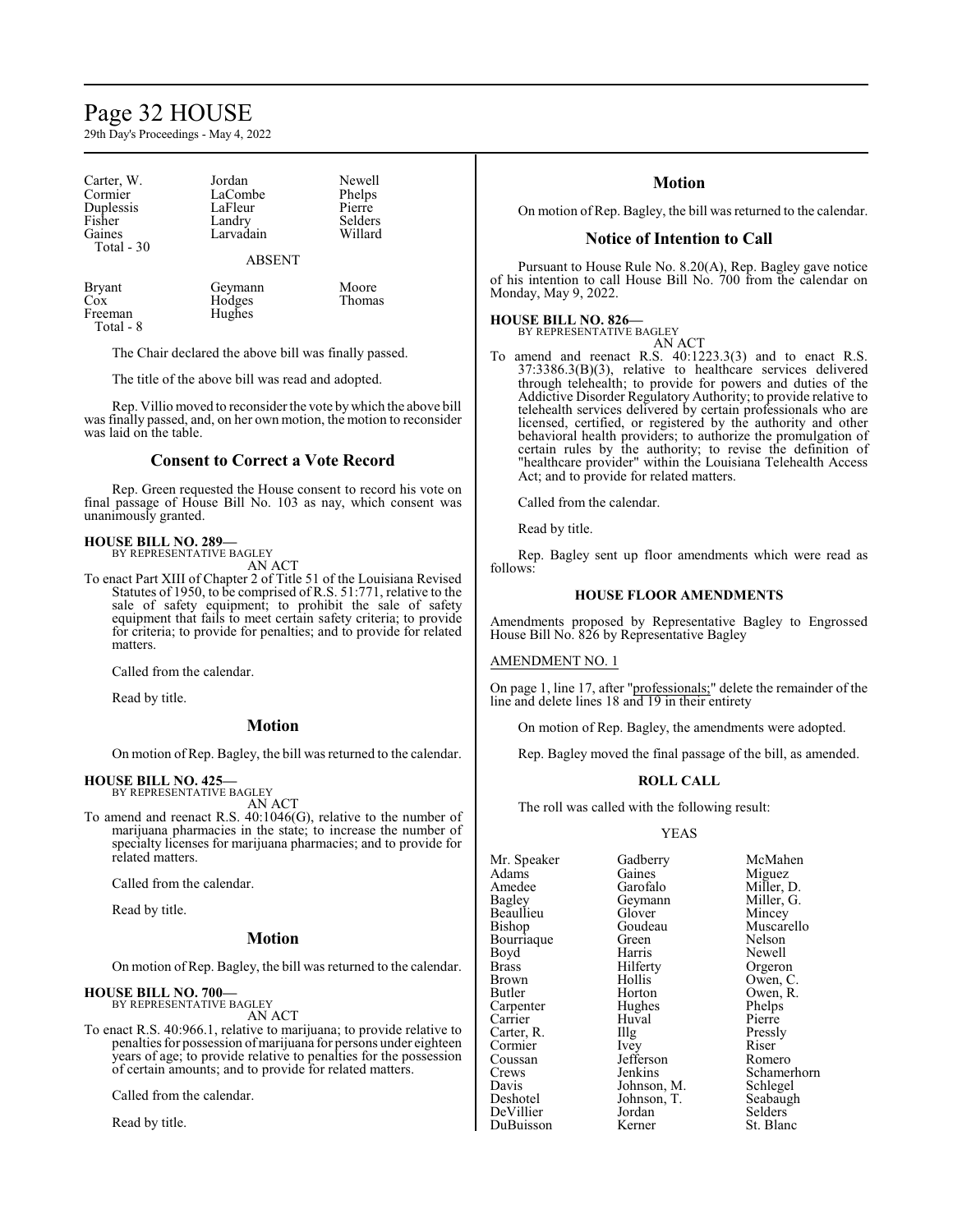# Page 32 HOUSE

29th Day's Proceedings - May 4, 2022

| Carter, W.<br>Cormier<br>Duplessis<br>Fisher<br>Gaines | Jordan<br>LaCombe<br>LaFleur<br>Landry<br>Larvadain | Newell<br>Phelps<br>Pierre<br>Selders<br>Willard |
|--------------------------------------------------------|-----------------------------------------------------|--------------------------------------------------|
| Total $-30$                                            | <b>ABSENT</b>                                       |                                                  |

Freeman Total - 8

Bryant Geymann Moore<br>
Cox Hodges Thomas Hodges<br>Hughes

The Chair declared the above bill was finally passed.

The title of the above bill was read and adopted.

Rep. Villio moved to reconsider the vote by which the above bill was finally passed, and, on her own motion, the motion to reconsider was laid on the table.

## **Consent to Correct a Vote Record**

Rep. Green requested the House consent to record his vote on final passage of House Bill No. 103 as nay, which consent was unanimously granted.

#### **HOUSE BILL NO. 289—**

BY REPRESENTATIVE BAGLEY AN ACT

To enact Part XIII of Chapter 2 of Title 51 of the Louisiana Revised Statutes of 1950, to be comprised of R.S. 51:771, relative to the sale of safety equipment; to prohibit the sale of safety equipment that fails to meet certain safety criteria; to provide for criteria; to provide for penalties; and to provide for related matters.

Called from the calendar.

Read by title.

## **Motion**

On motion of Rep. Bagley, the bill was returned to the calendar.

#### **HOUSE BILL NO. 425—** BY REPRESENTATIVE BAGLEY

AN ACT

To amend and reenact R.S. 40:1046(G), relative to the number of marijuana pharmacies in the state; to increase the number of specialty licenses for marijuana pharmacies; and to provide for related matters.

Called from the calendar.

Read by title.

## **Motion**

On motion of Rep. Bagley, the bill was returned to the calendar.

#### **HOUSE BILL NO. 700—** BY REPRESENTATIVE BAGLEY

AN ACT

To enact R.S. 40:966.1, relative to marijuana; to provide relative to penalties for possession ofmarijuana for persons under eighteen years of age; to provide relative to penalties for the possession of certain amounts; and to provide for related matters.

Called from the calendar.

Read by title.

# **Motion**

On motion of Rep. Bagley, the bill was returned to the calendar.

# **Notice of Intention to Call**

Pursuant to House Rule No. 8.20(A), Rep. Bagley gave notice of his intention to call House Bill No. 700 from the calendar on Monday, May 9, 2022.

# **HOUSE BILL NO. 826—** BY REPRESENTATIVE BAGLEY

AN ACT

To amend and reenact R.S. 40:1223.3(3) and to enact R.S. 37:3386.3(B)(3), relative to healthcare services delivered through telehealth; to provide for powers and duties of the Addictive Disorder Regulatory Authority; to provide relative to telehealth services delivered by certain professionals who are licensed, certified, or registered by the authority and other behavioral health providers; to authorize the promulgation of certain rules by the authority; to revise the definition of "healthcare provider" within the Louisiana Telehealth Access Act; and to provide for related matters.

Called from the calendar.

Read by title.

Rep. Bagley sent up floor amendments which were read as follows:

#### **HOUSE FLOOR AMENDMENTS**

Amendments proposed by Representative Bagley to Engrossed House Bill No. 826 by Representative Bagley

#### AMENDMENT NO. 1

On page 1, line 17, after "professionals;" delete the remainder of the line and delete lines 18 and 19 in their entirety

On motion of Rep. Bagley, the amendments were adopted.

Rep. Bagley moved the final passage of the bill, as amended.

#### **ROLL CALL**

The roll was called with the following result:

#### YEAS

Mr. Speaker Gadberry McMahen<br>Adams Gaines Miguez Adams Gaines<br>Amedee Garofalo Amedee Garofalo Miller, D.<br>Bagley Geymann Miller, G. Beaullieu Glover<br>Bishop Goudeau Bourriaque Green<br>Bovd Harris Boyd Harris Newell<br>Brass Hilferty Orgeron Brass Hilferty Orgeron<br>Brown Hollis Owen, C Brown Hollis Owen, C.<br>Butler Horton Owen, R. Carpenter Hughes Phelps<br>
Carrier Huval Pierre Carter, R. Illg Pressl<br>Cormier Ivey Riser Cormier Ivey Riser<br>
Coussan Jefferson Romero Coussan Jefferson<br>Crews Jenkins Crews Jenkins Schamerhorn<br>
Davis Johnson, M. Schlegel Davis Johnson, M. Schlegel<br>Deshotel Johnson, T. Seabaugh DuBuisson

Geymann Miller,<br>Glover Mincey Goudeau Muscarello<br>Green Nelson Horton Owen, R.<br>Hughes Phelps Huval Pierre<br>Illg Pressly Johnson, T. Seabaughter Seabaughter Seabaughter Seabaughter Seabaughter Seabaughter Seabaughter Seabaughter Seabaughter Seabaughter Seabaughter Seabaughter Seabaughter Seabaughter Seabaughter Seabaughter Seabaughter Seabau DeVillier Jordan Selders<br>
DuBuisson Kerner St. Blanc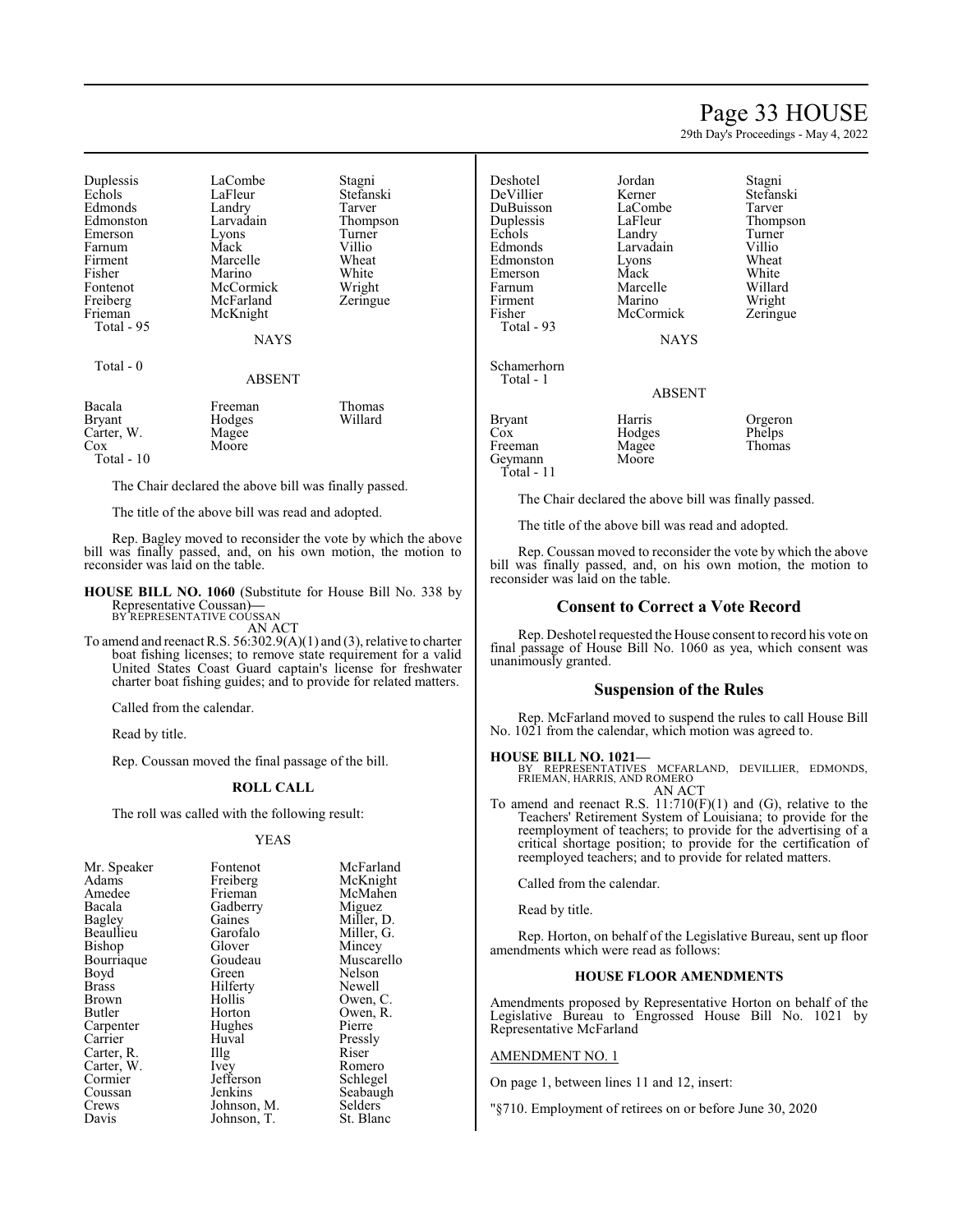# Page 33 HOUSE

29th Day's Proceedings - May 4, 2022

Stefanski<br>Tarver

Thompson

Duplessis LaCombe Stagni<br>
Echols LaFleur Stefans Edmonds Landry Tarver<br>
Edmonston Larvadain Thompson Edmonston Larvadain Thomp<br>Emerson Lyons Turner Emerson Lyons Turner<br>
Farnum Mack Villio Farnum Mack Villio<br>Firment Marcelle Wheat Firment Marcelle Wheat<br>Fisher Marino White Fisher Marino White<br>Fontenot McCormick Wright Fontenot McCormick Wright<br>
Freiberg McFarland Zeringue Freiberg McFarland<br>Frieman McKnight Total - 95

LaFleur Stefanski<br>Landry Tarver McKnight

**NAYS** 

ABSENT

# Total - 0

Bacala Freeman Thomas<br>Bryant Hodges Willard Hodges<br>Magee Carter, W.<br>Cox Moore Total - 10

The Chair declared the above bill was finally passed.

The title of the above bill was read and adopted.

Rep. Bagley moved to reconsider the vote by which the above bill was finally passed, and, on his own motion, the motion to reconsider was laid on the table.

**HOUSE BILL NO. 1060** (Substitute for House Bill No. 338 by Representative Coussan)**—** BY REPRESENTATIVE COUSSAN

AN ACT

To amend and reenact R.S. 56:302.9(A)(1) and (3), relative to charter boat fishing licenses; to remove state requirement for a valid United States Coast Guard captain's license for freshwater charter boat fishing guides; and to provide for related matters.

Called from the calendar.

Read by title.

Rep. Coussan moved the final passage of the bill.

#### **ROLL CALL**

The roll was called with the following result:

#### YEAS

| Mr. Speaker | Fontenot    | McFarland  |
|-------------|-------------|------------|
| Adams       | Freiberg    | McKnight   |
| Amedee      | Frieman     | McMahen    |
| Bacala      | Gadberry    | Miguez     |
| Bagley      | Gaines      | Miller, D. |
| Beaullieu   | Garofalo    | Miller, G. |
| Bishop      | Glover      | Mincey     |
| Bourriaque  | Goudeau     | Muscarello |
| Boyd        | Green       | Nelson     |
| Brass       | Hilferty    | Newell     |
| Brown       | Hollis      | Owen, C.   |
| Butler      | Horton      | Owen, R.   |
| Carpenter   | Hughes      | Pierre     |
| Carrier     | Huval       | Pressly    |
| Carter, R.  | Illg        | Riser      |
| Carter, W.  | Ivey        | Romero     |
| Cormier     | Jefferson   | Schlegel   |
| Coussan     | Jenkins     | Seabaugh   |
| Crews       | Johnson, M. | Selders    |
| Davis       | Johnson, T. | St. Blanc  |

| Deshotel      | Jordan        | Stagni  |  |
|---------------|---------------|---------|--|
| DeVillier     | Kerner        | Stefan: |  |
| DuBuisson     | LaCombe       | Tarver  |  |
| Duplessis     | LaFleur       | Thomp   |  |
| Echols        | Landry        | Turner  |  |
| Edmonds       | Larvadain     | Villio  |  |
| Edmonston     | Lyons         | Wheat   |  |
| Emerson       | Mack          | White   |  |
| Farnum        | Marcelle      | Willar  |  |
| Firment       | Marino        | Wrigh   |  |
| Fisher        | McCormick     | Zering  |  |
| Total - 93    |               |         |  |
|               | <b>NAYS</b>   |         |  |
| Schamerhorn   |               |         |  |
| Total - 1     |               |         |  |
|               | <b>ABSENT</b> |         |  |
| <b>Bryant</b> | Harris        | Orgero  |  |
|               |               |         |  |

Turner<br>Villio Wheat White Willard Firment Maright<br>Firment Marino Marino Marino Marino Marino Marino Marino Marino Marino Marino Marino Marino Marino Marino Mar<br>Firment Marino Marino Marino Marino Marino Marino Marino Marino Marino Marino Marino Marino Mari Zeringue

#### **BSENT**

| Bryant<br>Cox<br>Freeman<br>Geymann | Harris<br>Hodges<br>Magee<br>Moore | Orgeron<br>Phelps<br>Thomas |
|-------------------------------------|------------------------------------|-----------------------------|
| Total - 11                          |                                    |                             |

The Chair declared the above bill was finally passed.

The title of the above bill was read and adopted.

Rep. Coussan moved to reconsider the vote by which the above bill was finally passed, and, on his own motion, the motion to reconsider was laid on the table.

#### **Consent to Correct a Vote Record**

Rep. Deshotel requested the House consent to record his vote on final passage of House Bill No. 1060 as yea, which consent was unanimously granted.

#### **Suspension of the Rules**

Rep. McFarland moved to suspend the rules to call House Bill No. 1021 from the calendar, which motion was agreed to.

**HOUSE BILL NO. 1021—** BY REPRESENTATIVES MCFARLAND, DEVILLIER, EDMONDS, FRIEMAN, HARRIS, AND ROMERO AN ACT

To amend and reenact R.S.  $11:710(F)(1)$  and (G), relative to the Teachers' Retirement System of Louisiana; to provide for the reemployment of teachers; to provide for the advertising of a critical shortage position; to provide for the certification of reemployed teachers; and to provide for related matters.

Called from the calendar.

Read by title.

Rep. Horton, on behalf of the Legislative Bureau, sent up floor amendments which were read as follows:

#### **HOUSE FLOOR AMENDMENTS**

Amendments proposed by Representative Horton on behalf of the Legislative Bureau to Engrossed House Bill No. 1021 by Representative McFarland

#### AMENDMENT NO. 1

On page 1, between lines 11 and 12, insert:

"§710. Employment of retirees on or before June 30, 2020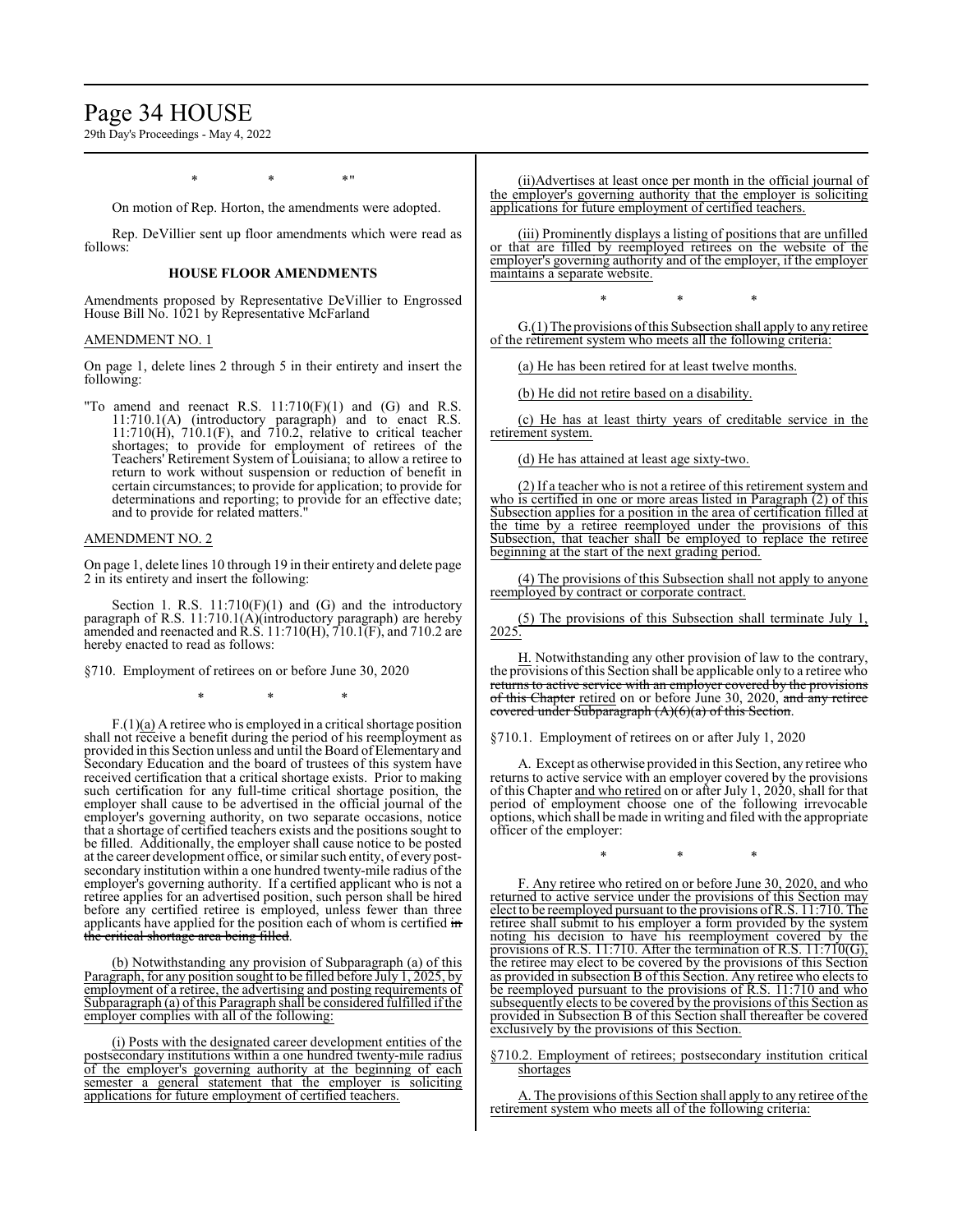# Page 34 HOUSE

29th Day's Proceedings - May 4, 2022

 $*$  \*  $*$  \*

On motion of Rep. Horton, the amendments were adopted.

Rep. DeVillier sent up floor amendments which were read as follows:

#### **HOUSE FLOOR AMENDMENTS**

Amendments proposed by Representative DeVillier to Engrossed House Bill No. 1021 by Representative McFarland

### AMENDMENT NO. 1

On page 1, delete lines 2 through 5 in their entirety and insert the following:

"To amend and reenact R.S.  $11:710(F)(1)$  and  $(G)$  and R.S. 11:710.1(A) (introductory paragraph) and to enact R.S. 11:710(H), 710.1(F), and 710.2, relative to critical teacher shortages; to provide for employment of retirees of the Teachers' Retirement System of Louisiana; to allow a retiree to return to work without suspension or reduction of benefit in certain circumstances; to provide for application; to provide for determinations and reporting; to provide for an effective date; and to provide for related matters."

#### AMENDMENT NO. 2

On page 1, delete lines 10 through 19 in their entirety and delete page 2 in its entirety and insert the following:

Section 1. R.S.  $11:710(F)(1)$  and (G) and the introductory paragraph of R.S. 11:710.1(A)(introductory paragraph) are hereby amended and reenacted and R.S.  $11:710(H)$ ,  $710.1(F)$ , and  $710.2$  are hereby enacted to read as follows:

§710. Employment of retirees on or before June 30, 2020

\* \* \*

 $F(1)(a)$  A retiree who is employed in a critical shortage position shall not receive a benefit during the period of his reemployment as provided in this Section unless and until the Board ofElementary and Secondary Education and the board of trustees of this system have received certification that a critical shortage exists. Prior to making such certification for any full-time critical shortage position, the employer shall cause to be advertised in the official journal of the employer's governing authority, on two separate occasions, notice that a shortage of certified teachers exists and the positions sought to be filled. Additionally, the employer shall cause notice to be posted at the career development office, or similar such entity, of every postsecondary institution within a one hundred twenty-mile radius of the employer's governing authority. If a certified applicant who is not a retiree applies for an advertised position, such person shall be hired before any certified retiree is employed, unless fewer than three applicants have applied for the position each of whom is certified in the critical shortage area being filled.

(b) Notwithstanding any provision of Subparagraph (a) of this Paragraph, for any position sought to be filled before July 1, 2025, by employment of a retiree, the advertising and posting requirements of Subparagraph (a) of this Paragraph shall be considered fulfilled if the employer complies with all of the following:

(i) Posts with the designated career development entities of the postsecondary institutions within a one hundred twenty-mile radius of the employer's governing authority at the beginning of each semester a general statement that the employer is soliciting applications for future employment of certified teachers.

(ii)Advertises at least once per month in the official journal of the employer's governing authority that the employer is soliciting applications for future employment of certified teachers.

(iii) Prominently displays a listing of positions that are unfilled or that are filled by reemployed retirees on the website of the employer's governing authority and of the employer, if the employer maintains a separate website.

\* \* \*

G.(1) The provisions ofthis Subsection shall apply to any retiree of the retirement system who meets all the following criteria:

(a) He has been retired for at least twelve months.

(b) He did not retire based on a disability.

(c) He has at least thirty years of creditable service in the retirement system.

(d) He has attained at least age sixty-two.

(2) If a teacher who is not a retiree of this retirement system and who is certified in one or more areas listed in Paragraph (2) of this Subsection applies for a position in the area of certification filled at the time by a retiree reemployed under the provisions of this Subsection, that teacher shall be employed to replace the retiree beginning at the start of the next grading period.

(4) The provisions of this Subsection shall not apply to anyone reemployed by contract or corporate contract.

(5) The provisions of this Subsection shall terminate July 1,  $2025.$ 

H. Notwithstanding any other provision of law to the contrary, the provisions ofthis Section shall be applicable only to a retiree who returns to active service with an employer covered by the provisions of this Chapter retired on or before June 30, 2020, and any retiree covered under Subparagraph (A)(6)(a) of this Section.

§710.1. Employment of retirees on or after July 1, 2020

A. Except as otherwise provided in this Section, any retiree who returns to active service with an employer covered by the provisions of this Chapter and who retired on or after July 1, 2020, shall for that period of employment choose one of the following irrevocable options, which shall be made in writing and filed with the appropriate officer of the employer:

\* \* \*

F. Any retiree who retired on or before June 30, 2020, and who returned to active service under the provisions of this Section may elect to be reemployed pursuant to the provisions ofR.S. 11:710. The retiree shall submit to his employer a form provided by the system noting his decision to have his reemployment covered by the provisions of R.S. 11:710. After the termination of R.S.  $11:710(G)$ , the retiree may elect to be covered by the provisions of this Section as provided in subsection B of this Section. Any retiree who elects to be reemployed pursuant to the provisions of R.S. 11:710 and who subsequently elects to be covered by the provisions of this Section as provided in Subsection B of this Section shall thereafter be covered exclusively by the provisions of this Section.

§710.2. Employment of retirees; postsecondary institution critical shortages

A. The provisions ofthis Section shall apply to any retiree ofthe retirement system who meets all of the following criteria: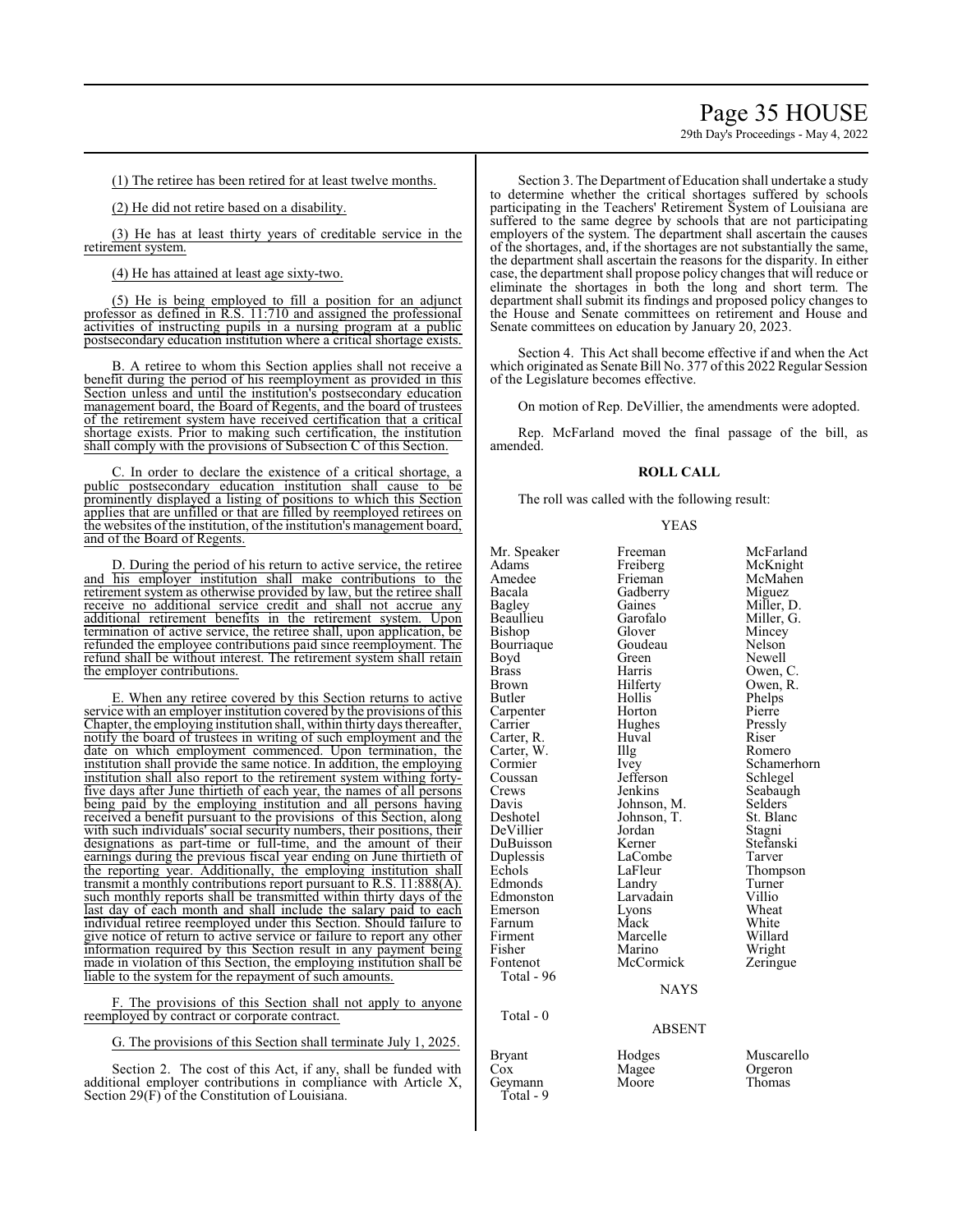# Page 35 HOUSE

29th Day's Proceedings - May 4, 2022

(1) The retiree has been retired for at least twelve months.

(2) He did not retire based on a disability.

(3) He has at least thirty years of creditable service in the retirement system.

(4) He has attained at least age sixty-two.

(5) He is being employed to fill a position for an adjunct professor as defined in R.S. 11:710 and assigned the professional activities of instructing pupils in a nursing program at a public postsecondary education institution where a critical shortage exists.

B. A retiree to whom this Section applies shall not receive a benefit during the period of his reemployment as provided in this Section unless and until the institution's postsecondary education management board, the Board of Regents, and the board of trustees of the retirement system have received certification that a critical shortage exists. Prior to making such certification, the institution shall comply with the provisions of Subsection C of this Section.

C. In order to declare the existence of a critical shortage, public postsecondary education institution shall cause to be prominently displayed a listing of positions to which this Section applies that are unfilled or that are filled by reemployed retirees on the websites of the institution, ofthe institution's management board, and of the Board of Regents.

D. During the period of his return to active service, the retiree and his employer institution shall make contributions to the retirement system as otherwise provided by law, but the retiree shall receive no additional service credit and shall not accrue any additional retirement benefits in the retirement system. Upon termination of active service, the retiree shall, upon application, be refunded the employee contributions paid since reemployment. The refund shall be without interest. The retirement system shall retain the employer contributions.

E. When any retiree covered by this Section returns to active service with an employer institution covered by the provisions ofthis Chapter, the employing institution shall, within thirty days thereafter, notify the board of trustees in writing of such employment and the date on which employment commenced. Upon termination, the institution shall provide the same notice. In addition, the employing institution shall also report to the retirement system withing fortyfive days after June thirtieth of each year, the names of all persons being paid by the employing institution and all persons having received a benefit pursuant to the provisions of this Section, along with such individuals' social security numbers, their positions, their designations as part-time or full-time, and the amount of their earnings during the previous fiscal year ending on June thirtieth of the reporting year. Additionally, the employing institution shall transmit a monthly contributions report pursuant to R.S. 11:888(A). such monthly reports shall be transmitted within thirty days of the last day of each month and shall include the salary paid to each individual retiree reemployed under this Section. Should failure to give notice of return to active service or failure to report any other information required by this Section result in any payment being made in violation of this Section, the employing institution shall be liable to the system for the repayment of such amounts.

F. The provisions of this Section shall not apply to anyone reemployed by contract or corporate contract.

G. The provisions of this Section shall terminate July 1, 2025.

Section 2. The cost of this Act, if any, shall be funded with additional employer contributions in compliance with Article X, Section 29(F) of the Constitution of Louisiana.

Section 3. The Department of Education shall undertake a study to determine whether the critical shortages suffered by schools participating in the Teachers' Retirement System of Louisiana are suffered to the same degree by schools that are not participating employers of the system. The department shall ascertain the causes of the shortages, and, if the shortages are not substantially the same, the department shall ascertain the reasons for the disparity. In either case, the department shall propose policy changes that will reduce or eliminate the shortages in both the long and short term. The department shall submit its findings and proposed policy changes to the House and Senate committees on retirement and House and Senate committees on education by January 20, 2023.

Section 4. This Act shall become effective if and when the Act which originated as Senate Bill No. 377 of this 2022 Regular Session of the Legislature becomes effective.

On motion of Rep. DeVillier, the amendments were adopted.

Rep. McFarland moved the final passage of the bill, as amended.

#### **ROLL CALL**

The roll was called with the following result:

#### YEAS

Mr. Speaker Freeman McFarland<br>
Adams Freiberg McKnight Adams Freiberg McKnight<br>Amedee Frieman McMahen Amedee Frieman McMahen<br>Bacala Gadberry Miguez Bacala Gadberry<br>Bagley Gaines Bagley Gaines Miller, D. Beaullieu Garofalo Miller, G. Bourriaque Goudeau Nelson<br>Boyd Green Newell Boyd Brass Harris Owen, C.<br>Brown Hilferty Owen, R. Brown Hilferty Owen, R.<br>Butler Hollis Phelps Carpenter Horton Pierre<br>Carrier Hughes Pressly Carter, R. Huval Riser Carter, W. Huval Romero Carter, W. Illg<br>Cormier Ivey Cormier Ivey Schamerhorn<br>
Coussan Jefferson Schlegel Coussan Jefferson<br>Crews Jenkins Crews Jenkins Seabaugh<br>
Davis Johnson, M. Selders Davis Johnson, M. Selders<br>Deshotel Johnson, T. St. Blanc DeVillier Jordan Stagni<br>
DuBuisson Kerner Stefanski DuBuisson Kerner Stefans<br>
Duplessis LaCombe Tarver Duplessis LaCombe<br>
Echols LaFleur Edmonds Landry Turner<br>Edmonston Larvadain Villio Edmonston Larvadain Villio<br>Emerson Lyons Wheat Emerson Lyons Wheat<br>
Farnum Mack White Farnum Mack White Firment Marcelle<br>Fisher Marino Fisher Marino Wright<br>
Fontenot McCormick Zeringue Total - 96 Total - 0 Bryant Hodges Muscarello<br>
Cox Magee Orgeron Cox Magee Orgeron<br>
Geymann Moore Thomas Geymann

Total - 9

Glover Mincey<br>Goudeau Nelson Hollis Phelps<br>
Horton Pierre Hughes Pressl<br>Huval Riser Johnson, T. St. Bla<br>Jordan Stagni LaFleur Thompson<br>Landry Turner

# ABSENT

**NAYS** 

McCormick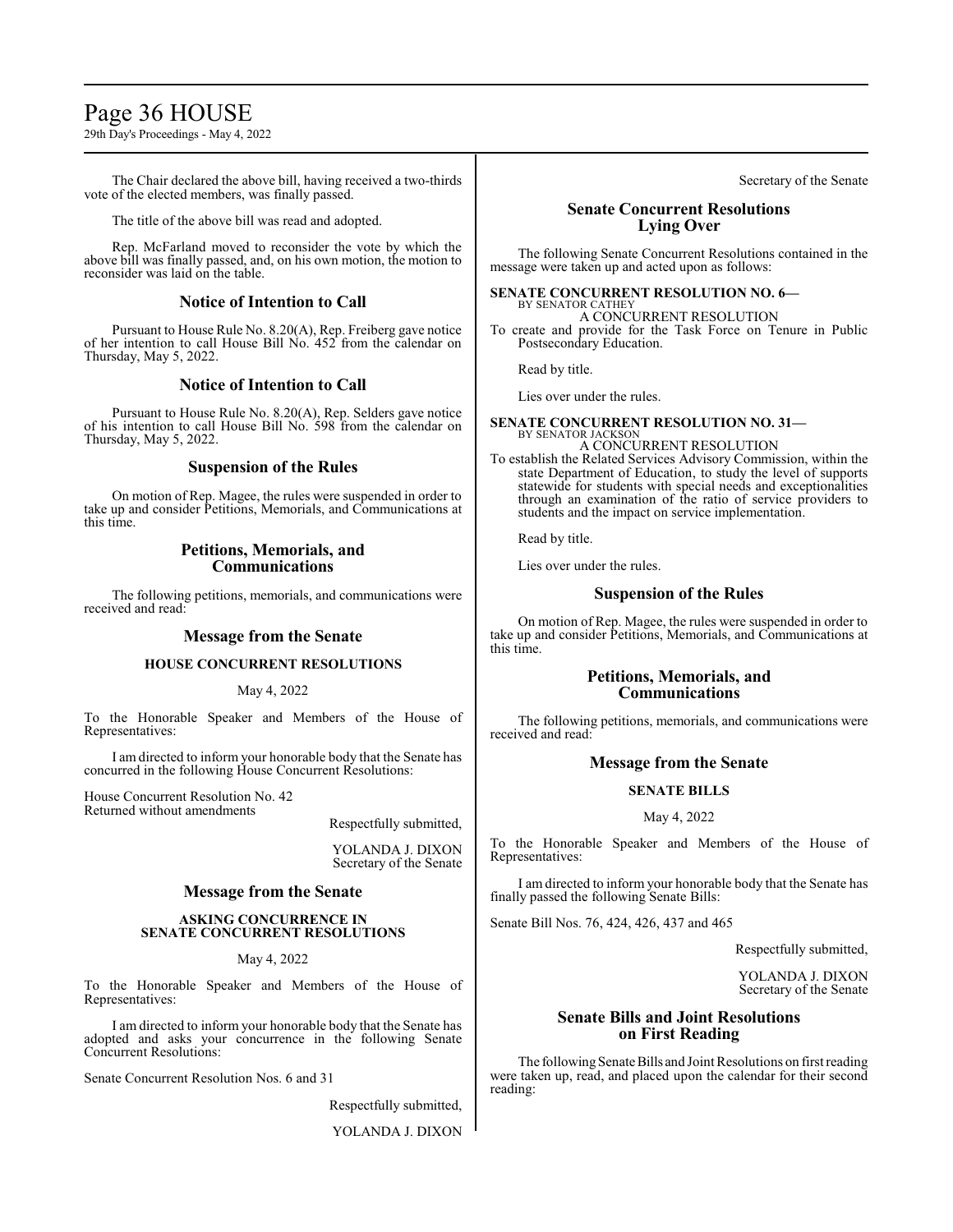# Page 36 HOUSE

29th Day's Proceedings - May 4, 2022

The Chair declared the above bill, having received a two-thirds vote of the elected members, was finally passed.

The title of the above bill was read and adopted.

Rep. McFarland moved to reconsider the vote by which the above bill was finally passed, and, on his own motion, the motion to reconsider was laid on the table.

### **Notice of Intention to Call**

Pursuant to House Rule No. 8.20(A), Rep. Freiberg gave notice of her intention to call House Bill No. 452 from the calendar on Thursday, May 5, 2022.

#### **Notice of Intention to Call**

Pursuant to House Rule No. 8.20(A), Rep. Selders gave notice of his intention to call House Bill No. 598 from the calendar on Thursday, May 5, 2022.

#### **Suspension of the Rules**

On motion of Rep. Magee, the rules were suspended in order to take up and consider Petitions, Memorials, and Communications at this time.

## **Petitions, Memorials, and Communications**

The following petitions, memorials, and communications were received and read:

#### **Message from the Senate**

#### **HOUSE CONCURRENT RESOLUTIONS**

May 4, 2022

To the Honorable Speaker and Members of the House of Representatives:

I am directed to inform your honorable body that the Senate has concurred in the following House Concurrent Resolutions:

House Concurrent Resolution No. 42 Returned without amendments

Respectfully submitted,

YOLANDA J. DIXON Secretary of the Senate

#### **Message from the Senate**

#### **ASKING CONCURRENCE IN SENATE CONCURRENT RESOLUTIONS**

May 4, 2022

To the Honorable Speaker and Members of the House of Representatives:

I am directed to inform your honorable body that the Senate has adopted and asks your concurrence in the following Senate Concurrent Resolutions:

Senate Concurrent Resolution Nos. 6 and 31

Respectfully submitted,

YOLANDA J. DIXON

Secretary of the Senate

# **Senate Concurrent Resolutions Lying Over**

The following Senate Concurrent Resolutions contained in the message were taken up and acted upon as follows:

#### **SENATE CONCURRENT RESOLUTION NO. 6—** BY SENATOR CATHEY

A CONCURRENT RESOLUTION To create and provide for the Task Force on Tenure in Public Postsecondary Education.

Read by title.

Lies over under the rules.

#### **SENATE CONCURRENT RESOLUTION NO. 31—** BY SENATOR JACKSON A CONCURRENT RESOLUTION

To establish the Related Services Advisory Commission, within the state Department of Education, to study the level of supports statewide for students with special needs and exceptionalities through an examination of the ratio of service providers to students and the impact on service implementation.

Read by title.

Lies over under the rules.

#### **Suspension of the Rules**

On motion of Rep. Magee, the rules were suspended in order to take up and consider Petitions, Memorials, and Communications at this time.

### **Petitions, Memorials, and Communications**

The following petitions, memorials, and communications were received and read:

### **Message from the Senate**

#### **SENATE BILLS**

May 4, 2022

To the Honorable Speaker and Members of the House of Representatives:

I am directed to inform your honorable body that the Senate has finally passed the following Senate Bills:

Senate Bill Nos. 76, 424, 426, 437 and 465

Respectfully submitted,

YOLANDA J. DIXON Secretary of the Senate

# **Senate Bills and Joint Resolutions on First Reading**

The following Senate Bills and Joint Resolutions on first reading were taken up, read, and placed upon the calendar for their second reading: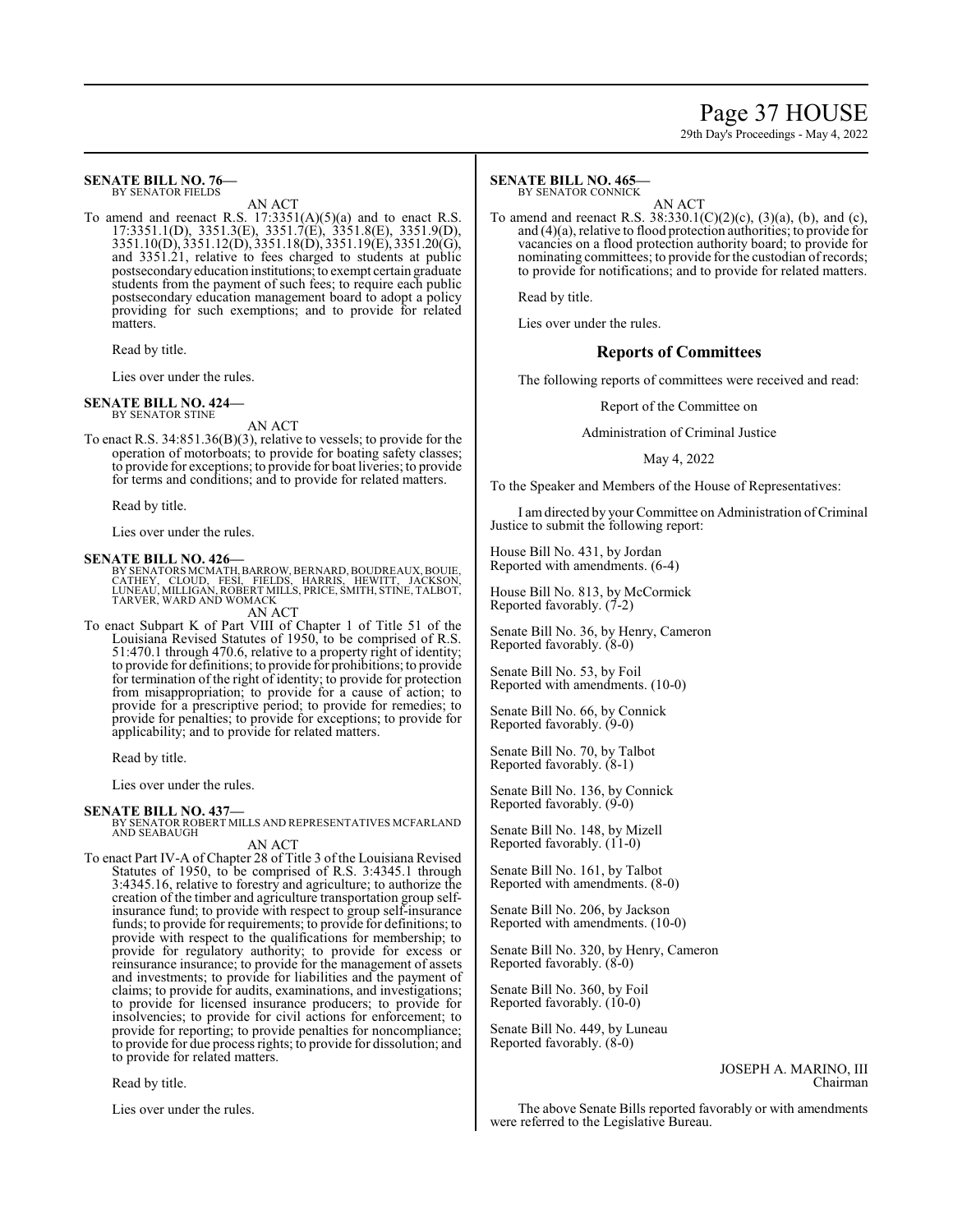# Page 37 HOUSE

29th Day's Proceedings - May 4, 2022

#### **SENATE BILL NO. 76—** BY SENATOR FIELDS

AN ACT To amend and reenact R.S.  $17:3351(A)(5)(a)$  and to enact R.S. 17:3351.1(D), 3351.3(E), 3351.7(E), 3351.8(E), 3351.9(D), 3351.10(D), 3351.12(D), 3351.18(D), 3351.19(E), 3351.20(G), and 3351.21, relative to fees charged to students at public postsecondaryeducation institutions; to exempt certain graduate students from the payment of such fees; to require each public postsecondary education management board to adopt a policy providing for such exemptions; and to provide for related

Read by title.

matters.

Lies over under the rules.

#### **SENATE BILL NO. 424—** BY SENATOR STINE

AN ACT

To enact R.S. 34:851.36(B)(3), relative to vessels; to provide for the operation of motorboats; to provide for boating safety classes; to provide for exceptions; to provide for boat liveries; to provide for terms and conditions; and to provide for related matters.

Read by title.

Lies over under the rules.

#### **SENATE BILL NO. 426—**

BY SENATORS MCMATH,BARROW, BERNARD,BOUDREAUX, BOUIE, CATHEY, CLOUD, FESI, FIELDS, HARRIS, HEWITT, JACKSON,<br>LUNEAU,MILLIGAN,ROBERTMILLS,PRICE,SMITH,STINE,TALBOT,<br>TARVER,WARD AND WOMACK

AN ACT

To enact Subpart K of Part VIII of Chapter 1 of Title 51 of the Louisiana Revised Statutes of 1950, to be comprised of R.S. 51:470.1 through 470.6, relative to a property right of identity; to provide for definitions; to provide for prohibitions; to provide for termination of the right of identity; to provide for protection from misappropriation; to provide for a cause of action; to provide for a prescriptive period; to provide for remedies; to provide for penalties; to provide for exceptions; to provide for applicability; and to provide for related matters.

Read by title.

Lies over under the rules.

**SENATE BILL NO. 437—** BY SENATOR ROBERT MILLS AND REPRESENTATIVES MCFARLAND AND SEABAUGH

AN ACT

To enact Part IV-A of Chapter 28 of Title 3 of the Louisiana Revised Statutes of 1950, to be comprised of R.S. 3:4345.1 through 3:4345.16, relative to forestry and agriculture; to authorize the creation of the timber and agriculture transportation group selfinsurance fund; to provide with respect to group self-insurance funds; to provide for requirements; to provide for definitions; to provide with respect to the qualifications for membership; to provide for regulatory authority; to provide for excess or reinsurance insurance; to provide for the management of assets and investments; to provide for liabilities and the payment of claims; to provide for audits, examinations, and investigations; to provide for licensed insurance producers; to provide for insolvencies; to provide for civil actions for enforcement; to provide for reporting; to provide penalties for noncompliance; to provide for due process rights; to provide for dissolution; and to provide for related matters.

Read by title.

Lies over under the rules.

#### **SENATE BILL NO. 465—** BY SENATOR CONNICK

AN ACT

To amend and reenact R.S.  $38:330.1(C)(2)(c)$ ,  $(3)(a)$ ,  $(b)$ , and  $(c)$ , and (4)(a), relative to flood protection authorities; to provide for vacancies on a flood protection authority board; to provide for nominating committees; to provide for the custodian of records; to provide for notifications; and to provide for related matters.

Read by title.

Lies over under the rules.

#### **Reports of Committees**

The following reports of committees were received and read:

Report of the Committee on

Administration of Criminal Justice

May 4, 2022

To the Speaker and Members of the House of Representatives:

I amdirected by your Committee on Administration ofCriminal Justice to submit the following report:

House Bill No. 431, by Jordan Reported with amendments. (6-4)

House Bill No. 813, by McCormick Reported favorably. (7-2)

Senate Bill No. 36, by Henry, Cameron Reported favorably. (8-0)

Senate Bill No. 53, by Foil Reported with amendments. (10-0)

Senate Bill No. 66, by Connick Reported favorably. (9-0)

Senate Bill No. 70, by Talbot Reported favorably. (8-1)

Senate Bill No. 136, by Connick Reported favorably. (9-0)

Senate Bill No. 148, by Mizell Reported favorably. (11-0)

Senate Bill No. 161, by Talbot Reported with amendments. (8-0)

Senate Bill No. 206, by Jackson Reported with amendments. (10-0)

Senate Bill No. 320, by Henry, Cameron Reported favorably. (8-0)

Senate Bill No. 360, by Foil Reported favorably. (10-0)

Senate Bill No. 449, by Luneau Reported favorably. (8-0)

> JOSEPH A. MARINO, III Chairman

The above Senate Bills reported favorably or with amendments were referred to the Legislative Bureau.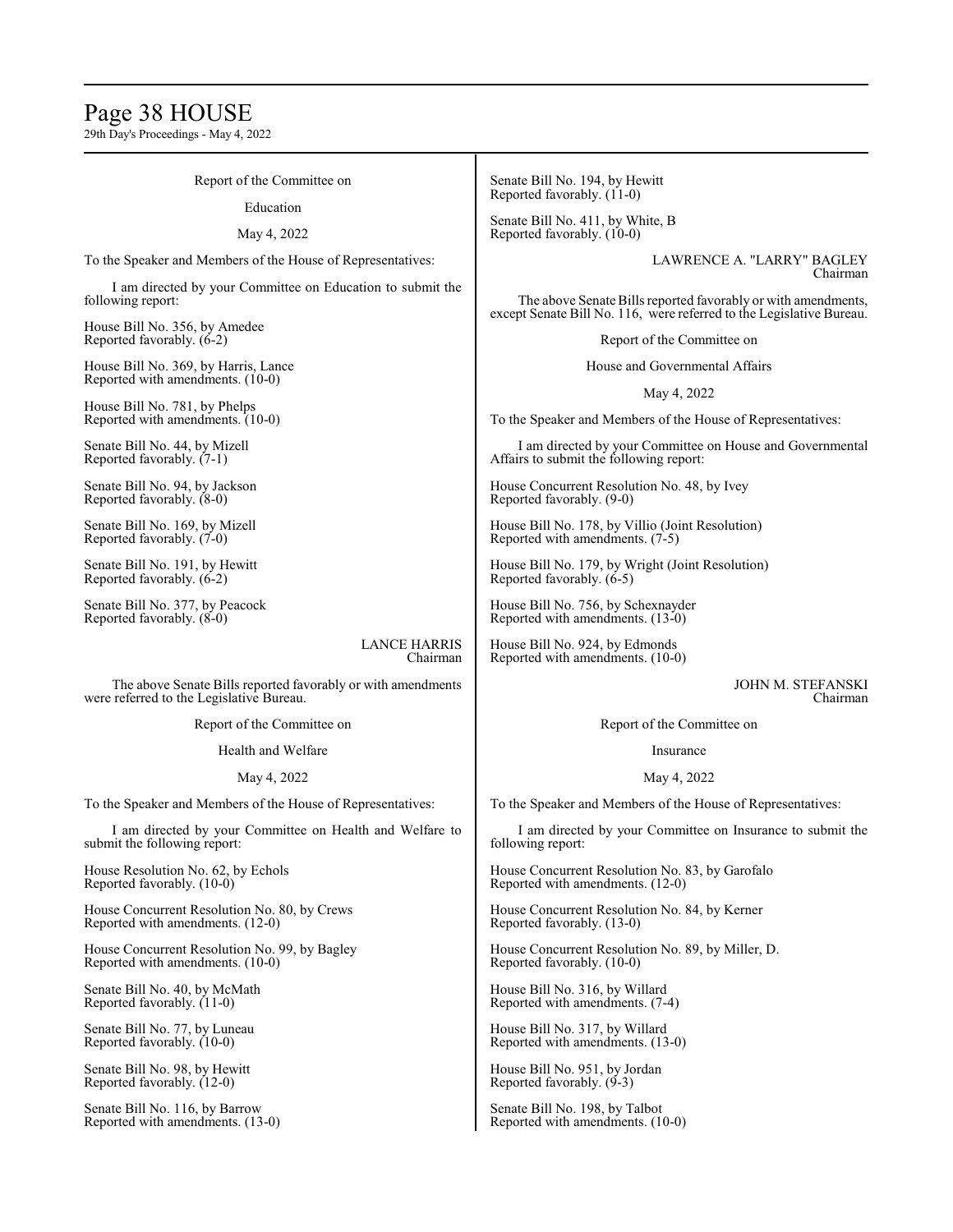# Page 38 HOUSE

29th Day's Proceedings - May 4, 2022

Report of the Committee on

#### Education

May 4, 2022

To the Speaker and Members of the House of Representatives:

I am directed by your Committee on Education to submit the following report:

House Bill No. 356, by Amedee Reported favorably. (6-2)

House Bill No. 369, by Harris, Lance Reported with amendments. (10-0)

House Bill No. 781, by Phelps Reported with amendments. (10-0)

Senate Bill No. 44, by Mizell Reported favorably. (7-1)

Senate Bill No. 94, by Jackson Reported favorably. (8-0)

Senate Bill No. 169, by Mizell Reported favorably. (7-0)

Senate Bill No. 191, by Hewitt Reported favorably. (6-2)

Senate Bill No. 377, by Peacock Reported favorably. (8-0)

> LANCE HARRIS Chairman

The above Senate Bills reported favorably or with amendments were referred to the Legislative Bureau.

Report of the Committee on

Health and Welfare

May 4, 2022

To the Speaker and Members of the House of Representatives:

I am directed by your Committee on Health and Welfare to submit the following report:

House Resolution No. 62, by Echols Reported favorably. (10-0)

House Concurrent Resolution No. 80, by Crews Reported with amendments. (12-0)

House Concurrent Resolution No. 99, by Bagley Reported with amendments. (10-0)

Senate Bill No. 40, by McMath Reported favorably. (11-0)

Senate Bill No. 77, by Luneau Reported favorably. (10-0)

Senate Bill No. 98, by Hewitt Reported favorably. (12-0)

Senate Bill No. 116, by Barrow Reported with amendments. (13-0) Senate Bill No. 194, by Hewitt Reported favorably. (11-0)

Senate Bill No. 411, by White, B Reported favorably. (10-0)

> LAWRENCE A. "LARRY" BAGLEY Chairman

The above Senate Bills reported favorably or with amendments, except Senate Bill No. 116, were referred to the Legislative Bureau.

Report of the Committee on

House and Governmental Affairs

May 4, 2022

To the Speaker and Members of the House of Representatives:

I am directed by your Committee on House and Governmental Affairs to submit the following report:

House Concurrent Resolution No. 48, by Ivey Reported favorably. (9-0)

House Bill No. 178, by Villio (Joint Resolution) Reported with amendments. (7-5)

House Bill No. 179, by Wright (Joint Resolution) Reported favorably. (6-5)

House Bill No. 756, by Schexnayder Reported with amendments. (13-0)

House Bill No. 924, by Edmonds Reported with amendments. (10-0)

> JOHN M. STEFANSKI Chairman

Report of the Committee on

Insurance

May 4, 2022

To the Speaker and Members of the House of Representatives:

I am directed by your Committee on Insurance to submit the following report:

House Concurrent Resolution No. 83, by Garofalo Reported with amendments. (12-0)

House Concurrent Resolution No. 84, by Kerner Reported favorably. (13-0)

House Concurrent Resolution No. 89, by Miller, D. Reported favorably. (10-0)

House Bill No. 316, by Willard Reported with amendments. (7-4)

House Bill No. 317, by Willard Reported with amendments. (13-0)

House Bill No. 951, by Jordan Reported favorably. (9-3)

Senate Bill No. 198, by Talbot Reported with amendments. (10-0)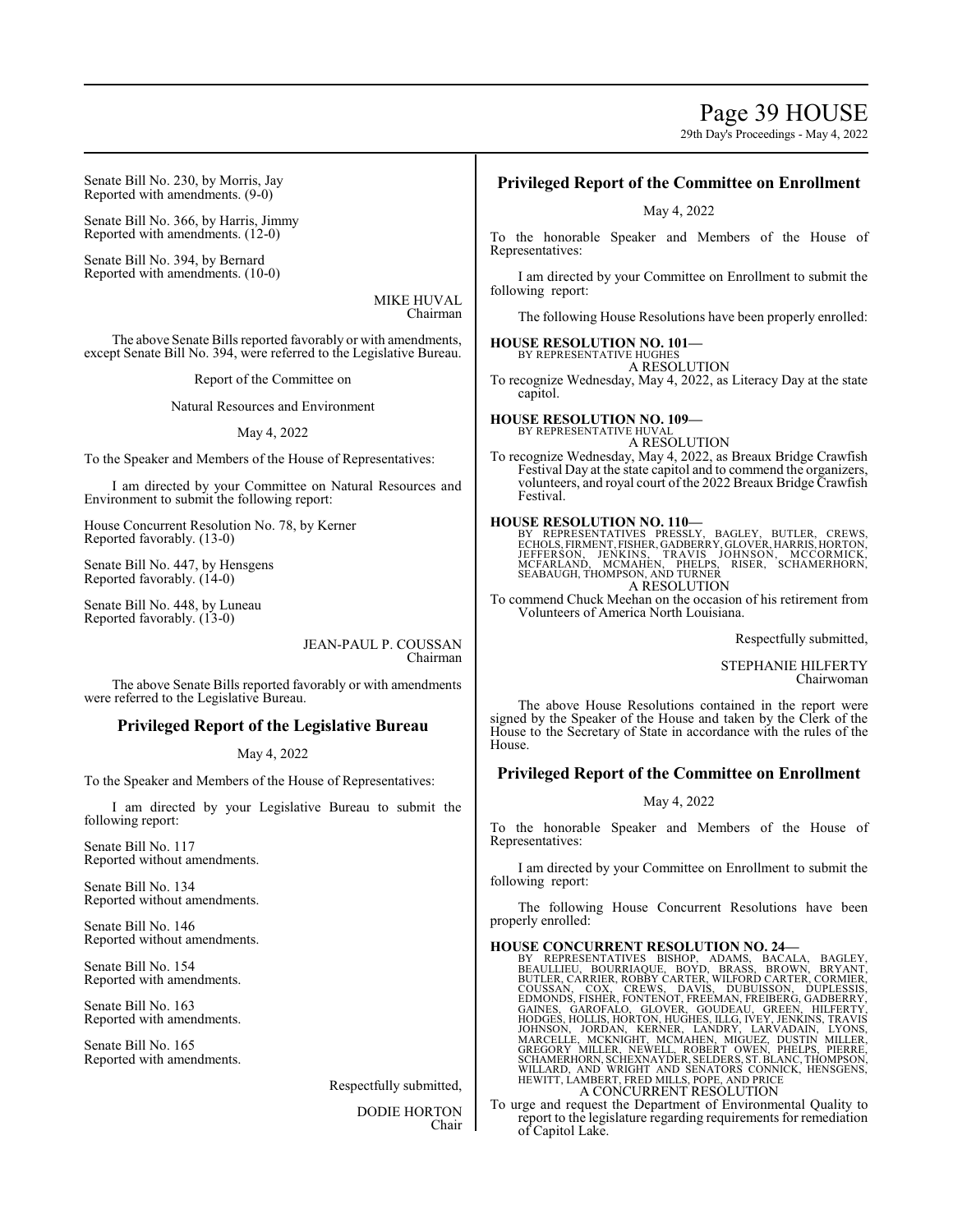Page 39 HOUSE

29th Day's Proceedings - May 4, 2022

Senate Bill No. 230, by Morris, Jay Reported with amendments. (9-0)

Senate Bill No. 366, by Harris, Jimmy Reported with amendments. (12-0)

Senate Bill No. 394, by Bernard Reported with amendments. (10-0)

> MIKE HUVAL Chairman

The above Senate Bills reported favorably or with amendments, except Senate Bill No. 394, were referred to the Legislative Bureau.

Report of the Committee on

Natural Resources and Environment

May 4, 2022

To the Speaker and Members of the House of Representatives:

I am directed by your Committee on Natural Resources and Environment to submit the following report:

House Concurrent Resolution No. 78, by Kerner Reported favorably. (13-0)

Senate Bill No. 447, by Hensgens Reported favorably. (14-0)

Senate Bill No. 448, by Luneau Reported favorably. (13-0)

> JEAN-PAUL P. COUSSAN Chairman

The above Senate Bills reported favorably or with amendments were referred to the Legislative Bureau.

# **Privileged Report of the Legislative Bureau**

### May 4, 2022

To the Speaker and Members of the House of Representatives:

I am directed by your Legislative Bureau to submit the following report:

Senate Bill No. 117 Reported without amendments.

Senate Bill No. 134 Reported without amendments.

Senate Bill No. 146 Reported without amendments.

Senate Bill No. 154 Reported with amendments.

Senate Bill No. 163 Reported with amendments.

Senate Bill No. 165 Reported with amendments.

Respectfully submitted,

DODIE HORTON

Chair

# **Privileged Report of the Committee on Enrollment**

May 4, 2022

To the honorable Speaker and Members of the House of Representatives:

I am directed by your Committee on Enrollment to submit the following report:

The following House Resolutions have been properly enrolled:

**HOUSE RESOLUTION NO. 101—** BY REPRESENTATIVE HUGHES

A RESOLUTION

To recognize Wednesday, May 4, 2022, as Literacy Day at the state capitol.

**HOUSE RESOLUTION NO. 109—**

BY REPRESENTATIVE HUVAL A RESOLUTION

To recognize Wednesday, May 4, 2022, as Breaux Bridge Crawfish Festival Day at the state capitol and to commend the organizers, volunteers, and royal court of the 2022 Breaux Bridge Crawfish Festival.

**HOUSE RESOLUTION NO. 110—**<br>BY REPRESENTATIVES PRESSLY, BAGLEY, BUTLER, CREWS,<br>ECHOLS, FIRMENT, FISHER, GADBERRY, GLOVER, HARRIS, HORTON,<br>JEFFERSON, JENKINS, TRAVIS JOHNSON, MCCORMICK,<br>MCFARLAND, MCMAHEN, PHELPS, RISER, SC

To commend Chuck Meehan on the occasion of his retirement from Volunteers of America North Louisiana.

Respectfully submitted,

STEPHANIE HILFERTY Chairwoman

The above House Resolutions contained in the report were signed by the Speaker of the House and taken by the Clerk of the House to the Secretary of State in accordance with the rules of the House.

# **Privileged Report of the Committee on Enrollment**

### May 4, 2022

To the honorable Speaker and Members of the House of Representatives:

I am directed by your Committee on Enrollment to submit the following report:

The following House Concurrent Resolutions have been properly enrolled:

HOUSE CONCURRENT RESOLUTION NO. 24—<br>BY REPRESENTATIVES BISHOP, ADAMS, BAGLEY, BEAULLIEU, BOURRIAQUE, BOYD, BRASS, BROWN, BRYANT,<br>BUTLER, CARRIER, ROBBY CARTER, WILFORD CARTER, CORMIER,<br>COUSSAN, COX, CREWS, DAVIS, DUBUISSON

To urge and request the Department of Environmental Quality to report to the legislature regarding requirements for remediation of Capitol Lake.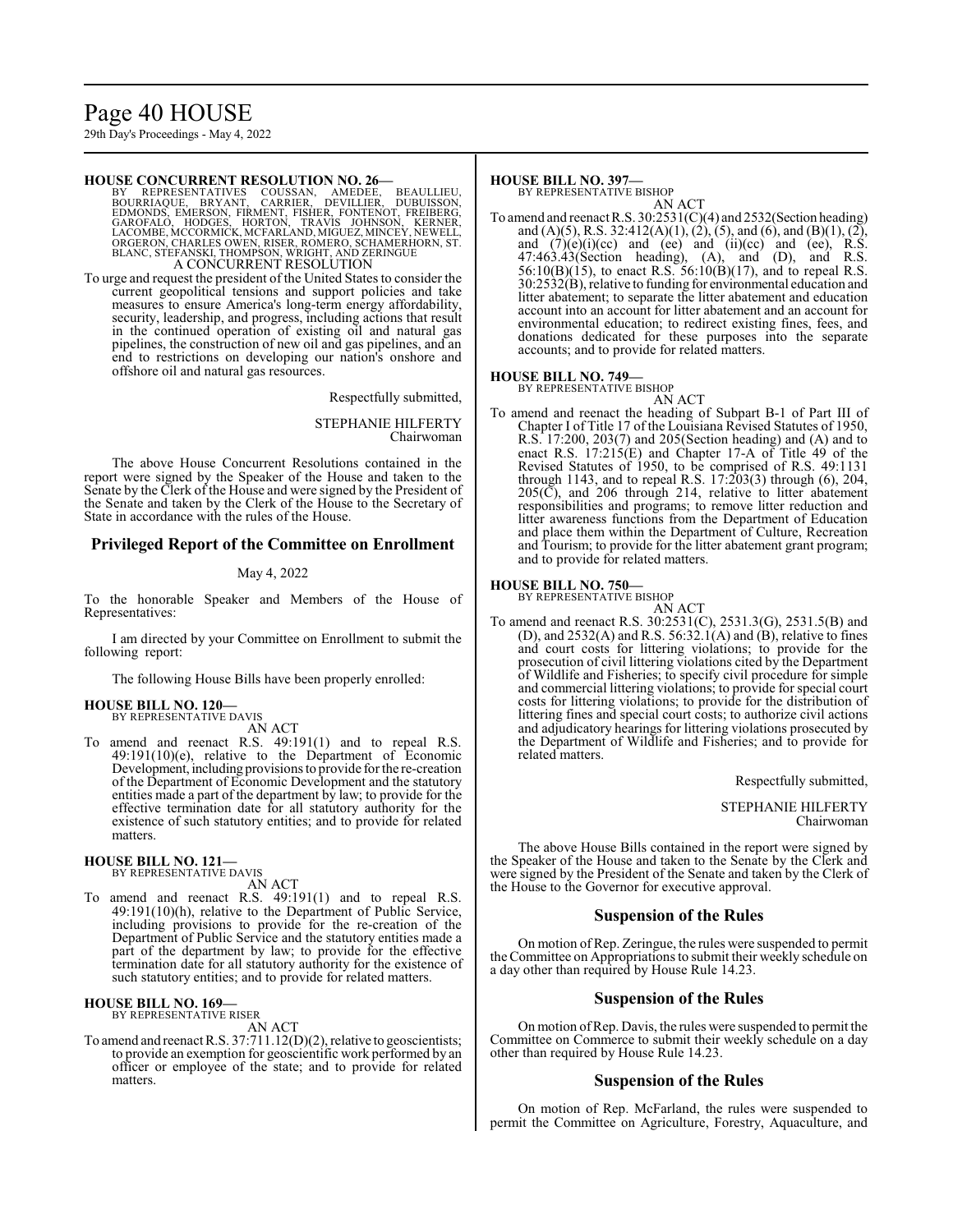# Page 40 HOUSE

29th Day's Proceedings - May 4, 2022

#### **HOUSE CONCURRENT RESOLUTION NO. 26—**

BY REPRESENTATIVES COUSSAN, AMEDEE, BEAULLIEU,<br>BOURRIAQUE, BRYANT, CARRIER, DEVILLIER, DUBUISSON,<br>EDMONDS, EMERSON,FIRMENT,FISHER,FONTENOT,FREIBERG,<br>GAROFALO, HODGES, HORTON, TRAVIS JOHNSON, KERNER,<br>LACOMBE,MCCORMICK,MCFAR BLANC, STEFANSKI, THOMPSON, WRIGHT, AND ZERINGUE A CONCURRENT RESOLUTION

To urge and request the president of the United States to consider the current geopolitical tensions and support policies and take measures to ensure America's long-term energy affordability, security, leadership, and progress, including actions that result in the continued operation of existing oil and natural gas pipelines, the construction of new oil and gas pipelines, and an end to restrictions on developing our nation's onshore and offshore oil and natural gas resources.

Respectfully submitted,

STEPHANIE HILFERTY Chairwoman

The above House Concurrent Resolutions contained in the report were signed by the Speaker of the House and taken to the Senate by the Clerk of the House and were signed by the President of the Senate and taken by the Clerk of the House to the Secretary of State in accordance with the rules of the House.

## **Privileged Report of the Committee on Enrollment**

#### May 4, 2022

To the honorable Speaker and Members of the House of Representatives:

I am directed by your Committee on Enrollment to submit the following report:

The following House Bills have been properly enrolled:

#### **HOUSE BILL NO. 120—** BY REPRESENTATIVE DAVIS

AN ACT

To amend and reenact R.S. 49:191(1) and to repeal R.S. 49:191(10)(e), relative to the Department of Economic Development, including provisions to provide for the re-creation of the Department of Economic Development and the statutory entities made a part of the department by law; to provide for the effective termination date for all statutory authority for the existence of such statutory entities; and to provide for related matters.

#### **HOUSE BILL NO. 121—** BY REPRESENTATIVE DAVIS

AN ACT

To amend and reenact R.S. 49:191(1) and to repeal R.S. 49:191(10)(h), relative to the Department of Public Service, including provisions to provide for the re-creation of the Department of Public Service and the statutory entities made a part of the department by law; to provide for the effective termination date for all statutory authority for the existence of such statutory entities; and to provide for related matters.

#### **HOUSE BILL NO. 169—**

BY REPRESENTATIVE RISER

AN ACT

To amend and reenact R.S. 37:711.12(D)(2), relative to geoscientists; to provide an exemption for geoscientific work performed by an officer or employee of the state; and to provide for related matters.

#### **HOUSE BILL NO. 397—**

BY REPRESENTATIVE BISHOP

AN ACT To amend and reenact R.S. 30:2531(C)(4) and 2532(Section heading) and (A)(5), R.S. 32:412(A)(1), (2), (5), and (6), and (B)(1), (2), and  $(7)(e)(i)(ce)$  and  $(ee)$  and  $(ii)(ce)$  and  $(ee)$ , R.S. 47:463.43(Section heading), (A), and (D), and R.S.  $56:10(B)(15)$ , to enact R.S.  $56:10(B)(17)$ , and to repeal R.S. 30:2532(B), relative to funding for environmental education and litter abatement; to separate the litter abatement and education account into an account for litter abatement and an account for environmental education; to redirect existing fines, fees, and donations dedicated for these purposes into the separate accounts; and to provide for related matters.

#### **HOUSE BILL NO. 749—**

BY REPRESENTATIVE BISHOP

AN ACT To amend and reenact the heading of Subpart B-1 of Part III of Chapter I of Title 17 of the Louisiana Revised Statutes of 1950, R.S. 17:200, 203(7) and 205(Section heading) and (A) and to enact R.S. 17:215(E) and Chapter 17-A of Title 49 of the Revised Statutes of 1950, to be comprised of R.S. 49:1131 through 1143, and to repeal R.S. 17:203(3) through (6), 204, 205(C), and 206 through 214, relative to litter abatement responsibilities and programs; to remove litter reduction and litter awareness functions from the Department of Education and place them within the Department of Culture, Recreation and Tourism; to provide for the litter abatement grant program; and to provide for related matters.

#### **HOUSE BILL NO. 750—**

BY REPRESENTATIVE BISHOP

AN ACT To amend and reenact R.S. 30:2531(C), 2531.3(G), 2531.5(B) and (D), and  $2532(A)$  and R.S.  $56:32.1(A)$  and (B), relative to fines and court costs for littering violations; to provide for the prosecution of civil littering violations cited by the Department of Wildlife and Fisheries; to specify civil procedure for simple and commercial littering violations; to provide for special court costs for littering violations; to provide for the distribution of littering fines and special court costs; to authorize civil actions and adjudicatory hearings for littering violations prosecuted by the Department of Wildlife and Fisheries; and to provide for related matters.

Respectfully submitted,

#### STEPHANIE HILFERTY Chairwoman

The above House Bills contained in the report were signed by the Speaker of the House and taken to the Senate by the Clerk and were signed by the President of the Senate and taken by the Clerk of the House to the Governor for executive approval.

#### **Suspension of the Rules**

On motion of Rep. Zeringue, the rules were suspended to permit the Committee on Appropriations to submit their weekly schedule on a day other than required by House Rule 14.23.

#### **Suspension of the Rules**

On motion ofRep. Davis, the rules were suspended to permit the Committee on Commerce to submit their weekly schedule on a day other than required by House Rule 14.23.

#### **Suspension of the Rules**

On motion of Rep. McFarland, the rules were suspended to permit the Committee on Agriculture, Forestry, Aquaculture, and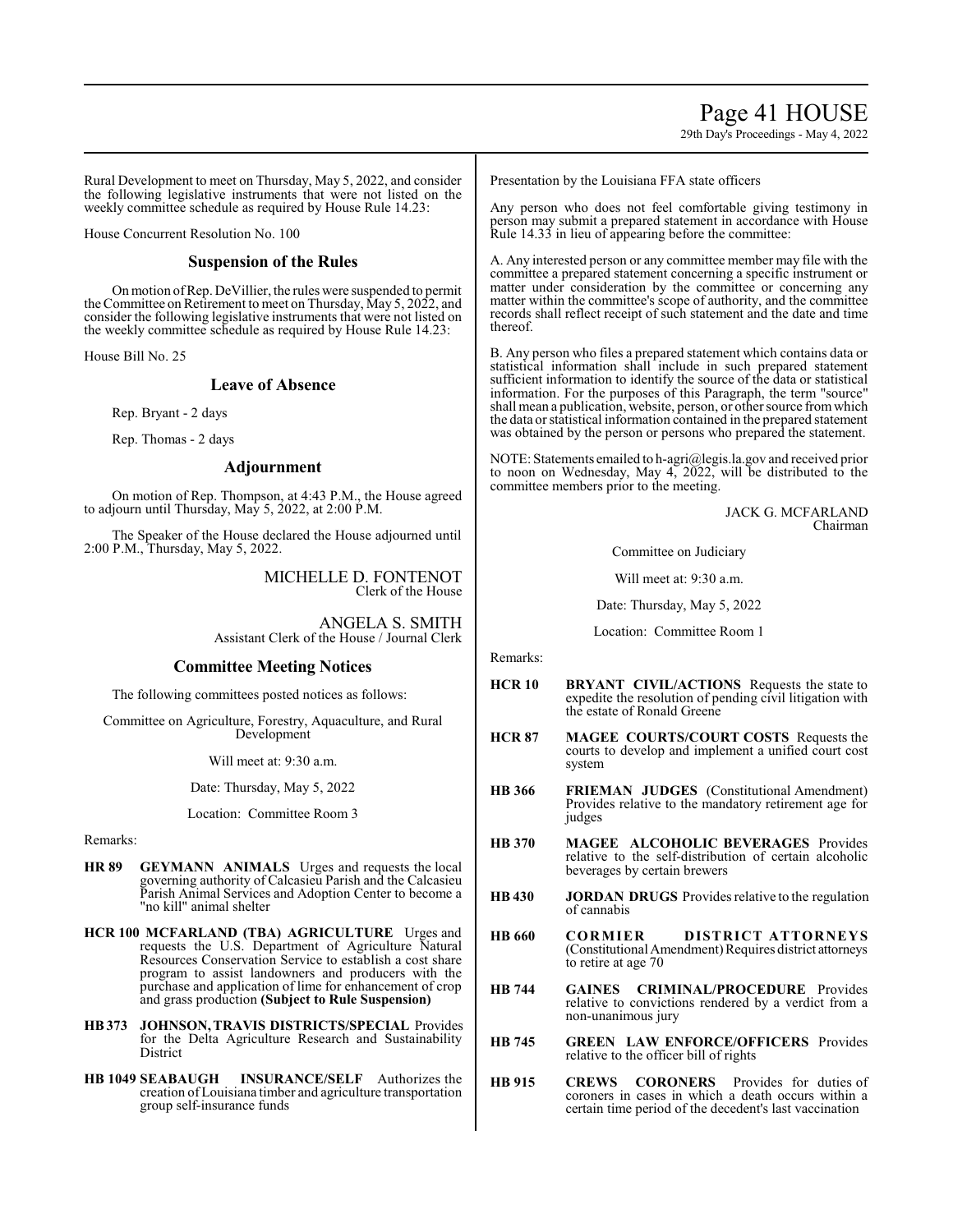# Page 41 HOUSE

29th Day's Proceedings - May 4, 2022

Rural Development to meet on Thursday, May 5, 2022, and consider the following legislative instruments that were not listed on the weekly committee schedule as required by House Rule 14.23:

House Concurrent Resolution No. 100

### **Suspension of the Rules**

Onmotion ofRep. DeVillier, the rules were suspended to permit the Committee on Retirement to meet on Thursday, May 5, 2022, and consider the following legislative instruments that were not listed on the weekly committee schedule as required by House Rule 14.23:

House Bill No. 25

### **Leave of Absence**

Rep. Bryant - 2 days

Rep. Thomas - 2 days

### **Adjournment**

On motion of Rep. Thompson, at 4:43 P.M., the House agreed to adjourn until Thursday, May 5, 2022, at  $2:00 \text{ P.M.}$ 

The Speaker of the House declared the House adjourned until 2:00 P.M., Thursday, May 5, 2022.

> MICHELLE D. FONTENOT Clerk of the House

ANGELA S. SMITH Assistant Clerk of the House / Journal Clerk

#### **Committee Meeting Notices**

The following committees posted notices as follows:

Committee on Agriculture, Forestry, Aquaculture, and Rural Development

Will meet at: 9:30 a.m.

Date: Thursday, May 5, 2022

Location: Committee Room 3

Remarks:

- **HR 89 GEYMANN ANIMALS** Urges and requests the local governing authority of Calcasieu Parish and the Calcasieu Parish Animal Services and Adoption Center to become a "no kill" animal shelter
- **HCR 100 MCFARLAND (TBA) AGRICULTURE** Urges and requests the U.S. Department of Agriculture Natural Resources Conservation Service to establish a cost share program to assist landowners and producers with the purchase and application of lime for enhancement of crop and grass production **(Subject to Rule Suspension)**
- **HB373 JOHNSON, TRAVIS DISTRICTS/SPECIAL** Provides for the Delta Agriculture Research and Sustainability District
- **HB 1049 SEABAUGH INSURANCE/SELF** Authorizes the creation of Louisiana timber and agriculture transportation group self-insurance funds

Presentation by the Louisiana FFA state officers

Any person who does not feel comfortable giving testimony in person may submit a prepared statement in accordance with House Rule 14.33 in lieu of appearing before the committee:

A. Any interested person or any committee member may file with the committee a prepared statement concerning a specific instrument or matter under consideration by the committee or concerning any matter within the committee's scope of authority, and the committee records shall reflect receipt of such statement and the date and time thereof.

B. Any person who files a prepared statement which contains data or statistical information shall include in such prepared statement sufficient information to identify the source of the data or statistical information. For the purposes of this Paragraph, the term "source" shall mean a publication, website, person, or other source fromwhich the data or statistical information contained in the prepared statement was obtained by the person or persons who prepared the statement.

NOTE: Statements emailed to h-agri@legis.la.gov and received prior to noon on Wednesday, May 4, 2022, will be distributed to the committee members prior to the meeting.

> JACK G. MCFARLAND Chairman

Committee on Judiciary

Will meet at: 9:30 a.m.

Date: Thursday, May 5, 2022

Location: Committee Room 1

Remarks:

- **HCR 10 BRYANT CIVIL/ACTIONS** Requests the state to expedite the resolution of pending civil litigation with the estate of Ronald Greene
- **HCR 87 MAGEE COURTS/COURT COSTS** Requests the courts to develop and implement a unified court cost system
- **HB 366 FRIEMAN JUDGES** (Constitutional Amendment) Provides relative to the mandatory retirement age for judges
- **HB 370 MAGEE ALCOHOLIC BEVERAGES** Provides relative to the self-distribution of certain alcoholic beverages by certain brewers
- **HB 430 JORDAN DRUGS** Provides relative to the regulation of cannabis
- **HB 660 CORMIER DISTRICT ATTORNEYS**  (Constitutional Amendment) Requires district attorneys to retire at age 70
- **HB 744 GAINES CRIMINAL/PROCEDURE** Provides relative to convictions rendered by a verdict from a non-unanimous jury
- **HB 745 GREEN LAW ENFORCE/OFFICERS** Provides relative to the officer bill of rights
- **HB 915 CREWS CORONERS** Provides for duties of coroners in cases in which a death occurs within a certain time period of the decedent's last vaccination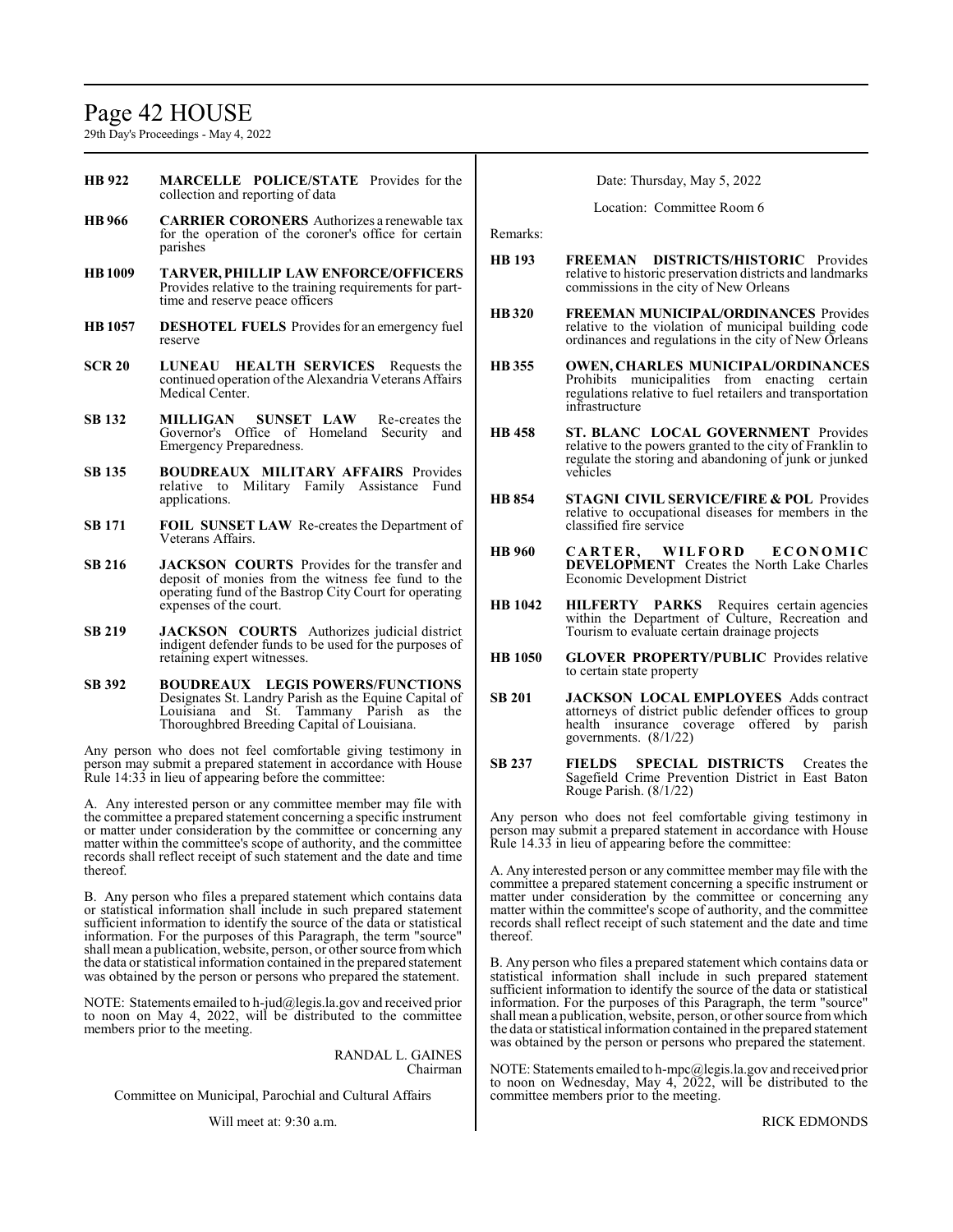# Page 42 HOUSE

29th Day's Proceedings - May 4, 2022

- **HB 922 MARCELLE POLICE/STATE** Provides for the collection and reporting of data
- **HB 966 CARRIER CORONERS** Authorizes a renewable tax for the operation of the coroner's office for certain parishes
- **HB1009 TARVER, PHILLIP LAW ENFORCE/OFFICERS**  Provides relative to the training requirements for parttime and reserve peace officers
- **HB 1057 DESHOTEL FUELS** Provides for an emergency fuel reserve
- **SCR 20 LUNEAU HEALTH SERVICES** Requests the continued operation ofthe Alexandria Veterans Affairs Medical Center.
- **SB 132 MILLIGAN SUNSET LAW** Re-creates the Governor's Office of Homeland Security and Emergency Preparedness.
- **SB 135 BOUDREAUX MILITARY AFFAIRS** Provides relative to Military Family Assistance Fund applications.
- **SB 171 FOIL SUNSET LAW** Re-creates the Department of Veterans Affairs.
- **SB 216 JACKSON COURTS** Provides for the transfer and deposit of monies from the witness fee fund to the operating fund of the Bastrop City Court for operating expenses of the court.
- **SB 219 JACKSON COURTS** Authorizes judicial district indigent defender funds to be used for the purposes of retaining expert witnesses.
- **SB 392 BOUDREAUX LEGIS POWERS/FUNCTIONS**  Designates St. Landry Parish as the Equine Capital of Louisiana and St. Tammany Parish as the Thoroughbred Breeding Capital of Louisiana.

Any person who does not feel comfortable giving testimony in person may submit a prepared statement in accordance with House Rule 14:33 in lieu of appearing before the committee:

A. Any interested person or any committee member may file with the committee a prepared statement concerning a specific instrument or matter under consideration by the committee or concerning any matter within the committee's scope of authority, and the committee records shall reflect receipt of such statement and the date and time thereof.

B. Any person who files a prepared statement which contains data or statistical information shall include in such prepared statement sufficient information to identify the source of the data or statistical information. For the purposes of this Paragraph, the term "source" shall mean a publication, website, person, or other source fromwhich the data or statistical information contained in the prepared statement was obtained by the person or persons who prepared the statement.

NOTE: Statements emailed to h-jud@legis.la.gov and received prior to noon on May 4, 2022, will be distributed to the committee members prior to the meeting.

> RANDAL L. GAINES Chairman

Committee on Municipal, Parochial and Cultural Affairs

Will meet at: 9:30 a.m.

Date: Thursday, May 5, 2022

Location: Committee Room 6

Remarks:

- **HB 193 FREEMAN DISTRICTS/HISTORIC** Provides relative to historic preservation districts and landmarks commissions in the city of New Orleans
- **HB320 FREEMAN MUNICIPAL/ORDINANCES** Provides relative to the violation of municipal building code ordinances and regulations in the city of New Orleans
- **HB 355 OWEN, CHARLES MUNICIPAL/ORDINANCES**  Prohibits municipalities from enacting certain regulations relative to fuel retailers and transportation infrastructure
- **HB 458 ST. BLANC LOCAL GOVERNMENT** Provides relative to the powers granted to the city of Franklin to regulate the storing and abandoning of junk or junked vehicles
- **HB 854 STAGNI CIVIL SERVICE/FIRE & POL** Provides relative to occupational diseases for members in the classified fire service
- **HB 960 C A R TE R , WILF OR D E C ON OM I C DEVELOPMENT** Creates the North Lake Charles Economic Development District
- **HB 1042 HILFERTY PARKS** Requires certain agencies within the Department of Culture, Recreation and Tourism to evaluate certain drainage projects
- **HB 1050 GLOVER PROPERTY/PUBLIC** Provides relative to certain state property
- **SB 201 JACKSON LOCAL EMPLOYEES** Adds contract attorneys of district public defender offices to group health insurance coverage offered by parish governments. (8/1/22)
- **SB 237 FIELDS SPECIAL DISTRICTS** Creates the Sagefield Crime Prevention District in East Baton Rouge Parish. (8/1/22)

Any person who does not feel comfortable giving testimony in person may submit a prepared statement in accordance with House Rule 14.33 in lieu of appearing before the committee:

A. Any interested person or any committee member may file with the committee a prepared statement concerning a specific instrument or matter under consideration by the committee or concerning any matter within the committee's scope of authority, and the committee records shall reflect receipt of such statement and the date and time thereof.

B. Any person who files a prepared statement which contains data or statistical information shall include in such prepared statement sufficient information to identify the source of the data or statistical information. For the purposes of this Paragraph, the term "source" shall mean a publication, website, person, or other source fromwhich the data or statistical information contained in the prepared statement was obtained by the person or persons who prepared the statement.

NOTE: Statements emailed to h-mpc@legis.la.gov and received prior to noon on Wednesday, May 4, 2022, will be distributed to the committee members prior to the meeting.

RICK EDMONDS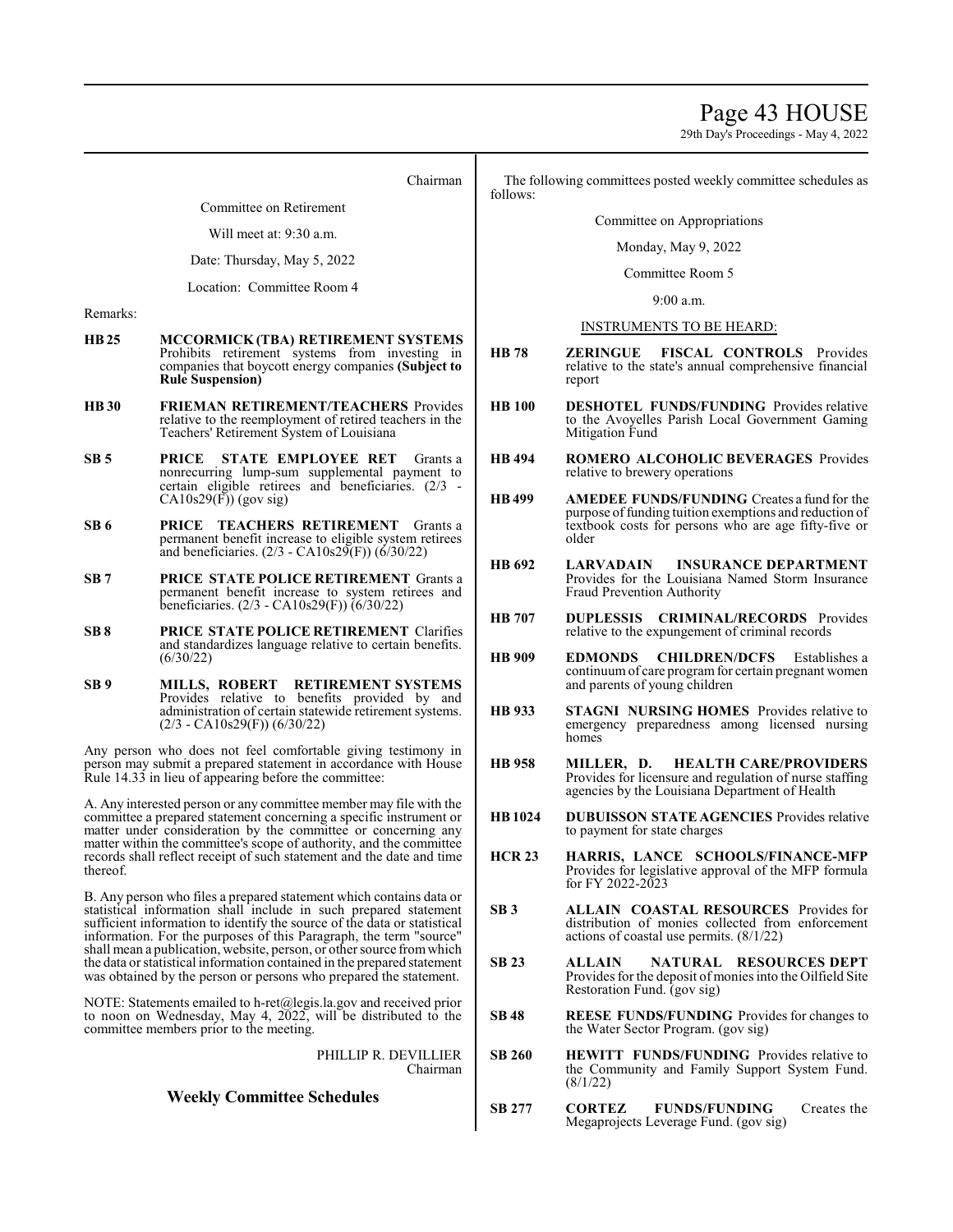Page 43 HOUSE

29th Day's Proceedings - May 4, 2022

Chairman

Committee on Retirement

Will meet at: 9:30 a.m.

Date: Thursday, May 5, 2022

Location: Committee Room 4

Remarks:

- **HB25 MCCORMICK(TBA) RETIREMENT SYSTEMS**  Prohibits retirement systems from investing in companies that boycott energy companies **(Subject to Rule Suspension)**
- **HB 30 FRIEMAN RETIREMENT/TEACHERS** Provides relative to the reemployment of retired teachers in the Teachers' Retirement System of Louisiana
- **SB 5 PRICE STATE EMPLOYEE RET** Grants a nonrecurring lump-sum supplemental payment to certain eligible retirees and beneficiaries. (2/3 -  $CA10s29(F)$  (gov sig)
- **SB 6 PRICE TEACHERS RETIREMENT** Grants a permanent benefit increase to eligible system retirees and beneficiaries.  $(2/3 - CA10s29(F))$  (6/30/22)
- **SB 7 PRICE STATE POLICE RETIREMENT** Grants a permanent benefit increase to system retirees and beneficiaries. (2/3 - CA10s29(F)) (6/30/22)
- **SB 8 PRICE STATE POLICE RETIREMENT** Clarifies and standardizes language relative to certain benefits. (6/30/22)
- **SB 9 MILLS, ROBERT RETIREMENT SYSTEMS**  Provides relative to benefits provided by and administration of certain statewide retirement systems. (2/3 - CA10s29(F)) (6/30/22)

Any person who does not feel comfortable giving testimony in person may submit a prepared statement in accordance with House Rule 14.33 in lieu of appearing before the committee:

A. Any interested person or any committee member may file with the committee a prepared statement concerning a specific instrument or matter under consideration by the committee or concerning any matter within the committee's scope of authority, and the committee records shall reflect receipt of such statement and the date and time thereof.

B. Any person who files a prepared statement which contains data or statistical information shall include in such prepared statement sufficient information to identify the source of the data or statistical information. For the purposes of this Paragraph, the term "source" shall mean a publication, website, person, or other source fromwhich the data or statistical information contained in the prepared statement was obtained by the person or persons who prepared the statement.

NOTE: Statements emailed to h-ret@legis.la.gov and received prior to noon on Wednesday, May 4, 2022, will be distributed to the committee members prior to the meeting.

> PHILLIP R. DEVILLIER Chairman

## **Weekly Committee Schedules**

The following committees posted weekly committee schedules as follows:

Committee on Appropriations

Monday, May 9, 2022

Committee Room 5

9:00 a.m.

INSTRUMENTS TO BE HEARD:

- **HB 78 ZERINGUE FISCAL CONTROLS** Provides relative to the state's annual comprehensive financial report
- **HB 100 DESHOTEL FUNDS/FUNDING** Provides relative to the Avoyelles Parish Local Government Gaming Mitigation Fund
- **HB 494 ROMERO ALCOHOLIC BEVERAGES** Provides relative to brewery operations
- **HB 499 AMEDEE FUNDS/FUNDING** Creates a fund for the purpose of funding tuition exemptions and reduction of textbook costs for persons who are age fifty-five or older
- **HB 692 LARVADAIN INSURANCE DEPARTMENT** Provides for the Louisiana Named Storm Insurance Fraud Prevention Authority
- **HB 707 DUPLESSIS CRIMINAL/RECORDS** Provides relative to the expungement of criminal records
- **HB 909 EDMONDS CHILDREN/DCFS** Establishes a continuum of care program for certain pregnant women and parents of young children
- **HB 933 STAGNI NURSING HOMES** Provides relative to emergency preparedness among licensed nursing homes
- **HB 958 MILLER, D. HEALTH CARE/PROVIDERS** Provides for licensure and regulation of nurse staffing agencies by the Louisiana Department of Health
- **HB1024 DUBUISSON STATE AGENCIES** Provides relative to payment for state charges
- **HCR 23 HARRIS, LANCE SCHOOLS/FINANCE-MFP** Provides for legislative approval of the MFP formula for FY 2022-2023
- **SB 3 ALLAIN COASTAL RESOURCES** Provides for distribution of monies collected from enforcement actions of coastal use permits. (8/1/22)
- **SB 23 ALLAIN NATURAL RESOURCES DEPT** Provides for the deposit of monies into the Oilfield Site Restoration Fund. (gov sig)
- **SB 48 REESE FUNDS/FUNDING** Provides for changes to the Water Sector Program. (gov sig)
- **SB 260 HEWITT FUNDS/FUNDING** Provides relative to the Community and Family Support System Fund. (8/1/22)
- **SB 277 CORTEZ FUNDS/FUNDING** Creates the Megaprojects Leverage Fund. (gov sig)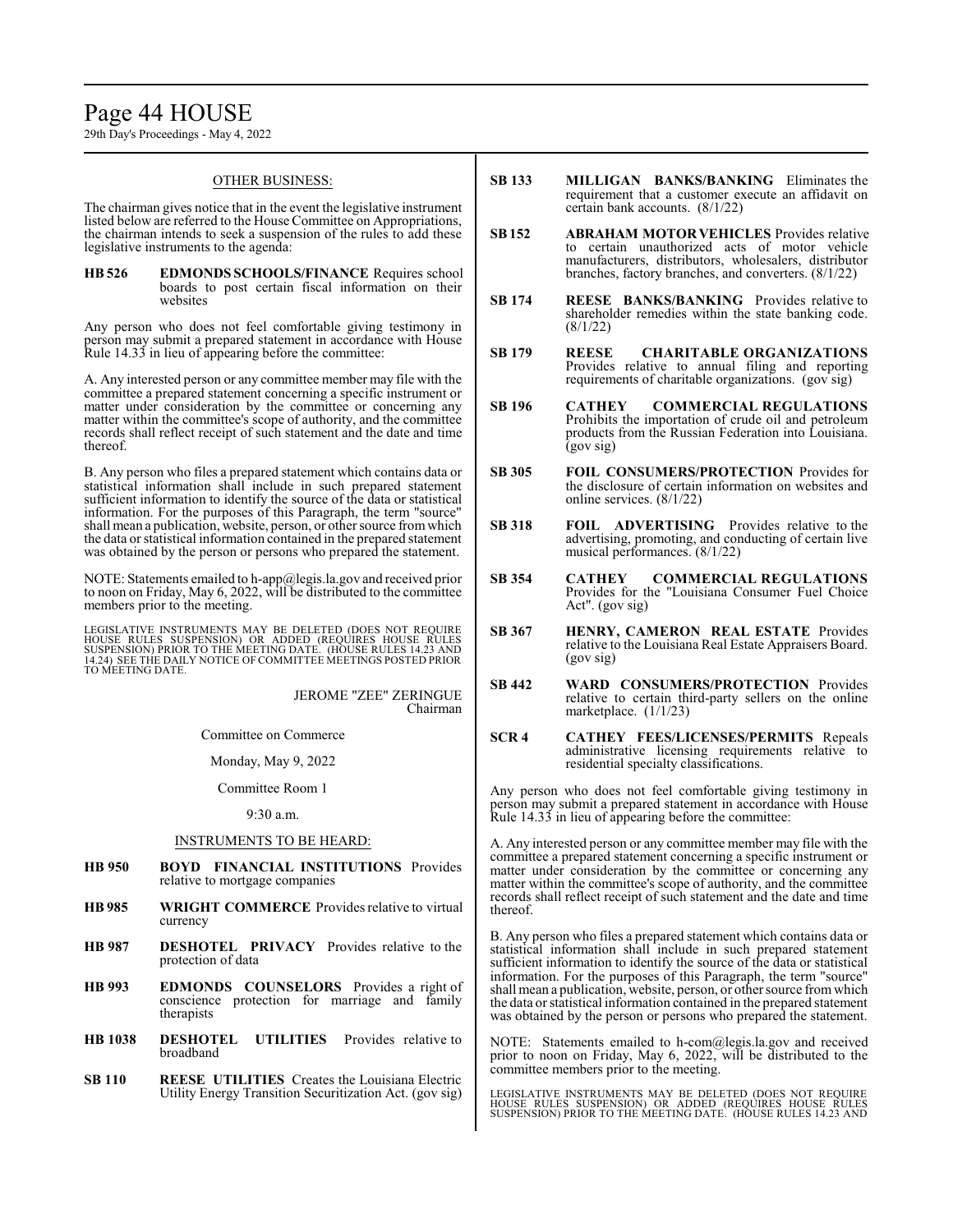# Page 44 HOUSE

29th Day's Proceedings - May 4, 2022

#### OTHER BUSINESS:

The chairman gives notice that in the event the legislative instrument listed below are referred to the House Committee on Appropriations, the chairman intends to seek a suspension of the rules to add these legislative instruments to the agenda:

**HB 526 EDMONDS SCHOOLS/FINANCE** Requires school boards to post certain fiscal information on their websites

Any person who does not feel comfortable giving testimony in person may submit a prepared statement in accordance with House Rule 14.33 in lieu of appearing before the committee:

A. Any interested person or any committee member may file with the committee a prepared statement concerning a specific instrument or matter under consideration by the committee or concerning any matter within the committee's scope of authority, and the committee records shall reflect receipt of such statement and the date and time thereof.

B. Any person who files a prepared statement which contains data or statistical information shall include in such prepared statement sufficient information to identify the source of the data or statistical information. For the purposes of this Paragraph, the term "source" shall mean a publication, website, person, or other source fromwhich the data or statistical information contained in the prepared statement was obtained by the person or persons who prepared the statement.

NOTE: Statements emailed to h-app@legis.la.gov and received prior to noon on Friday, May 6, 2022, will be distributed to the committee members prior to the meeting.

LEGISLATIVE INSTRUMENTS MAY BE DELETED (DOES NOT REQUIRE<br>HOUSE RULES SUSPENSION) OR ADDED (REQUIRES HOUSE RULES<br>SUSPENSION) PRIOR TO THE MEETING DATE. (HOUSE RULES 14.23 AND<br>14.24) SEE THE DAILY NOTICE OF COMMITTEE MEETING TO MEETING DATE.

> JEROME "ZEE" ZERINGUE Chairman

Committee on Commerce

Monday, May 9, 2022

Committee Room 1

9:30 a.m.

#### INSTRUMENTS TO BE HEARD:

- **HB 950 BOYD FINANCIAL INSTITUTIONS** Provides relative to mortgage companies
- **HB 985 WRIGHT COMMERCE** Provides relative to virtual currency
- **HB 987 DESHOTEL PRIVACY** Provides relative to the protection of data
- **HB 993 EDMONDS COUNSELORS** Provides a right of conscience protection for marriage and family therapists
- **HB 1038 DESHOTEL UTILITIES** Provides relative to broadband
- **SB 110 REESE UTILITIES** Creates the Louisiana Electric Utility Energy Transition Securitization Act. (gov sig)
- **SB 133 MILLIGAN BANKS/BANKING** Eliminates the requirement that a customer execute an affidavit on certain bank accounts. (8/1/22)
- **SB152 ABRAHAM MOTOR VEHICLES** Provides relative to certain unauthorized acts of motor vehicle manufacturers, distributors, wholesalers, distributor branches, factory branches, and converters. (8/1/22)
- **SB 174 REESE BANKS/BANKING** Provides relative to shareholder remedies within the state banking code. (8/1/22)
- **SB 179 REESE CHARITABLE ORGANIZATIONS** Provides relative to annual filing and reporting requirements of charitable organizations. (gov sig)
- **SB 196 CATHEY COMMERCIAL REGULATIONS** Prohibits the importation of crude oil and petroleum products from the Russian Federation into Louisiana. (gov sig)
- **SB 305 FOIL CONSUMERS/PROTECTION** Provides for the disclosure of certain information on websites and online services. (8/1/22)
- **SB 318 FOIL ADVERTISING** Provides relative to the advertising, promoting, and conducting of certain live musical performances. (8/1/22)
- **SB 354 CATHEY COMMERCIAL REGULATIONS** Provides for the "Louisiana Consumer Fuel Choice Act". (gov sig)
- **SB 367 HENRY, CAMERON REAL ESTATE** Provides relative to the Louisiana Real Estate Appraisers Board. (gov sig)
- **SB 442 WARD CONSUMERS/PROTECTION** Provides relative to certain third-party sellers on the online marketplace. (1/1/23)
- **SCR 4 CATHEY FEES/LICENSES/PERMITS** Repeals administrative licensing requirements relative to residential specialty classifications.

Any person who does not feel comfortable giving testimony in person may submit a prepared statement in accordance with House Rule 14.33 in lieu of appearing before the committee:

A. Any interested person or any committee member may file with the committee a prepared statement concerning a specific instrument or matter under consideration by the committee or concerning any matter within the committee's scope of authority, and the committee records shall reflect receipt of such statement and the date and time thereof.

B. Any person who files a prepared statement which contains data or statistical information shall include in such prepared statement sufficient information to identify the source of the data or statistical information. For the purposes of this Paragraph, the term "source" shall mean a publication, website, person, or other source fromwhich the data or statistical information contained in the prepared statement was obtained by the person or persons who prepared the statement.

NOTE: Statements emailed to h-com@legis.la.gov and received prior to noon on Friday, May 6, 2022, will be distributed to the committee members prior to the meeting.

LEGISLATIVE INSTRUMENTS MAY BE DELETED (DOES NOT REQUIRE<br>HOUSE RULES SUSPENSION) OR ADDED (REQUIRES HOUSE RULES<br>SUSPENSION) PRIOR TO THE MEETING DATE. (HOUSE RULES 14.23 AND